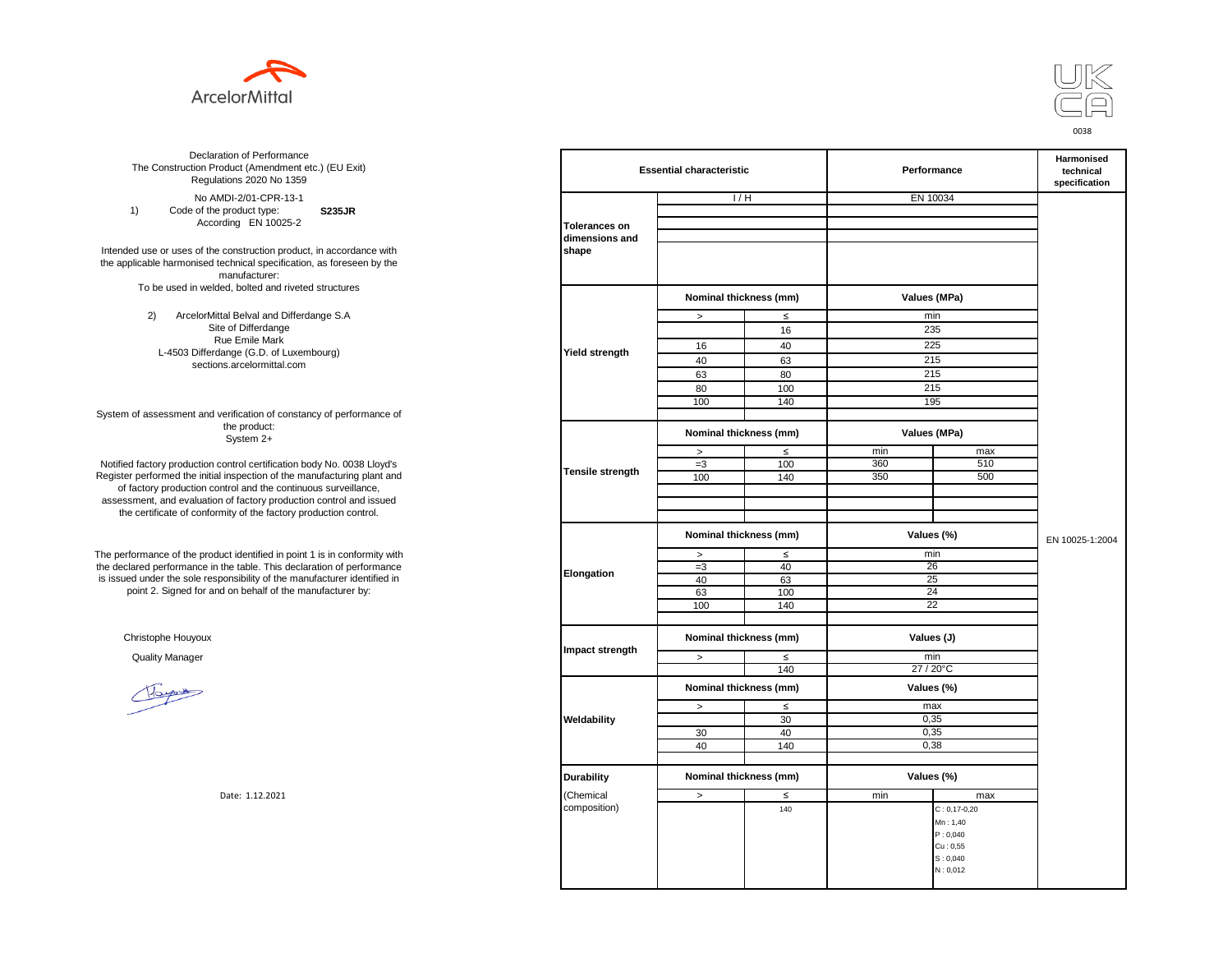



**S235JR** No AMDI-2/01-CPR-13-1 1) Code of the product type: According EN 10025-2

Intended use or uses of the construction product, in accordance with the applicable harmonised technical specification, as foreseen by the manufacturer: To be used in welded, bolted and riveted structures

> 2) ArcelorMittal Belval and Differdange S.A Site of Differdange Rue Emile Mark L-4503 Differdange (G.D. of Luxembourg) sections.arcelormittal.com

System of assessment and verification of constancy of performance of the product: System 2+

Notified factory production control certification body No. 0038 Lloyd's Register performed the initial inspection of the manufacturing plant and of factory production control and the continuous surveillance, assessment, and evaluation of factory production control and issued the certificate of conformity of the factory production control.

The performance of the product identified in point 1 is in conformity with the declared performance in the table. This declaration of performance is issued under the sole responsibility of the manufacturer identified in point 2. Signed for and on behalf of the manufacturer by:

Christophe Houyoux

| ation of Performance<br>oduct (Amendment etc.) (EU Exit)<br>ations 2020 No 1359                         | <b>Essential characteristic</b> |                        |        | Performance  | Harmonised<br>technical<br>specification |                 |  |
|---------------------------------------------------------------------------------------------------------|---------------------------------|------------------------|--------|--------------|------------------------------------------|-----------------|--|
| /IDI-2/01-CPR-13-1                                                                                      |                                 | 1/H                    |        | EN 10034     |                                          |                 |  |
| product type:<br><b>S235JR</b>                                                                          |                                 |                        |        |              |                                          |                 |  |
| rding EN 10025-2                                                                                        | <b>Tolerances on</b>            |                        |        |              |                                          |                 |  |
|                                                                                                         | dimensions and                  |                        |        |              |                                          |                 |  |
| construction product, in accordance with<br>echnical specification, as foreseen by the<br>manufacturer: | shape                           |                        |        |              |                                          |                 |  |
| ed, bolted and riveted structures                                                                       |                                 |                        |        |              |                                          |                 |  |
|                                                                                                         |                                 | Nominal thickness (mm) |        | Values (MPa) |                                          |                 |  |
| tal Belval and Differdange S.A                                                                          |                                 | $\,$                   | $\leq$ | min          |                                          |                 |  |
| e of Differdange                                                                                        |                                 |                        | 16     | 235          |                                          |                 |  |
| ue Emile Mark                                                                                           |                                 |                        |        | 225          |                                          |                 |  |
| ange (G.D. of Luxembourg)                                                                               | Yield strength                  | 16                     | 40     |              |                                          |                 |  |
| ns.arcelormittal.com                                                                                    |                                 | 40                     | 63     | 215          |                                          |                 |  |
|                                                                                                         |                                 | 63                     | 80     | 215          |                                          |                 |  |
|                                                                                                         |                                 | 80                     | 100    | 215          |                                          |                 |  |
|                                                                                                         |                                 | 100                    | 140    | 195          |                                          |                 |  |
| verification of constancy of performance of                                                             |                                 |                        |        |              |                                          |                 |  |
| the product:<br>System 2+                                                                               |                                 | Nominal thickness (mm) |        | Values (MPa) |                                          |                 |  |
|                                                                                                         |                                 | $\, >$                 | $\leq$ | min          | max                                      |                 |  |
| control certification body No. 0038 Lloyd's                                                             | Tensile strength                | $=3$                   | 100    | 360          | 510                                      |                 |  |
| inspection of the manufacturing plant and                                                               |                                 | 100                    | 140    | 350          | 500                                      |                 |  |
| ntrol and the continuous surveillance,                                                                  |                                 |                        |        |              |                                          |                 |  |
| n of factory production control and issued                                                              |                                 |                        |        |              |                                          |                 |  |
| mity of the factory production control.                                                                 |                                 |                        |        |              |                                          |                 |  |
|                                                                                                         |                                 | Nominal thickness (mm) |        | Values (%)   |                                          | EN 10025-1:2004 |  |
| uct identified in point 1 is in conformity with                                                         |                                 | $\, >$                 | $\leq$ | min          |                                          |                 |  |
| the table. This declaration of performance                                                              |                                 | $=3$                   | 40     | 26           |                                          |                 |  |
| ponsibility of the manufacturer identified in                                                           | Elongation                      | 40                     | 63     | 25           |                                          |                 |  |
| d on behalf of the manufacturer by:                                                                     |                                 | 63                     | 100    | 24           |                                          |                 |  |
|                                                                                                         |                                 | 100                    | 140    | 22           |                                          |                 |  |
|                                                                                                         |                                 |                        |        |              |                                          |                 |  |
|                                                                                                         |                                 | Nominal thickness (mm) |        | Values (J)   |                                          |                 |  |
|                                                                                                         | Impact strength                 | $\geq$                 | $\leq$ | min          |                                          |                 |  |
|                                                                                                         |                                 |                        | 140    | 27 / 20°C    |                                          |                 |  |
|                                                                                                         |                                 |                        |        |              |                                          |                 |  |
|                                                                                                         |                                 | Nominal thickness (mm) |        | Values (%)   |                                          |                 |  |
|                                                                                                         |                                 | $\, >$                 | $\leq$ | max          |                                          |                 |  |
|                                                                                                         | Weldability                     |                        | 30     | 0,35         |                                          |                 |  |
|                                                                                                         |                                 | 30                     | 40     | 0,35         |                                          |                 |  |
|                                                                                                         |                                 | 40                     | 140    | 0,38         |                                          |                 |  |
|                                                                                                         |                                 |                        |        |              |                                          |                 |  |
|                                                                                                         | <b>Durability</b>               | Nominal thickness (mm) |        | Values (%)   |                                          |                 |  |
| Date: 1.12.2021                                                                                         | (Chemical                       | $\,>\,$                | $\leq$ | min          | max                                      |                 |  |
|                                                                                                         | composition)                    |                        | 140    |              | $C: 0, 17-0, 20$                         |                 |  |
|                                                                                                         |                                 |                        |        |              | Mn: 1,40                                 |                 |  |
|                                                                                                         |                                 |                        |        |              | P: 0,040                                 |                 |  |
|                                                                                                         |                                 |                        |        |              | Cu: 0,55                                 |                 |  |
|                                                                                                         |                                 |                        |        |              | S: 0,040                                 |                 |  |
|                                                                                                         |                                 |                        |        |              | N: 0,012                                 |                 |  |
|                                                                                                         |                                 |                        |        |              |                                          |                 |  |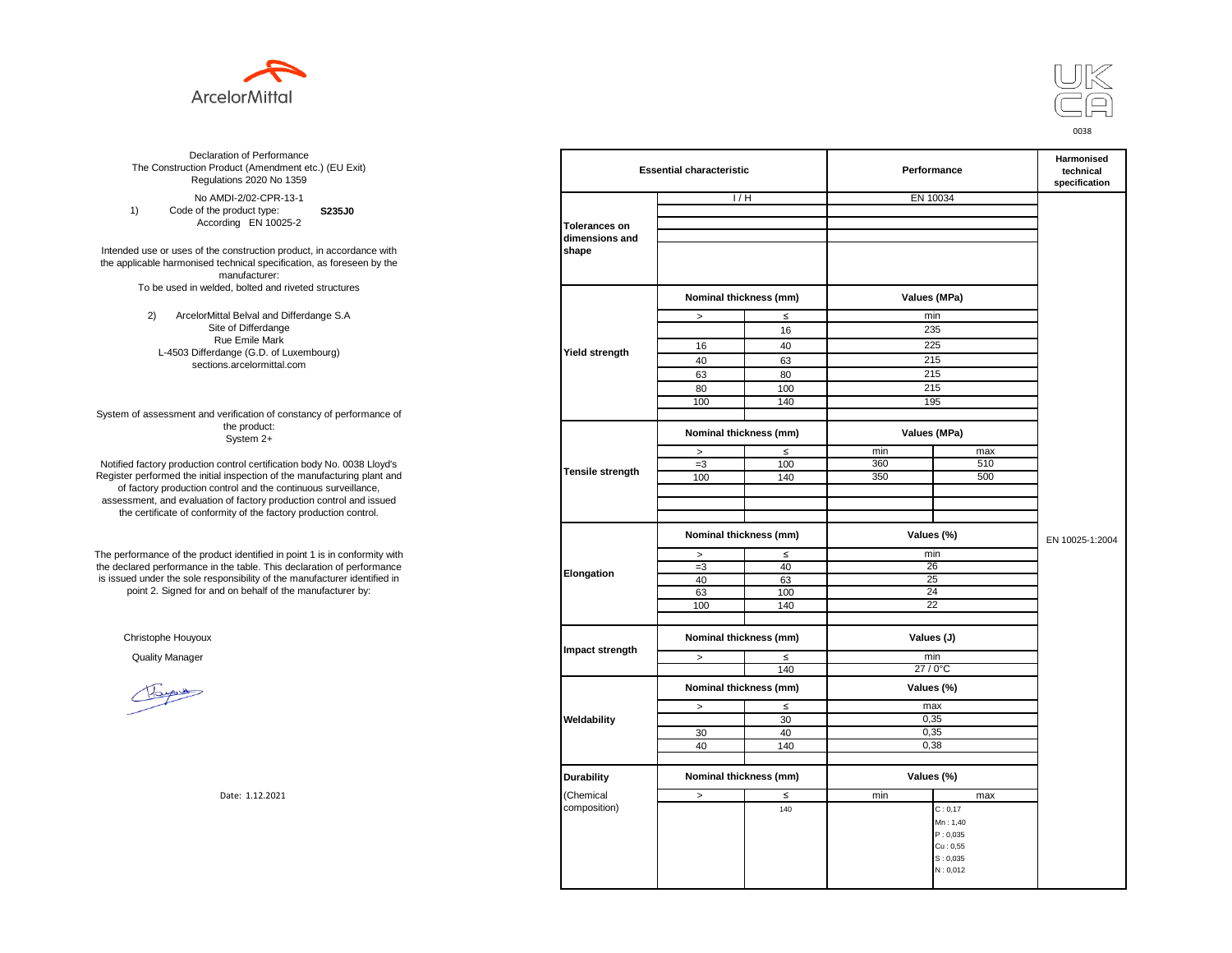



**S235J0** No AMDI-2/02-CPR-13-1 1) Code of the product type: According EN 10025-2

Intended use or uses of the construction product, in accordance with the applicable harmonised technical specification, as foreseen by the manufacturer: To be used in welded, bolted and riveted structures

> 2) ArcelorMittal Belval and Differdange S.A Site of Differdange Rue Emile Mark L-4503 Differdange (G.D. of Luxembourg) sections.arcelormittal.com

System of assessment and verification of constancy of performance of the product: System 2+

Notified factory production control certification body No. 0038 Lloyd's Register performed the initial inspection of the manufacturing plant and of factory production control and the continuous surveillance, assessment, and evaluation of factory production control and issued the certificate of conformity of the factory production control.

The performance of the product identified in point 1 is in conformity with the declared performance in the table. This declaration of performance is issued under the sole responsibility of the manufacturer identified in point 2. Signed for and on behalf of the manufacturer by:

Christophe Houyoux

| ation of Performance<br>oduct (Amendment etc.) (EU Exit)<br>ations 2020 No 1359                                               | <b>Essential characteristic</b> |                        |        | Performance  | Harmonised<br>technical<br>specification |                 |
|-------------------------------------------------------------------------------------------------------------------------------|---------------------------------|------------------------|--------|--------------|------------------------------------------|-----------------|
| /IDI-2/02-CPR-13-1                                                                                                            |                                 | 1/H                    |        | EN 10034     |                                          |                 |
| product type:<br>S235J0                                                                                                       |                                 |                        |        |              |                                          |                 |
| rding EN 10025-2                                                                                                              | <b>Tolerances on</b>            |                        |        |              |                                          |                 |
| construction product, in accordance with<br>echnical specification, as foreseen by the                                        | dimensions and<br>shape         |                        |        |              |                                          |                 |
| manufacturer:<br>ed, bolted and riveted structures                                                                            |                                 |                        |        |              |                                          |                 |
|                                                                                                                               |                                 | Nominal thickness (mm) |        | Values (MPa) |                                          |                 |
| tal Belval and Differdange S.A                                                                                                |                                 | $\, >$                 | $\leq$ | min          |                                          |                 |
| e of Differdange                                                                                                              |                                 |                        | 16     | 235          |                                          |                 |
| ue Emile Mark                                                                                                                 |                                 | 16                     | 40     | 225          |                                          |                 |
| ange (G.D. of Luxembourg)                                                                                                     | <b>Yield strength</b>           | 40                     | 63     | 215          |                                          |                 |
| ns.arcelormittal.com                                                                                                          |                                 | 63                     | 80     | 215          |                                          |                 |
|                                                                                                                               |                                 | 80                     | 100    | 215          |                                          |                 |
|                                                                                                                               |                                 | 100                    | 140    | 195          |                                          |                 |
| verification of constancy of performance of                                                                                   |                                 |                        |        |              |                                          |                 |
| the product:<br>System 2+                                                                                                     |                                 | Nominal thickness (mm) |        |              | Values (MPa)                             |                 |
|                                                                                                                               |                                 | $\, >$                 | $\leq$ | min          | max                                      |                 |
| control certification body No. 0038 Lloyd's                                                                                   |                                 | $=3$                   | 100    | 360          | 510                                      |                 |
| inspection of the manufacturing plant and                                                                                     | <b>Tensile strength</b>         | 100                    | 140    | 350          | 500                                      |                 |
| ntrol and the continuous surveillance,<br>of factory production control and issued<br>mity of the factory production control. |                                 |                        |        |              |                                          |                 |
|                                                                                                                               |                                 | Nominal thickness (mm) |        |              | Values (%)                               | EN 10025-1:2004 |
| uct identified in point 1 is in conformity with                                                                               |                                 | $\,>$                  | $\leq$ | min          |                                          |                 |
| the table. This declaration of performance                                                                                    | Elongation                      | $=3$                   | 40     | 26           |                                          |                 |
| ponsibility of the manufacturer identified in                                                                                 |                                 | 40                     | 63     | 25           |                                          |                 |
| d on behalf of the manufacturer by:                                                                                           |                                 | 63                     | 100    | 24           |                                          |                 |
|                                                                                                                               |                                 | 100                    | 140    | 22           |                                          |                 |
|                                                                                                                               |                                 |                        |        |              |                                          |                 |
|                                                                                                                               | Impact strength                 | Nominal thickness (mm) |        | Values (J)   |                                          |                 |
|                                                                                                                               |                                 | $\, >$                 | ≤      | min          |                                          |                 |
|                                                                                                                               |                                 |                        | 140    | 27 / 0°C     |                                          |                 |
|                                                                                                                               |                                 | Nominal thickness (mm) |        |              | Values (%)                               |                 |
|                                                                                                                               |                                 | $\, >$                 | $\leq$ | max          |                                          |                 |
|                                                                                                                               | Weldability                     |                        | 30     | 0,35         |                                          |                 |
|                                                                                                                               |                                 | 30                     | 40     | 0,35         |                                          |                 |
|                                                                                                                               |                                 | 40                     | 140    | 0,38         |                                          |                 |
|                                                                                                                               |                                 |                        |        |              |                                          |                 |
|                                                                                                                               | <b>Durability</b>               | Nominal thickness (mm) |        |              | Values (%)                               |                 |
| Date: 1.12.2021                                                                                                               | (Chemical                       | $\geq$                 | ≤      | min          | max                                      |                 |
|                                                                                                                               | composition)                    |                        | 140    |              | C: 0, 17                                 |                 |
|                                                                                                                               |                                 |                        |        |              | Mn: 1,40                                 |                 |
|                                                                                                                               |                                 |                        |        |              | P: 0,035                                 |                 |
|                                                                                                                               |                                 |                        |        |              | Cu: 0,55                                 |                 |
|                                                                                                                               |                                 |                        |        |              | S: 0,035<br>N: 0,012                     |                 |
|                                                                                                                               |                                 |                        |        |              |                                          |                 |
|                                                                                                                               |                                 |                        |        |              |                                          |                 |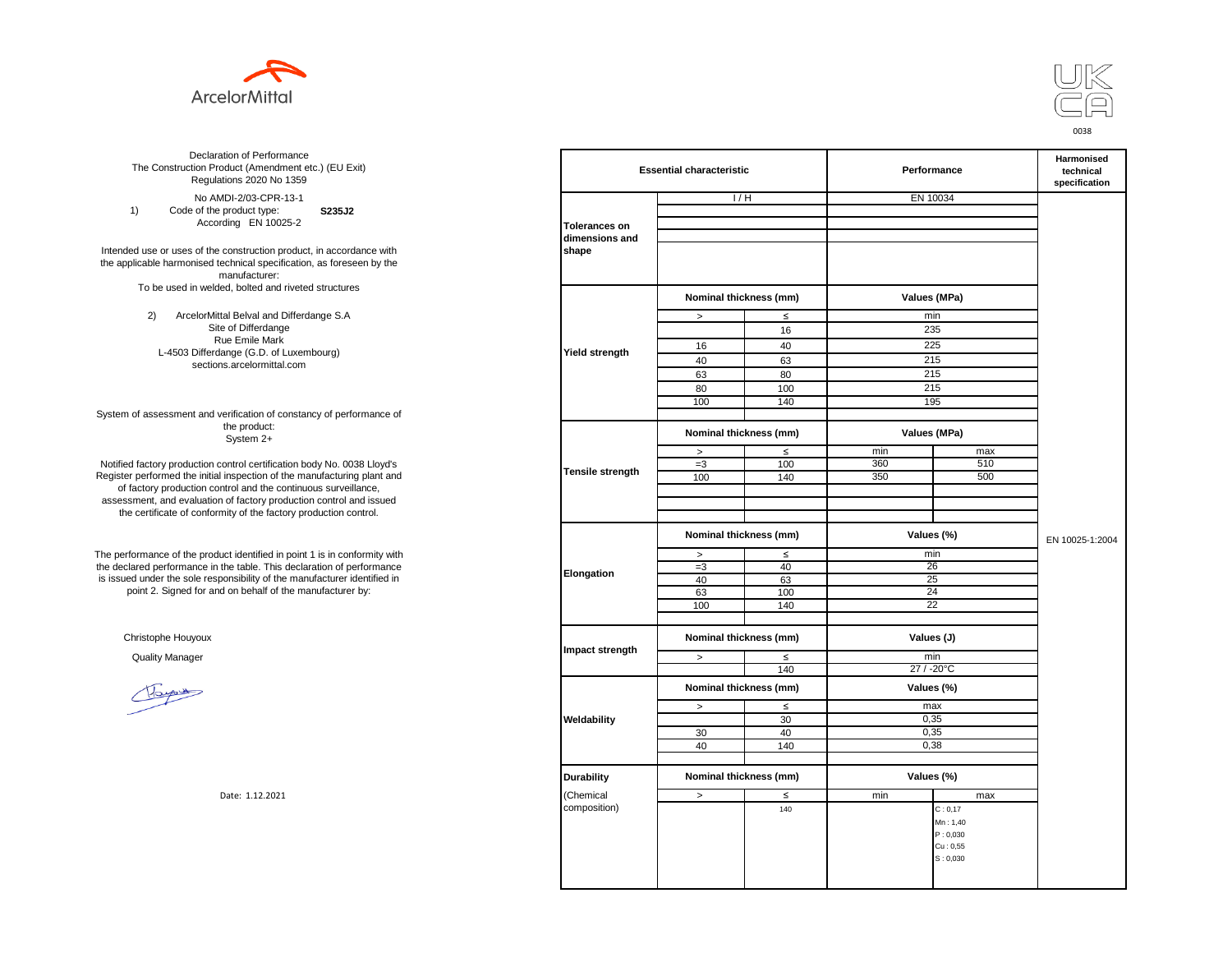



**S235J2** No AMDI-2/03-CPR-13-1 1) Code of the product type: According EN 10025-2

Intended use or uses of the construction product, in accordance with the applicable harmonised technical specification, as foreseen by the manufacturer: To be used in welded, bolted and riveted structures

> 2) ArcelorMittal Belval and Differdange S.A Site of Differdange Rue Emile Mark L-4503 Differdange (G.D. of Luxembourg) sections.arcelormittal.com

System of assessment and verification of constancy of performance of the product: System 2+

Notified factory production control certification body No. 0038 Lloyd's Register performed the initial inspection of the manufacturing plant and of factory production control and the continuous surveillance, assessment, and evaluation of factory production control and issued the certificate of conformity of the factory production control.

The performance of the product identified in point 1 is in conformity with the declared performance in the table. This declaration of performance is issued under the sole responsibility of the manufacturer identified in point 2. Signed for and on behalf of the manufacturer by:

Christophe Houyoux

| ation of Performance<br>oduct (Amendment etc.) (EU Exit)<br>ations 2020 No 1359                         |                         | <b>Essential characteristic</b> |                        | Performance     | Harmonised<br>technical<br>specification |                 |  |
|---------------------------------------------------------------------------------------------------------|-------------------------|---------------------------------|------------------------|-----------------|------------------------------------------|-----------------|--|
| /IDI-2/03-CPR-13-1                                                                                      |                         | 1/H                             |                        | EN 10034        |                                          |                 |  |
| product type:<br>S235J2                                                                                 |                         |                                 |                        |                 |                                          |                 |  |
| rding EN 10025-2                                                                                        | <b>Tolerances on</b>    |                                 |                        |                 |                                          |                 |  |
|                                                                                                         | dimensions and          |                                 |                        |                 |                                          |                 |  |
| construction product, in accordance with<br>echnical specification, as foreseen by the<br>manufacturer: | shape                   |                                 |                        |                 |                                          |                 |  |
| ed, bolted and riveted structures                                                                       |                         |                                 | Nominal thickness (mm) |                 | Values (MPa)                             |                 |  |
| tal Belval and Differdange S.A                                                                          |                         | $\, >$                          | $\leq$                 | min             |                                          |                 |  |
| e of Differdange                                                                                        |                         |                                 | 16                     | 235             |                                          |                 |  |
| ue Emile Mark                                                                                           |                         | 16                              | 40                     | 225             |                                          |                 |  |
| ange (G.D. of Luxembourg)                                                                               | Yield strength          | 40                              | 63                     | 215             |                                          |                 |  |
| ns.arcelormittal.com                                                                                    |                         | 63                              | 80                     | 215             |                                          |                 |  |
|                                                                                                         |                         | 80                              | 100                    | 215             |                                          |                 |  |
|                                                                                                         |                         | 100                             | 140                    | 195             |                                          |                 |  |
| verification of constancy of performance of                                                             |                         |                                 |                        |                 |                                          |                 |  |
| the product:<br>System 2+                                                                               |                         | Nominal thickness (mm)          |                        | Values (MPa)    |                                          |                 |  |
|                                                                                                         |                         | $\,$                            | $\leq$                 | min             | max                                      |                 |  |
| control certification body No. 0038 Lloyd's                                                             |                         | $=3$                            | 100                    | 360             | 510                                      |                 |  |
| inspection of the manufacturing plant and                                                               | <b>Tensile strength</b> | 100                             | 140                    | 350             | 500                                      |                 |  |
| ntrol and the continuous surveillance,                                                                  |                         |                                 |                        |                 |                                          |                 |  |
| of factory production control and issued                                                                |                         |                                 |                        |                 |                                          |                 |  |
| mity of the factory production control.                                                                 |                         |                                 |                        |                 |                                          |                 |  |
|                                                                                                         |                         | Nominal thickness (mm)          |                        | Values (%)      |                                          | EN 10025-1:2004 |  |
| uct identified in point 1 is in conformity with                                                         |                         | $\,>\,$                         | $\leq$                 | min             |                                          |                 |  |
| the table. This declaration of performance                                                              |                         | $=3$                            | 40                     | 26              |                                          |                 |  |
| ponsibility of the manufacturer identified in                                                           | Elongation              | 40                              | 63                     | 25              |                                          |                 |  |
| d on behalf of the manufacturer by:                                                                     |                         | 63                              | 100                    | 24              |                                          |                 |  |
|                                                                                                         |                         | 100                             | 140                    | $\overline{22}$ |                                          |                 |  |
|                                                                                                         |                         |                                 |                        |                 |                                          |                 |  |
|                                                                                                         |                         | Nominal thickness (mm)          |                        | Values (J)      |                                          |                 |  |
|                                                                                                         | Impact strength         | $\,>$                           | $\leq$                 | min             |                                          |                 |  |
|                                                                                                         |                         |                                 | 140                    | 27 / -20°C      |                                          |                 |  |
|                                                                                                         |                         | Nominal thickness (mm)          |                        | Values (%)      |                                          |                 |  |
|                                                                                                         |                         | $\,$                            | $\leq$                 | max             |                                          |                 |  |
|                                                                                                         | Weldability             |                                 | 30                     | 0,35            |                                          |                 |  |
|                                                                                                         |                         | 30                              | 40                     | 0,35            |                                          |                 |  |
|                                                                                                         |                         | 40                              | 140                    | 0,38            |                                          |                 |  |
|                                                                                                         |                         |                                 |                        |                 |                                          |                 |  |
|                                                                                                         | <b>Durability</b>       | Nominal thickness (mm)          |                        | Values (%)      |                                          |                 |  |
| Date: 1.12.2021                                                                                         | (Chemical               | $\,>$                           | $\leq$                 | min             | max                                      |                 |  |
|                                                                                                         | composition)            |                                 | 140                    |                 | C: 0, 17                                 |                 |  |
|                                                                                                         |                         |                                 |                        |                 | Mn: 1,40                                 |                 |  |
|                                                                                                         |                         |                                 |                        |                 | P: 0,030                                 |                 |  |
|                                                                                                         |                         |                                 |                        |                 | Cu: 0,55<br>S: 0,030                     |                 |  |
|                                                                                                         |                         |                                 |                        |                 |                                          |                 |  |
|                                                                                                         |                         |                                 |                        |                 |                                          |                 |  |
|                                                                                                         |                         |                                 |                        |                 |                                          |                 |  |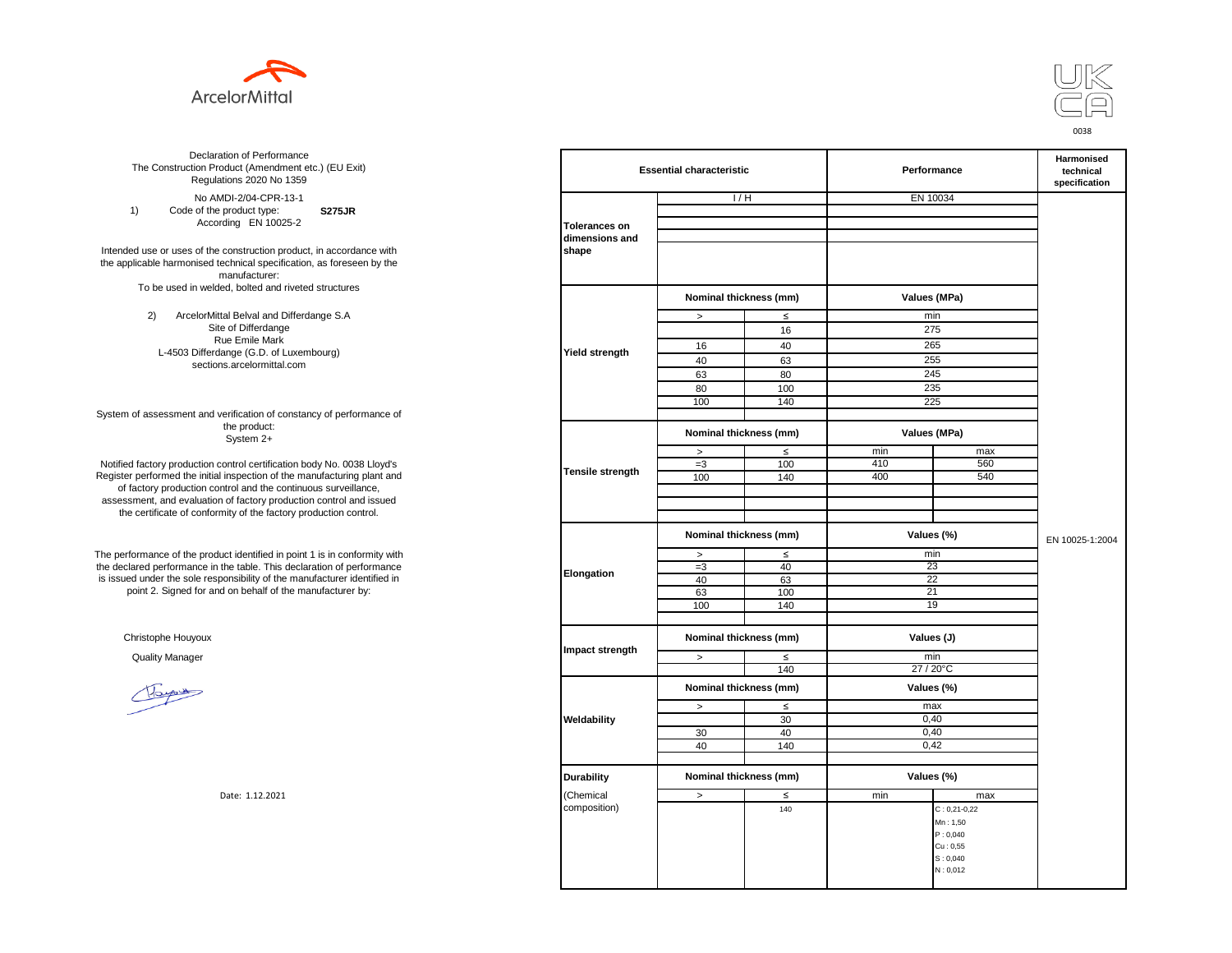



**S275JR** No AMDI-2/04-CPR-13-1 1) Code of the product type: According EN 10025-2

Intended use or uses of the construction product, in accordance with the applicable harmonised technical specification, as foreseen by the manufacturer: To be used in welded, bolted and riveted structures

> 2) ArcelorMittal Belval and Differdange S.A Site of Differdange Rue Emile Mark L-4503 Differdange (G.D. of Luxembourg) sections.arcelormittal.com

System of assessment and verification of constancy of performance of the product: System 2+

Notified factory production control certification body No. 0038 Lloyd's Register performed the initial inspection of the manufacturing plant and of factory production control and the continuous surveillance, assessment, and evaluation of factory production control and issued the certificate of conformity of the factory production control.

The performance of the product identified in point 1 is in conformity with the declared performance in the table. This declaration of performance is issued under the sole responsibility of the manufacturer identified in point 2. Signed for and on behalf of the manufacturer by:

Christophe Houyoux

| ation of Performance<br>oduct (Amendment etc.) (EU Exit)<br>ations 2020 No 1359                         | <b>Essential characteristic</b> |                        |        | Performance  | Harmonised<br>technical<br>specification |                 |
|---------------------------------------------------------------------------------------------------------|---------------------------------|------------------------|--------|--------------|------------------------------------------|-----------------|
| /IDI-2/04-CPR-13-1                                                                                      |                                 | 1/H                    |        | EN 10034     |                                          |                 |
| product type:<br><b>S275JR</b>                                                                          |                                 |                        |        |              |                                          |                 |
| rding EN 10025-2                                                                                        | <b>Tolerances on</b>            |                        |        |              |                                          |                 |
|                                                                                                         | dimensions and                  |                        |        |              |                                          |                 |
| construction product, in accordance with<br>echnical specification, as foreseen by the<br>manufacturer: | shape                           |                        |        |              |                                          |                 |
| ed, bolted and riveted structures                                                                       |                                 | Nominal thickness (mm) |        | Values (MPa) |                                          |                 |
| tal Belval and Differdange S.A                                                                          |                                 | $\, >$                 | $\leq$ | min          |                                          |                 |
| e of Differdange                                                                                        |                                 |                        | 16     | 275          |                                          |                 |
| ue Emile Mark                                                                                           |                                 |                        |        |              |                                          |                 |
| ange (G.D. of Luxembourg)                                                                               | Yield strength                  | 16                     | 40     | 265          |                                          |                 |
| ns.arcelormittal.com                                                                                    |                                 | 40                     | 63     | 255          |                                          |                 |
|                                                                                                         |                                 | 63                     | 80     | 245          |                                          |                 |
|                                                                                                         |                                 | 80                     | 100    | 235          |                                          |                 |
|                                                                                                         |                                 | 100                    | 140    | 225          |                                          |                 |
| verification of constancy of performance of                                                             |                                 |                        |        |              |                                          |                 |
| the product:<br>System 2+                                                                               |                                 | Nominal thickness (mm) |        | Values (MPa) |                                          |                 |
|                                                                                                         |                                 | $\,$                   | $\leq$ | min          | max                                      |                 |
| control certification body No. 0038 Lloyd's                                                             |                                 | $=3$                   | 100    | 410          | 560                                      |                 |
| inspection of the manufacturing plant and                                                               | Tensile strength                | 100                    | 140    | 400          | 540                                      |                 |
| ntrol and the continuous surveillance,                                                                  |                                 |                        |        |              |                                          |                 |
| of factory production control and issued                                                                |                                 |                        |        |              |                                          |                 |
| mity of the factory production control.                                                                 |                                 |                        |        |              |                                          |                 |
|                                                                                                         |                                 | Nominal thickness (mm) |        | Values (%)   |                                          |                 |
|                                                                                                         |                                 |                        |        |              |                                          | EN 10025-1:2004 |
| uct identified in point 1 is in conformity with                                                         |                                 | $\, >$                 | $\leq$ | min          |                                          |                 |
| the table. This declaration of performance                                                              | Elongation                      | $=3$                   | 40     | 23           |                                          |                 |
| ponsibility of the manufacturer identified in                                                           |                                 | 40                     | 63     | 22           |                                          |                 |
| d on behalf of the manufacturer by:                                                                     |                                 | 63                     | 100    | 21           |                                          |                 |
|                                                                                                         |                                 | 100                    | 140    | 19           |                                          |                 |
|                                                                                                         |                                 |                        |        |              |                                          |                 |
|                                                                                                         |                                 | Nominal thickness (mm) |        | Values (J)   |                                          |                 |
|                                                                                                         | Impact strength                 |                        |        |              |                                          |                 |
|                                                                                                         |                                 | $\,$                   | $\leq$ | min          |                                          |                 |
|                                                                                                         |                                 |                        | 140    | 27 / 20°C    |                                          |                 |
|                                                                                                         |                                 | Nominal thickness (mm) |        |              | Values (%)                               |                 |
|                                                                                                         |                                 | $\,$                   | $\leq$ | max          |                                          |                 |
|                                                                                                         | Weldability                     |                        | 30     | 0,40         |                                          |                 |
|                                                                                                         |                                 | 30                     | 40     | 0.40         |                                          |                 |
|                                                                                                         |                                 | 40                     | 140    | 0,42         |                                          |                 |
|                                                                                                         |                                 |                        |        |              |                                          |                 |
|                                                                                                         |                                 | Nominal thickness (mm) |        | Values (%)   |                                          |                 |
|                                                                                                         | <b>Durability</b>               |                        |        |              |                                          |                 |
| Date: 1.12.2021                                                                                         | (Chemical                       | $\geq$                 | $\leq$ | min          | max                                      |                 |
|                                                                                                         | composition)                    |                        | 140    |              | $C: 0,21-0,22$                           |                 |
|                                                                                                         |                                 |                        |        |              | Mn: 1,50                                 |                 |
|                                                                                                         |                                 |                        |        |              | P: 0,040                                 |                 |
|                                                                                                         |                                 |                        |        |              | Cu: 0.55                                 |                 |
|                                                                                                         |                                 |                        |        |              | S: 0,040                                 |                 |
|                                                                                                         |                                 |                        |        |              | N: 0,012                                 |                 |
|                                                                                                         |                                 |                        |        |              |                                          |                 |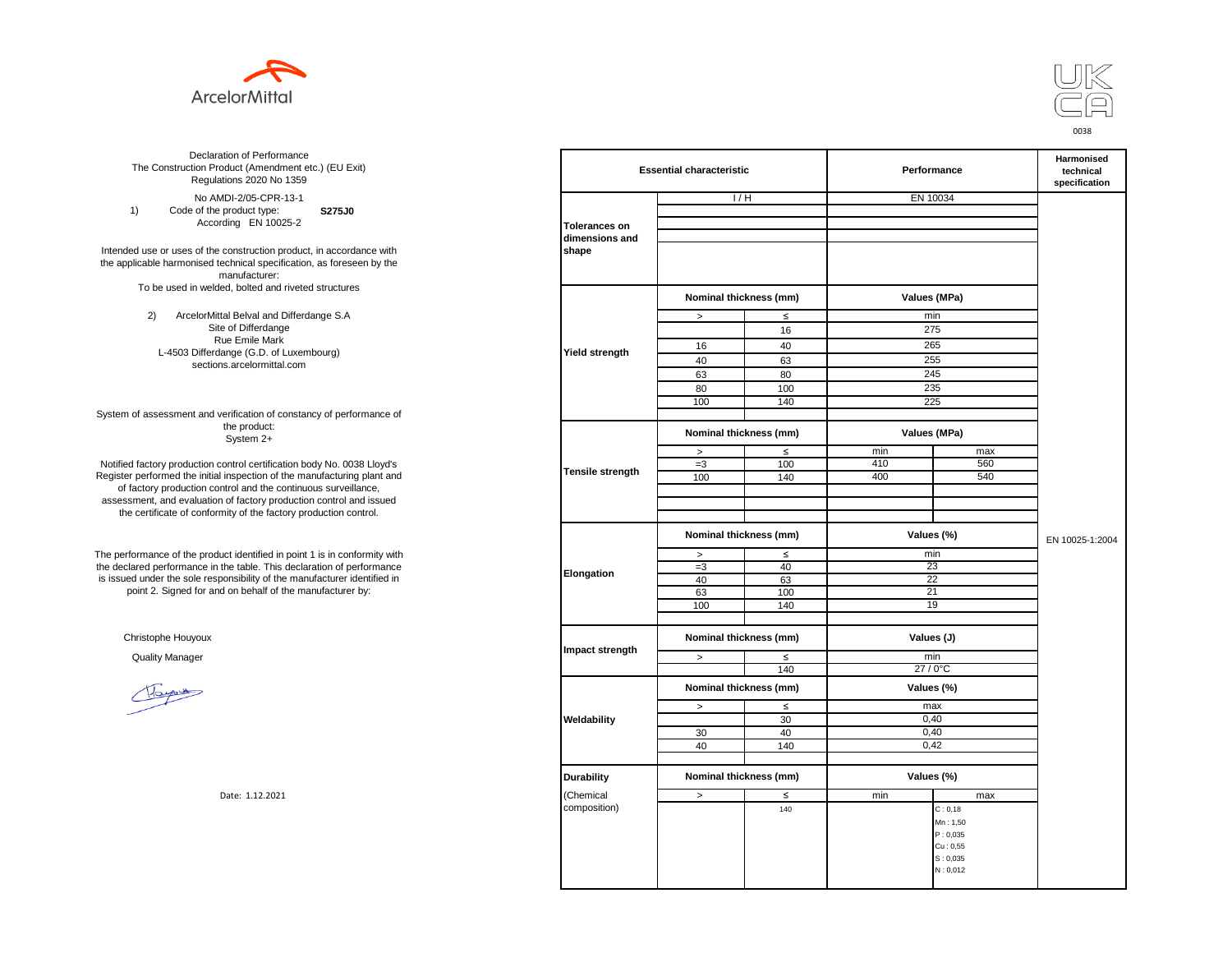



**S275J0**  No AMDI-2/05-CPR-13-1 1) Code of the product type: According EN 10025-2

Intended use or uses of the construction product, in accordance with the applicable harmonised technical specification, as foreseen by the manufacturer: To be used in welded, bolted and riveted structures

> 2) ArcelorMittal Belval and Differdange S.A Site of Differdange Rue Emile Mark L-4503 Differdange (G.D. of Luxembourg) sections.arcelormittal.com

System of assessment and verification of constancy of performance of the product: System 2+

Notified factory production control certification body No. 0038 Lloyd's Register performed the initial inspection of the manufacturing plant and of factory production control and the continuous surveillance, assessment, and evaluation of factory production control and issued the certificate of conformity of the factory production control.

The performance of the product identified in point 1 is in conformity with the declared performance in the table. This declaration of performance is issued under the sole responsibility of the manufacturer identified in point 2. Signed for and on behalf of the manufacturer by:

Christophe Houyoux

| ation of Performance<br>oduct (Amendment etc.) (EU Exit)<br>ations 2020 No 1359                         | <b>Essential characteristic</b> |                        |        | Performance  | Harmonised<br>technical<br>specification |                 |
|---------------------------------------------------------------------------------------------------------|---------------------------------|------------------------|--------|--------------|------------------------------------------|-----------------|
| /IDI-2/05-CPR-13-1                                                                                      |                                 | 1/H                    |        |              | EN 10034                                 |                 |
| product type:<br>S275J0                                                                                 |                                 |                        |        |              |                                          |                 |
| rding EN 10025-2                                                                                        | <b>Tolerances on</b>            |                        |        |              |                                          |                 |
|                                                                                                         | dimensions and                  |                        |        |              |                                          |                 |
| construction product, in accordance with<br>echnical specification, as foreseen by the<br>manufacturer: | shape                           |                        |        |              |                                          |                 |
| ed, bolted and riveted structures                                                                       |                                 | Nominal thickness (mm) |        |              | Values (MPa)                             |                 |
| tal Belval and Differdange S.A                                                                          |                                 | $\, >$                 | $\leq$ |              | min                                      |                 |
| e of Differdange                                                                                        |                                 |                        | 16     | 275          |                                          |                 |
| ue Emile Mark                                                                                           |                                 |                        |        |              |                                          |                 |
| ange (G.D. of Luxembourg)                                                                               | Yield strength                  | 16                     | 40     | 265          |                                          |                 |
| ns.arcelormittal.com                                                                                    |                                 | 40                     | 63     | 255          |                                          |                 |
|                                                                                                         |                                 | 63                     | 80     | 245          |                                          |                 |
|                                                                                                         |                                 | 80                     | 100    | 235          |                                          |                 |
|                                                                                                         |                                 | 100                    | 140    |              | 225                                      |                 |
| verification of constancy of performance of                                                             |                                 |                        |        |              |                                          |                 |
| the product:<br>System 2+                                                                               |                                 | Nominal thickness (mm) |        | Values (MPa) |                                          |                 |
|                                                                                                         |                                 | $\,$                   | $\leq$ | min          | max                                      |                 |
| control certification body No. 0038 Lloyd's                                                             |                                 | $=3$                   | 100    | 410          | 560                                      |                 |
| inspection of the manufacturing plant and                                                               | Tensile strength                | 100                    | 140    | 400          | 540                                      |                 |
| ntrol and the continuous surveillance,                                                                  |                                 |                        |        |              |                                          |                 |
| of factory production control and issued<br>mity of the factory production control.                     |                                 |                        |        |              |                                          |                 |
|                                                                                                         |                                 | Nominal thickness (mm) |        | Values (%)   |                                          |                 |
|                                                                                                         |                                 |                        |        |              |                                          | EN 10025-1:2004 |
| uct identified in point 1 is in conformity with                                                         |                                 | $\, >$                 | $\leq$ | min          |                                          |                 |
| the table. This declaration of performance                                                              | Elongation                      | $=3$                   | 40     | 23           |                                          |                 |
| ponsibility of the manufacturer identified in                                                           |                                 | 40                     | 63     |              | 22                                       |                 |
| d on behalf of the manufacturer by:                                                                     |                                 | 63                     | 100    | 21           |                                          |                 |
|                                                                                                         |                                 | 100                    | 140    |              | 19                                       |                 |
|                                                                                                         |                                 |                        |        |              |                                          |                 |
|                                                                                                         |                                 | Nominal thickness (mm) |        |              | Values (J)                               |                 |
|                                                                                                         | Impact strength                 | $\,$                   | $\leq$ | min          |                                          |                 |
|                                                                                                         |                                 |                        | 140    |              | 27 / 0°C                                 |                 |
|                                                                                                         |                                 | Nominal thickness (mm) |        |              | Values (%)                               |                 |
|                                                                                                         |                                 | $\,$                   | $\leq$ | max          |                                          |                 |
|                                                                                                         | Weldability                     |                        | 30     |              | 0,40                                     |                 |
|                                                                                                         |                                 | 30                     | 40     | 0.40         |                                          |                 |
|                                                                                                         |                                 | 40                     | 140    |              | 0,42                                     |                 |
|                                                                                                         |                                 |                        |        |              |                                          |                 |
|                                                                                                         | <b>Durability</b>               | Nominal thickness (mm) |        |              | Values (%)                               |                 |
| Date: 1.12.2021                                                                                         | (Chemical                       | $\geq$                 | $\leq$ | min          | max                                      |                 |
|                                                                                                         | composition)                    |                        |        |              |                                          |                 |
|                                                                                                         |                                 |                        | 140    |              | C: 0, 18                                 |                 |
|                                                                                                         |                                 |                        |        |              | Mn: 1,50                                 |                 |
|                                                                                                         |                                 |                        |        |              | P: 0,035                                 |                 |
|                                                                                                         |                                 |                        |        |              | Cu: 0.55                                 |                 |
|                                                                                                         |                                 |                        |        |              | S: 0,035<br>N: 0,012                     |                 |
|                                                                                                         |                                 |                        |        |              |                                          |                 |
|                                                                                                         |                                 |                        |        |              |                                          |                 |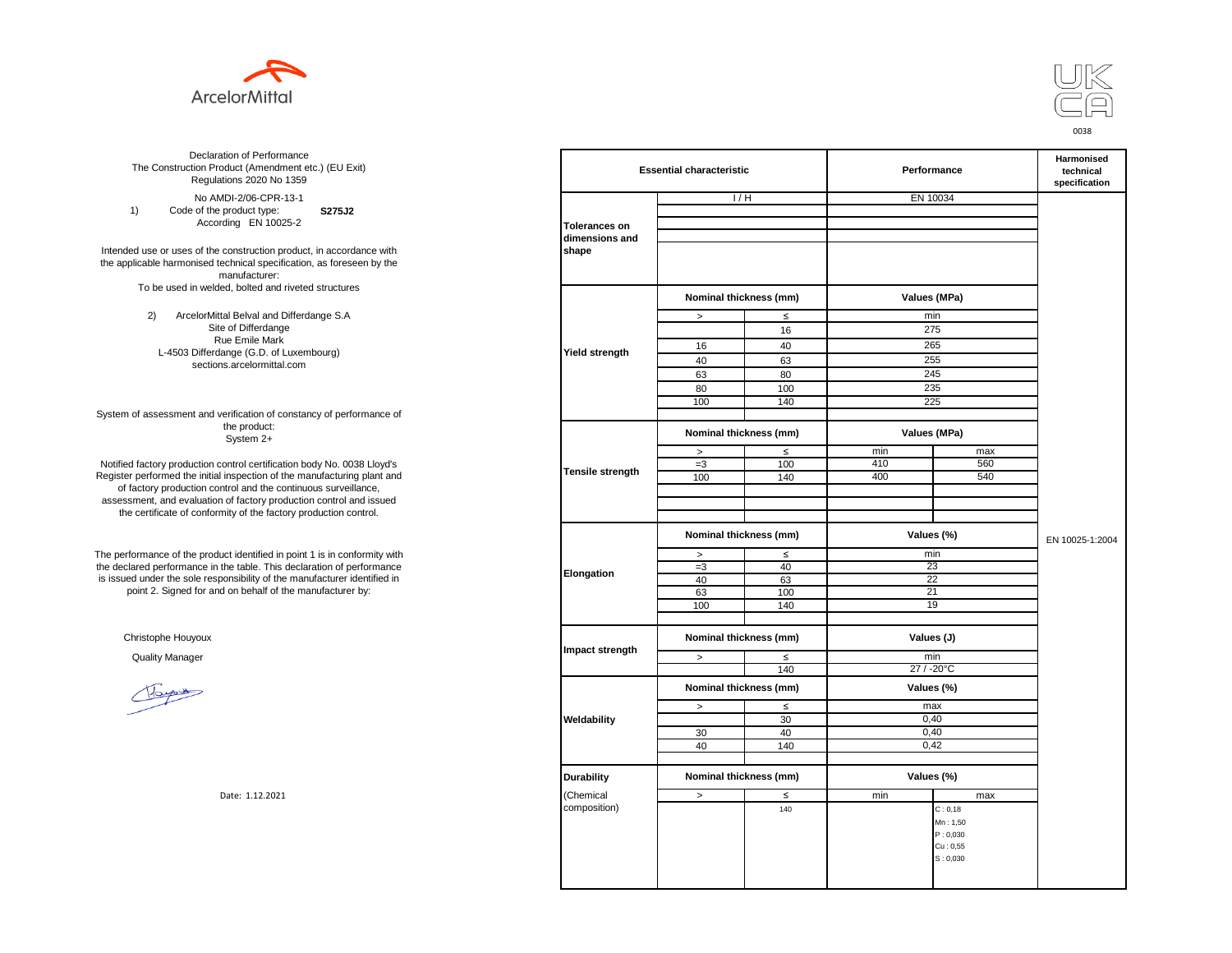



**S275J2**  No AMDI-2/06-CPR-13-1 1) Code of the product type: According EN 10025-2

Intended use or uses of the construction product, in accordance with the applicable harmonised technical specification, as foreseen by the manufacturer: To be used in welded, bolted and riveted structures

> 2) ArcelorMittal Belval and Differdange S.A Site of Differdange Rue Emile Mark L-4503 Differdange (G.D. of Luxembourg) sections.arcelormittal.com

System of assessment and verification of constancy of performance of the product: System 2+

Notified factory production control certification body No. 0038 Lloyd's Register performed the initial inspection of the manufacturing plant and of factory production control and the continuous surveillance, assessment, and evaluation of factory production control and issued the certificate of conformity of the factory production control.

The performance of the product identified in point 1 is in conformity with the declared performance in the table. This declaration of performance is issued under the sole responsibility of the manufacturer identified in point 2. Signed for and on behalf of the manufacturer by:

Christophe Houyoux

| ation of Performance<br>oduct (Amendment etc.) (EU Exit)<br>ations 2020 No 1359                                               | <b>Essential characteristic</b> |                        |            | Performance | Harmonised<br>technical<br>specification |                 |
|-------------------------------------------------------------------------------------------------------------------------------|---------------------------------|------------------------|------------|-------------|------------------------------------------|-----------------|
| /IDI-2/06-CPR-13-1                                                                                                            |                                 |                        | 1/H        | EN 10034    |                                          |                 |
| product type:<br>S275J2                                                                                                       |                                 |                        |            |             |                                          |                 |
| rding EN 10025-2                                                                                                              | <b>Tolerances on</b>            |                        |            |             |                                          |                 |
| construction product, in accordance with<br>echnical specification, as foreseen by the<br>manufacturer:                       | dimensions and<br>shape         |                        |            |             |                                          |                 |
| ed, bolted and riveted structures                                                                                             |                                 |                        |            |             |                                          |                 |
|                                                                                                                               |                                 | Nominal thickness (mm) |            |             | Values (MPa)                             |                 |
| tal Belval and Differdange S.A                                                                                                |                                 | $\, >$                 | $\leq$     | min         |                                          |                 |
| e of Differdange                                                                                                              |                                 |                        | 16         | 275         |                                          |                 |
| ue Emile Mark                                                                                                                 |                                 | 16                     | 40         | 265         |                                          |                 |
| ange (G.D. of Luxembourg)                                                                                                     | <b>Yield strength</b>           | 40                     | 63         | 255         |                                          |                 |
| ns.arcelormittal.com                                                                                                          |                                 | 63                     | 80         | 245         |                                          |                 |
|                                                                                                                               |                                 |                        |            | 235         |                                          |                 |
|                                                                                                                               |                                 | 80<br>100              | 100<br>140 | 225         |                                          |                 |
| verification of constancy of performance of                                                                                   |                                 |                        |            |             |                                          |                 |
| the product:<br>System 2+                                                                                                     |                                 | Nominal thickness (mm) |            |             | Values (MPa)                             |                 |
|                                                                                                                               |                                 | $\, >$                 | $\leq$     | min         | max                                      |                 |
| control certification body No. 0038 Lloyd's                                                                                   |                                 | $=3$                   | 100        | 410         | 560                                      |                 |
| inspection of the manufacturing plant and                                                                                     | <b>Tensile strength</b>         | 100                    | 140        | 400         | 540                                      |                 |
| ntrol and the continuous surveillance,<br>of factory production control and issued<br>mity of the factory production control. |                                 |                        |            |             |                                          |                 |
|                                                                                                                               |                                 | Nominal thickness (mm) |            |             | Values (%)                               | EN 10025-1:2004 |
| uct identified in point 1 is in conformity with                                                                               |                                 | $\,>$                  | $\leq$     | min         |                                          |                 |
| the table. This declaration of performance                                                                                    | Elongation                      | $=3$                   | 40         | 23          |                                          |                 |
| ponsibility of the manufacturer identified in                                                                                 |                                 | 40                     | 63         | 22          |                                          |                 |
| d on behalf of the manufacturer by:                                                                                           |                                 | 63                     | 100        | 21          |                                          |                 |
|                                                                                                                               |                                 | 100                    | 140        |             | 19                                       |                 |
|                                                                                                                               |                                 |                        |            |             |                                          |                 |
|                                                                                                                               |                                 | Nominal thickness (mm) |            |             | Values (J)                               |                 |
|                                                                                                                               | Impact strength                 | $\, >$                 | ≤          | min         |                                          |                 |
|                                                                                                                               |                                 |                        | 140        | 27 / -20°C  |                                          |                 |
|                                                                                                                               |                                 | Nominal thickness (mm) |            |             | Values (%)                               |                 |
|                                                                                                                               |                                 | $\, >$                 | $\leq$     | max         |                                          |                 |
|                                                                                                                               | Weldability                     |                        | 30         |             | 0,40                                     |                 |
|                                                                                                                               |                                 | 30                     | 40         |             | 0,40                                     |                 |
|                                                                                                                               |                                 | 40                     | 140        |             | 0,42                                     |                 |
|                                                                                                                               |                                 |                        |            |             |                                          |                 |
|                                                                                                                               | <b>Durability</b>               | Nominal thickness (mm) |            |             | Values (%)                               |                 |
| Date: 1.12.2021                                                                                                               | (Chemical                       | $\geq$                 | ≤          | min         | max                                      |                 |
|                                                                                                                               | composition)                    |                        | 140        |             | C: 0, 18                                 |                 |
|                                                                                                                               |                                 |                        |            |             | Mn: 1,50                                 |                 |
|                                                                                                                               |                                 |                        |            |             | P: 0,030                                 |                 |
|                                                                                                                               |                                 |                        |            |             | Cu: 0,55                                 |                 |
|                                                                                                                               |                                 |                        |            |             | S: 0,030                                 |                 |
|                                                                                                                               |                                 |                        |            |             |                                          |                 |
|                                                                                                                               |                                 |                        |            |             |                                          |                 |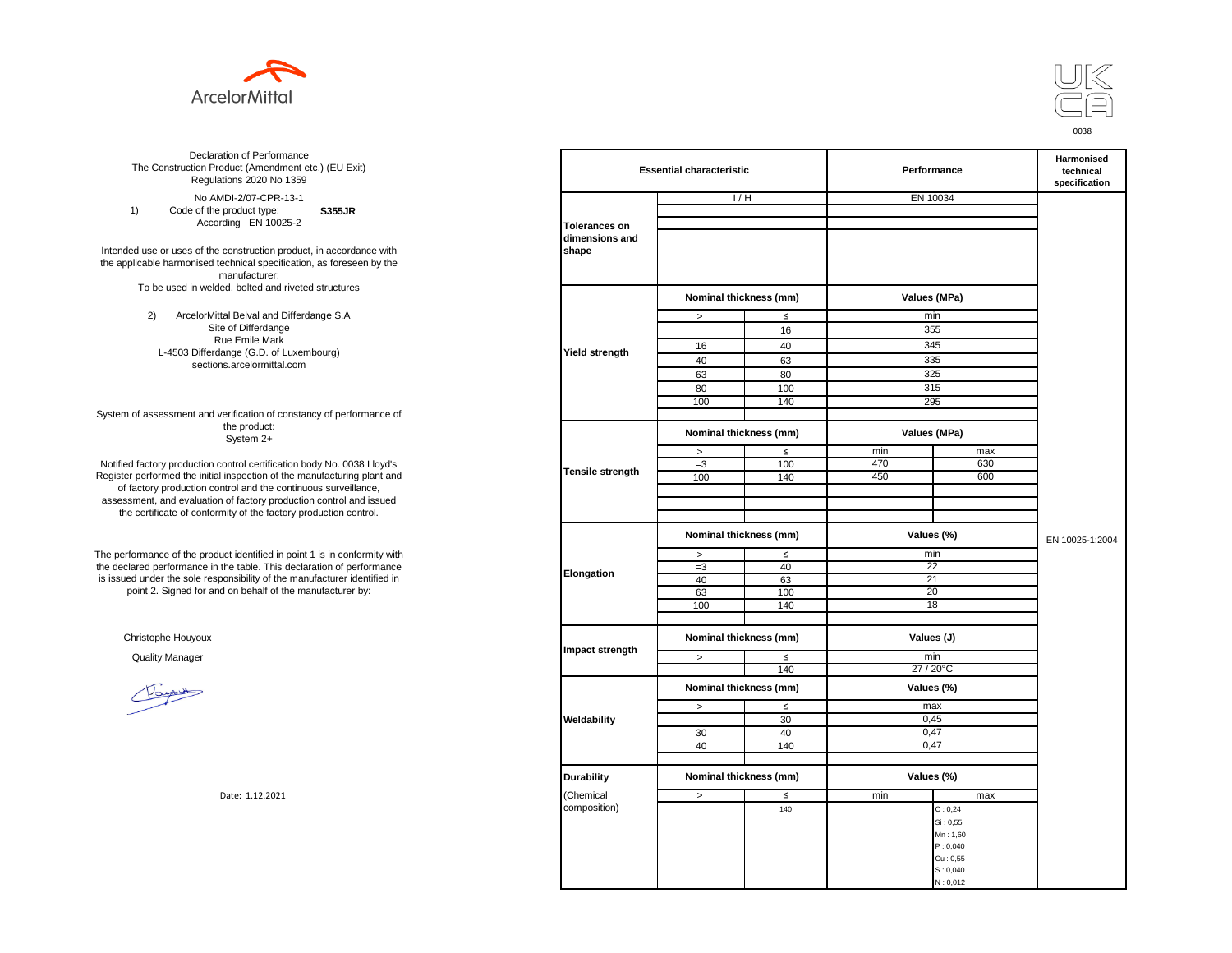



**S355JR**  No AMDI-2/07-CPR-13-1 1) Code of the product type: According EN 10025-2

Intended use or uses of the construction product, in accordance with the applicable harmonised technical specification, as foreseen by the manufacturer: To be used in welded, bolted and riveted structures

> 2) ArcelorMittal Belval and Differdange S.A Site of Differdange Rue Emile Mark L-4503 Differdange (G.D. of Luxembourg) sections.arcelormittal.com

System of assessment and verification of constancy of performance of the product: System 2+

Notified factory production control certification body No. 0038 Lloyd's Register performed the initial inspection of the manufacturing plant and of factory production control and the continuous surveillance, assessment, and evaluation of factory production control and issued the certificate of conformity of the factory production control.

The performance of the product identified in point 1 is in conformity with the declared performance in the table. This declaration of performance is issued under the sole responsibility of the manufacturer identified in point 2. Signed for and on behalf of the manufacturer by:

Christophe Houyoux

| ation of Performance<br>oduct (Amendment etc.) (EU Exit)<br>ations 2020 No 1359                         |                         | <b>Essential characteristic</b> |        | Performance  | Harmonised<br>technical<br>specification |                 |  |
|---------------------------------------------------------------------------------------------------------|-------------------------|---------------------------------|--------|--------------|------------------------------------------|-----------------|--|
| /IDI-2/07-CPR-13-1                                                                                      |                         | 1/H                             |        | EN 10034     |                                          |                 |  |
| product type:<br><b>S355JR</b>                                                                          |                         |                                 |        |              |                                          |                 |  |
| rding EN 10025-2                                                                                        | <b>Tolerances on</b>    |                                 |        |              |                                          |                 |  |
|                                                                                                         | dimensions and          |                                 |        |              |                                          |                 |  |
| construction product, in accordance with<br>echnical specification, as foreseen by the<br>manufacturer: | shape                   |                                 |        |              |                                          |                 |  |
| ed, bolted and riveted structures                                                                       |                         | Nominal thickness (mm)          |        | Values (MPa) |                                          |                 |  |
| tal Belval and Differdange S.A                                                                          |                         | $\, >$                          | $\leq$ | min          |                                          |                 |  |
| e of Differdange                                                                                        |                         |                                 | 16     | 355          |                                          |                 |  |
| ue Emile Mark                                                                                           |                         | 16                              | 40     | 345          |                                          |                 |  |
| ange (G.D. of Luxembourg)                                                                               | Yield strength          | 40                              | 63     | 335          |                                          |                 |  |
| ns.arcelormittal.com                                                                                    |                         | 63                              | 80     | 325          |                                          |                 |  |
|                                                                                                         |                         | 80                              | 100    | 315          |                                          |                 |  |
|                                                                                                         |                         |                                 |        | 295          |                                          |                 |  |
|                                                                                                         |                         | 100                             | 140    |              |                                          |                 |  |
| verification of constancy of performance of<br>the product:<br>System 2+                                |                         | Nominal thickness (mm)          |        | Values (MPa) |                                          |                 |  |
|                                                                                                         |                         | $\,$                            | $\leq$ | min          | max                                      |                 |  |
| control certification body No. 0038 Lloyd's                                                             |                         | $=3$                            | 100    | 470          | 630                                      |                 |  |
| inspection of the manufacturing plant and                                                               | <b>Tensile strength</b> | 100                             | 140    | 450          | 600                                      |                 |  |
| ntrol and the continuous surveillance,                                                                  |                         |                                 |        |              |                                          |                 |  |
| of factory production control and issued                                                                |                         |                                 |        |              |                                          |                 |  |
| mity of the factory production control.                                                                 |                         |                                 |        |              |                                          |                 |  |
|                                                                                                         |                         | Nominal thickness (mm)          |        | Values (%)   |                                          | EN 10025-1:2004 |  |
| uct identified in point 1 is in conformity with                                                         |                         | $\,>\,$                         | $\leq$ | min          |                                          |                 |  |
| the table. This declaration of performance                                                              |                         | $=3$                            | 40     | 22           |                                          |                 |  |
| ponsibility of the manufacturer identified in                                                           | Elongation              | 40                              | 63     | 21           |                                          |                 |  |
| d on behalf of the manufacturer by:                                                                     |                         | 63                              | 100    | 20           |                                          |                 |  |
|                                                                                                         |                         | 100                             | 140    | 18           |                                          |                 |  |
|                                                                                                         |                         |                                 |        |              |                                          |                 |  |
|                                                                                                         |                         | Nominal thickness (mm)          |        | Values (J)   |                                          |                 |  |
|                                                                                                         | Impact strength         | $\,>$                           | $\leq$ | min          |                                          |                 |  |
|                                                                                                         |                         |                                 | 140    | 27 / 20°C    |                                          |                 |  |
|                                                                                                         |                         | Nominal thickness (mm)          |        | Values (%)   |                                          |                 |  |
|                                                                                                         |                         | $\,$                            | $\leq$ | max          |                                          |                 |  |
|                                                                                                         | Weldability             |                                 | 30     | 0,45         |                                          |                 |  |
|                                                                                                         |                         | 30                              | 40     | 0,47         |                                          |                 |  |
|                                                                                                         |                         | 40                              | 140    | 0,47         |                                          |                 |  |
|                                                                                                         |                         |                                 |        |              |                                          |                 |  |
|                                                                                                         | <b>Durability</b>       | Nominal thickness (mm)          |        | Values (%)   |                                          |                 |  |
| Date: 1.12.2021                                                                                         | (Chemical               | $\,>$                           | $\leq$ | min          | max                                      |                 |  |
|                                                                                                         | composition)            |                                 | 140    |              | C: 0, 24                                 |                 |  |
|                                                                                                         |                         |                                 |        |              | Si: 0,55                                 |                 |  |
|                                                                                                         |                         |                                 |        |              | Mn: 1,60                                 |                 |  |
|                                                                                                         |                         |                                 |        |              | P: 0,040                                 |                 |  |
|                                                                                                         |                         |                                 |        |              | Cu: 0,55<br>S: 0,040                     |                 |  |
|                                                                                                         |                         |                                 |        |              | N: 0,012                                 |                 |  |
|                                                                                                         |                         |                                 |        |              |                                          |                 |  |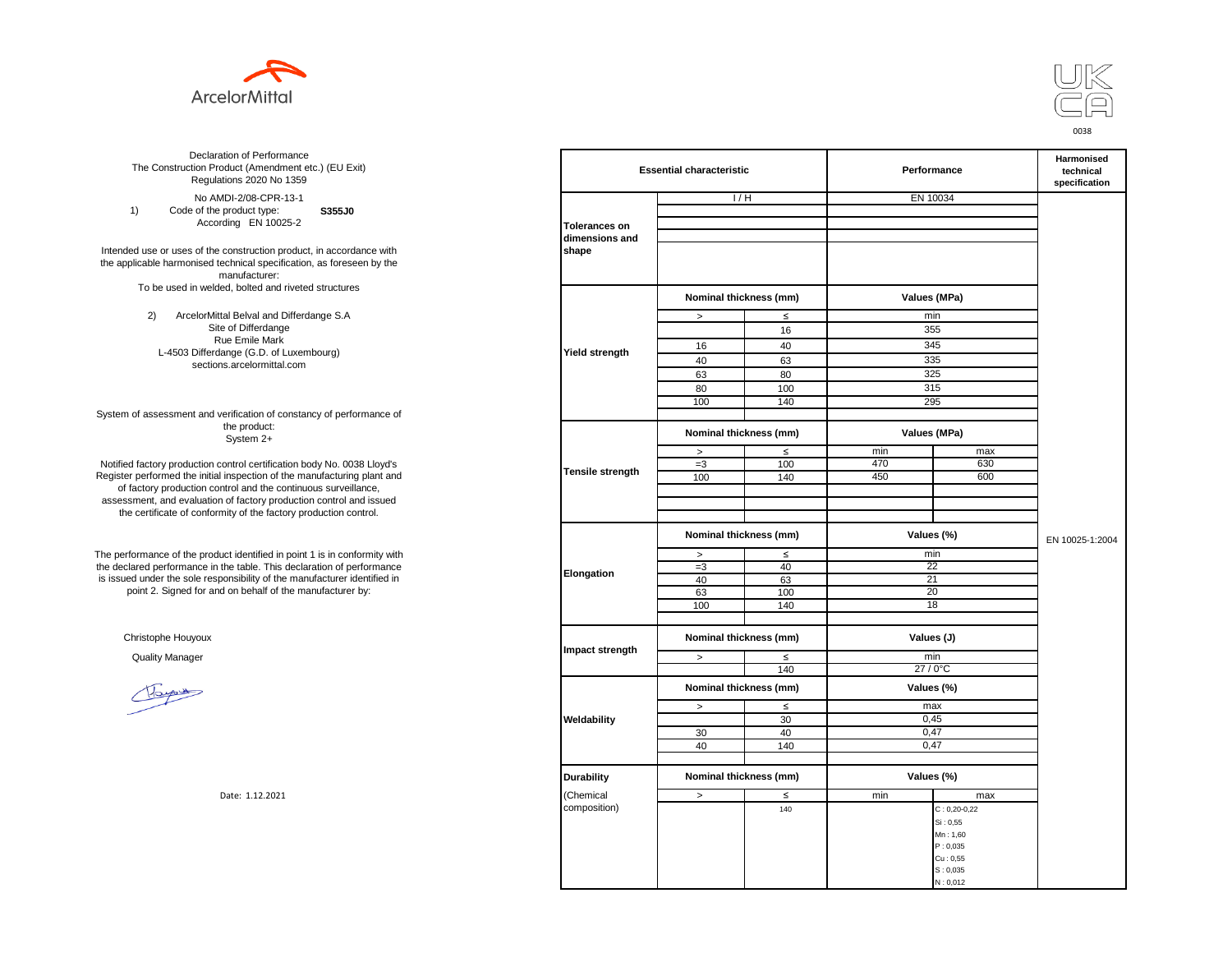



**S355J0**  No AMDI-2/08-CPR-13-1 1) Code of the product type: According EN 10025-2

Intended use or uses of the construction product, in accordance with the applicable harmonised technical specification, as foreseen by the manufacturer: To be used in welded, bolted and riveted structures

> 2) ArcelorMittal Belval and Differdange S.A Site of Differdange Rue Emile Mark L-4503 Differdange (G.D. of Luxembourg) sections.arcelormittal.com

System of assessment and verification of constancy of performance of the product: System 2+

Notified factory production control certification body No. 0038 Lloyd's Register performed the initial inspection of the manufacturing plant and of factory production control and the continuous surveillance, assessment, and evaluation of factory production control and issued the certificate of conformity of the factory production control.

The performance of the product identified in point 1 is in conformity with the declared performance in the table. This declaration of performance is issued under the sole responsibility of the manufacturer identified in point 2. Signed for and on behalf of the manufacturer by:

Christophe Houyoux

| ation of Performance<br>oduct (Amendment etc.) (EU Exit)<br>ations 2020 No 1359                         |                         | <b>Essential characteristic</b> |          | Performance  | Harmonised<br>technical<br>specification |                 |  |
|---------------------------------------------------------------------------------------------------------|-------------------------|---------------------------------|----------|--------------|------------------------------------------|-----------------|--|
| /IDI-2/08-CPR-13-1                                                                                      |                         | 1/H                             |          | EN 10034     |                                          |                 |  |
| product type:<br>S355J0                                                                                 |                         |                                 |          |              |                                          |                 |  |
| rding EN 10025-2                                                                                        | <b>Tolerances on</b>    |                                 |          |              |                                          |                 |  |
|                                                                                                         | dimensions and          |                                 |          |              |                                          |                 |  |
| construction product, in accordance with<br>echnical specification, as foreseen by the<br>manufacturer: | shape                   |                                 |          |              |                                          |                 |  |
| ed, bolted and riveted structures                                                                       |                         | Nominal thickness (mm)          |          | Values (MPa) |                                          |                 |  |
| tal Belval and Differdange S.A                                                                          |                         | $\, >$                          | $\leq$   | min          |                                          |                 |  |
| e of Differdange                                                                                        |                         |                                 | 16       | 355          |                                          |                 |  |
| ue Emile Mark                                                                                           |                         | 16                              | 40       | 345          |                                          |                 |  |
| ange (G.D. of Luxembourg)                                                                               | Yield strength          | 40                              | 63       | 335          |                                          |                 |  |
| ns.arcelormittal.com                                                                                    |                         | 63                              | 80       | 325          |                                          |                 |  |
|                                                                                                         |                         | 80                              | 100      | 315          |                                          |                 |  |
|                                                                                                         |                         | 100                             | 140      | 295          |                                          |                 |  |
| verification of constancy of performance of                                                             |                         |                                 |          |              |                                          |                 |  |
| the product:<br>System 2+                                                                               |                         | Nominal thickness (mm)          |          | Values (MPa) |                                          |                 |  |
|                                                                                                         |                         | $\,$                            | $\leq$   | min          | max                                      |                 |  |
| control certification body No. 0038 Lloyd's                                                             |                         | $=3$                            | 100      | 470          | 630                                      |                 |  |
| inspection of the manufacturing plant and                                                               | <b>Tensile strength</b> | 100                             | 140      | 450          | 600                                      |                 |  |
| ntrol and the continuous surveillance,                                                                  |                         |                                 |          |              |                                          |                 |  |
| of factory production control and issued                                                                |                         |                                 |          |              |                                          |                 |  |
| mity of the factory production control.                                                                 |                         |                                 |          |              |                                          |                 |  |
|                                                                                                         |                         | Nominal thickness (mm)          |          | Values (%)   |                                          | EN 10025-1:2004 |  |
|                                                                                                         |                         |                                 |          |              |                                          |                 |  |
| uct identified in point 1 is in conformity with<br>the table. This declaration of performance           |                         | $\,>\,$                         | $\leq$   | min<br>22    |                                          |                 |  |
| ponsibility of the manufacturer identified in                                                           | Elongation              | $=3$<br>40                      | 40<br>63 | 21           |                                          |                 |  |
| d on behalf of the manufacturer by:                                                                     |                         | 63                              | 100      | 20           |                                          |                 |  |
|                                                                                                         |                         | 100                             | 140      | 18           |                                          |                 |  |
|                                                                                                         |                         |                                 |          |              |                                          |                 |  |
|                                                                                                         |                         | Nominal thickness (mm)          |          | Values (J)   |                                          |                 |  |
|                                                                                                         | Impact strength         | $\,>$                           | $\leq$   | min          |                                          |                 |  |
|                                                                                                         |                         |                                 | 140      | $27/0$ °C    |                                          |                 |  |
|                                                                                                         |                         | Nominal thickness (mm)          |          | Values (%)   |                                          |                 |  |
|                                                                                                         |                         | $\,$                            | $\leq$   | max          |                                          |                 |  |
|                                                                                                         | Weldability             |                                 | 30       | 0,45         |                                          |                 |  |
|                                                                                                         |                         | 30                              | 40       | 0,47         |                                          |                 |  |
|                                                                                                         |                         | 40                              | 140      | 0,47         |                                          |                 |  |
|                                                                                                         |                         |                                 |          |              |                                          |                 |  |
|                                                                                                         | <b>Durability</b>       | Nominal thickness (mm)          |          | Values (%)   |                                          |                 |  |
| Date: 1.12.2021                                                                                         | (Chemical               | $\,>$                           | $\leq$   | min          | max                                      |                 |  |
|                                                                                                         | composition)            |                                 | 140      |              | $C: 0, 20 - 0, 22$                       |                 |  |
|                                                                                                         |                         |                                 |          |              | Si: 0,55                                 |                 |  |
|                                                                                                         |                         |                                 |          |              | Mn: 1,60                                 |                 |  |
|                                                                                                         |                         |                                 |          |              | P: 0,035                                 |                 |  |
|                                                                                                         |                         |                                 |          |              | Cu: 0,55<br>S: 0,035                     |                 |  |
|                                                                                                         |                         |                                 |          |              | N: 0,012                                 |                 |  |
|                                                                                                         |                         |                                 |          |              |                                          |                 |  |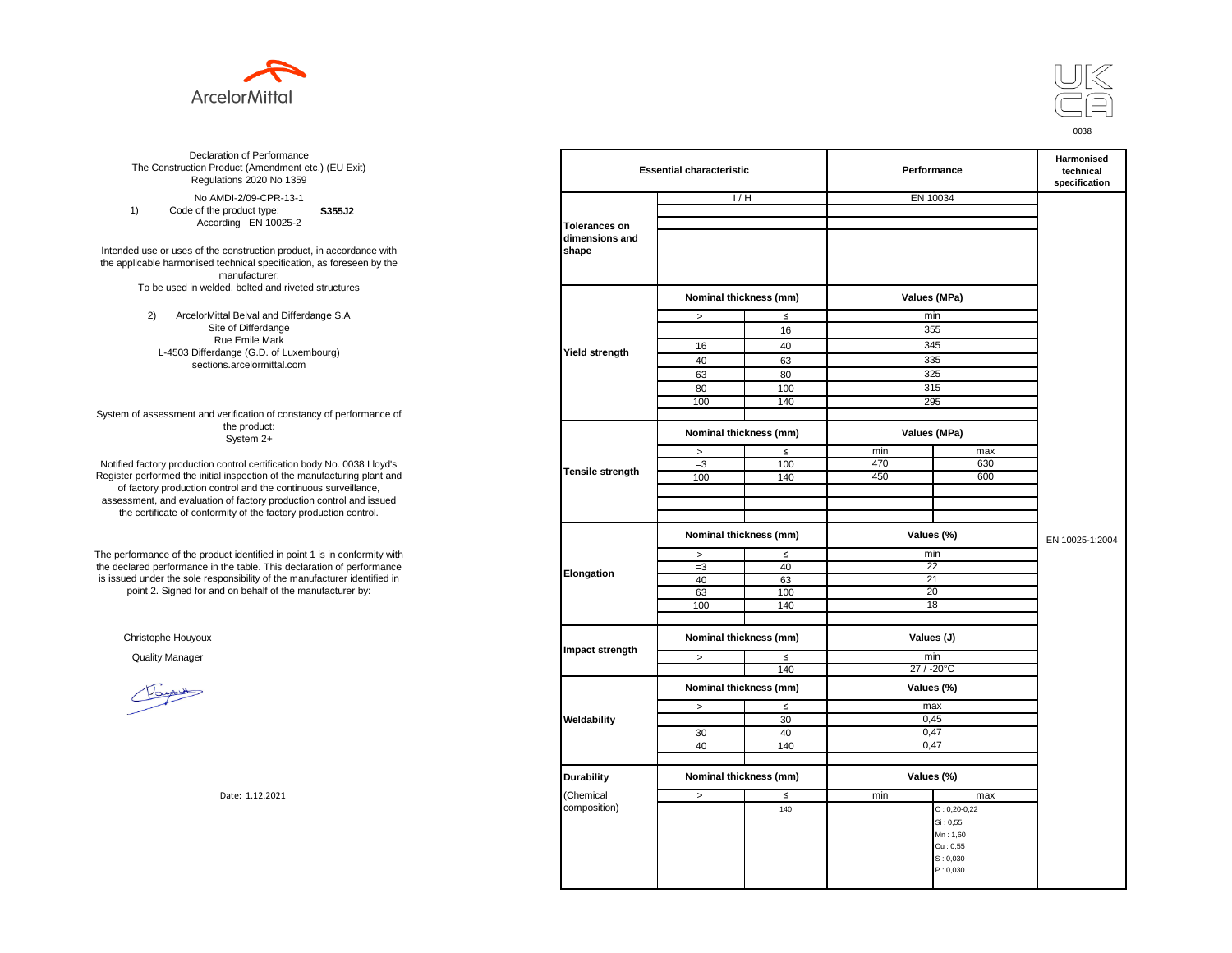



**S355J2**  No AMDI-2/09-CPR-13-1 1) Code of the product type: According EN 10025-2

Intended use or uses of the construction product, in accordance with the applicable harmonised technical specification, as foreseen by the manufacturer: To be used in welded, bolted and riveted structures

> 2) ArcelorMittal Belval and Differdange S.A Site of Differdange Rue Emile Mark L-4503 Differdange (G.D. of Luxembourg) sections.arcelormittal.com

System of assessment and verification of constancy of performance of the product: System 2+

Notified factory production control certification body No. 0038 Lloyd's Register performed the initial inspection of the manufacturing plant and of factory production control and the continuous surveillance, assessment, and evaluation of factory production control and issued the certificate of conformity of the factory production control.

The performance of the product identified in point 1 is in conformity with the declared performance in the table. This declaration of performance is issued under the sole responsibility of the manufacturer identified in point 2. Signed for and on behalf of the manufacturer by:

Christophe Houyoux

| ation of Performance<br>oduct (Amendment etc.) (EU Exit)<br>ations 2020 No 1359 |                      | <b>Essential characteristic</b> |        |              | Performance        |                 |  |
|---------------------------------------------------------------------------------|----------------------|---------------------------------|--------|--------------|--------------------|-----------------|--|
| /IDI-2/09-CPR-13-1                                                              |                      | 1/H                             |        | EN 10034     |                    |                 |  |
| product type:<br>S355J2                                                         |                      |                                 |        |              |                    |                 |  |
| rding EN 10025-2                                                                | <b>Tolerances on</b> |                                 |        |              |                    |                 |  |
|                                                                                 | dimensions and       |                                 |        |              |                    |                 |  |
| construction product, in accordance with                                        | shape                |                                 |        |              |                    |                 |  |
| echnical specification, as foreseen by the                                      |                      |                                 |        |              |                    |                 |  |
| manufacturer:                                                                   |                      |                                 |        |              |                    |                 |  |
| ed, bolted and riveted structures                                               |                      |                                 |        |              |                    |                 |  |
|                                                                                 |                      | Nominal thickness (mm)          |        | Values (MPa) |                    |                 |  |
| tal Belval and Differdange S.A                                                  |                      | $\, >$                          | $\leq$ | min          |                    |                 |  |
| e of Differdange                                                                |                      |                                 | 16     | 355          |                    |                 |  |
| ue Emile Mark                                                                   |                      | 16                              | 40     | 345          |                    |                 |  |
| ange (G.D. of Luxembourg)                                                       | Yield strength       |                                 |        |              |                    |                 |  |
| ns.arcelormittal.com                                                            |                      | 40                              | 63     | 335          |                    |                 |  |
|                                                                                 |                      | 63                              | 80     | 325          |                    |                 |  |
|                                                                                 |                      | 80                              | 100    | 315          |                    |                 |  |
|                                                                                 |                      | 100                             | 140    | 295          |                    |                 |  |
| verification of constancy of performance of                                     |                      |                                 |        |              |                    |                 |  |
| the product:<br>System 2+                                                       |                      | Nominal thickness (mm)          |        | Values (MPa) |                    |                 |  |
|                                                                                 |                      | $\, >$                          | $\leq$ | min          | max                |                 |  |
| control certification body No. 0038 Lloyd's                                     |                      | $=3$                            | 100    | 470          | 630                |                 |  |
| inspection of the manufacturing plant and                                       | Tensile strength     | 100                             | 140    | 450          | 600                |                 |  |
| ntrol and the continuous surveillance,                                          |                      |                                 |        |              |                    |                 |  |
| of factory production control and issued                                        |                      |                                 |        |              |                    |                 |  |
| mity of the factory production control.                                         |                      |                                 |        |              |                    |                 |  |
|                                                                                 |                      | Nominal thickness (mm)          |        | Values (%)   |                    |                 |  |
|                                                                                 |                      |                                 |        |              |                    | EN 10025-1:2004 |  |
| uct identified in point 1 is in conformity with                                 |                      | $\, >$                          | $\leq$ | min          |                    |                 |  |
| the table. This declaration of performance                                      |                      | $=3$                            | 40     | 22           |                    |                 |  |
| ponsibility of the manufacturer identified in                                   | Elongation           | 40                              | 63     | 21           |                    |                 |  |
| d on behalf of the manufacturer by:                                             |                      | 63                              | 100    | 20           |                    |                 |  |
|                                                                                 |                      | 100                             | 140    | 18           |                    |                 |  |
|                                                                                 |                      |                                 |        |              |                    |                 |  |
|                                                                                 |                      |                                 |        |              |                    |                 |  |
|                                                                                 |                      | Nominal thickness (mm)          |        | Values (J)   |                    |                 |  |
|                                                                                 | Impact strength      | $\geq$                          | $\leq$ | min          |                    |                 |  |
|                                                                                 |                      |                                 | 140    | 27 / -20°C   |                    |                 |  |
|                                                                                 |                      | Nominal thickness (mm)          |        |              |                    |                 |  |
|                                                                                 |                      |                                 |        | Values (%)   |                    |                 |  |
|                                                                                 |                      | $\,$                            | $\leq$ | max          |                    |                 |  |
|                                                                                 | Weldability          |                                 | 30     | 0,45         |                    |                 |  |
|                                                                                 |                      | 30                              | 40     | 0,47         |                    |                 |  |
|                                                                                 |                      | 40                              | 140    | 0.47         |                    |                 |  |
|                                                                                 |                      |                                 |        |              |                    |                 |  |
|                                                                                 |                      |                                 |        |              |                    |                 |  |
|                                                                                 | <b>Durability</b>    | Nominal thickness (mm)          |        | Values (%)   |                    |                 |  |
| Date: 1.12.2021                                                                 | (Chemical            | $\geq$                          | $\leq$ | min          | max                |                 |  |
|                                                                                 | composition)         |                                 | 140    |              | $C: 0, 20 - 0, 22$ |                 |  |
|                                                                                 |                      |                                 |        |              | Si: 0,55           |                 |  |
|                                                                                 |                      |                                 |        |              | Mn: 1,60           |                 |  |
|                                                                                 |                      |                                 |        |              | Cu: 0.55           |                 |  |
|                                                                                 |                      |                                 |        |              | S: 0,030           |                 |  |
|                                                                                 |                      |                                 |        |              | P: 0,030           |                 |  |
|                                                                                 |                      |                                 |        |              |                    |                 |  |
|                                                                                 |                      |                                 |        |              |                    |                 |  |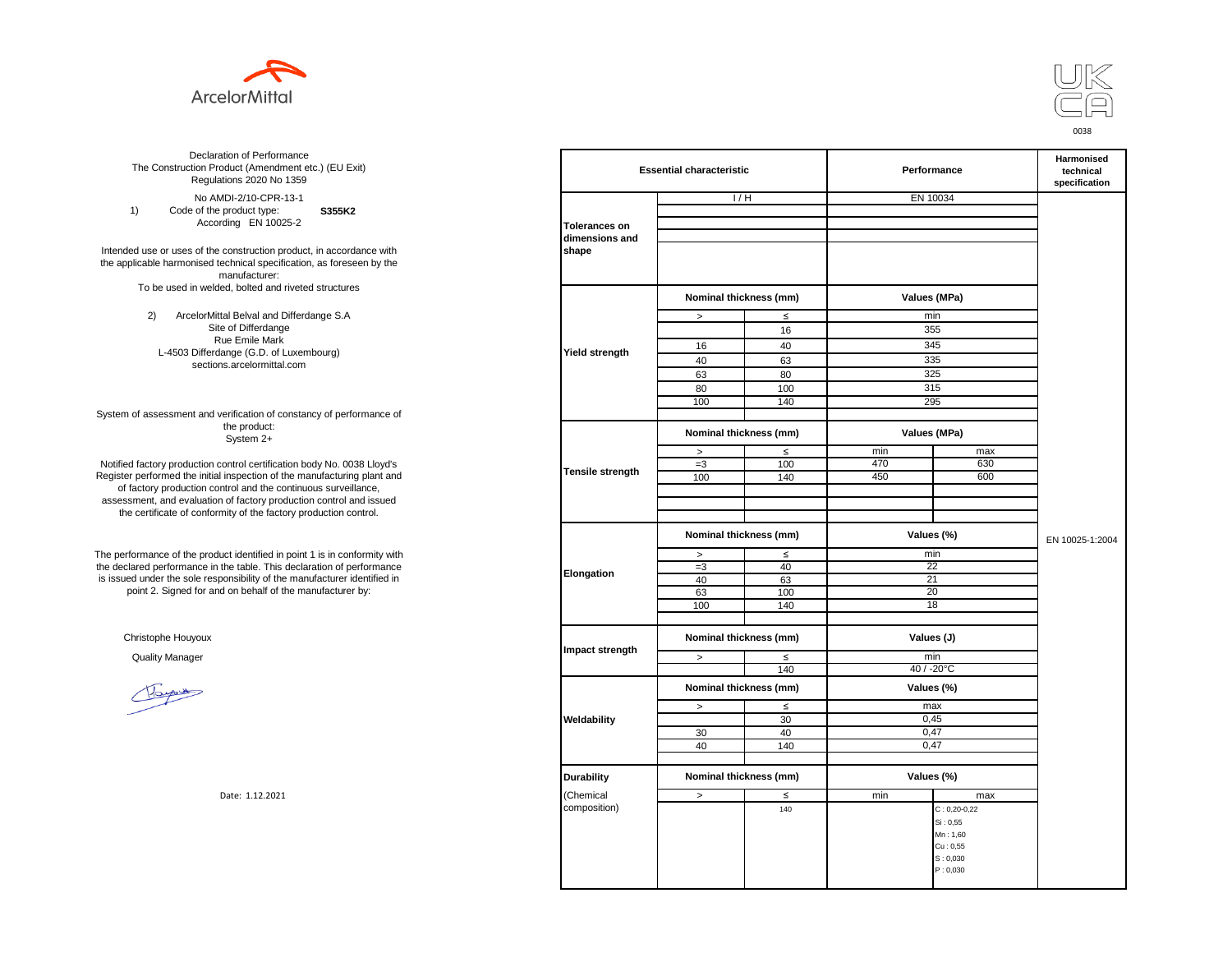



**S355K2**  No AMDI-2/10-CPR-13-1 1) Code of the product type: According EN 10025-2

Intended use or uses of the construction product, in accordance with the applicable harmonised technical specification, as foreseen by the manufacturer: To be used in welded, bolted and riveted structures

> 2) ArcelorMittal Belval and Differdange S.A Site of Differdange Rue Emile Mark L-4503 Differdange (G.D. of Luxembourg) sections.arcelormittal.com

System of assessment and verification of constancy of performance of the product: System 2+

Notified factory production control certification body No. 0038 Lloyd's Register performed the initial inspection of the manufacturing plant and of factory production control and the continuous surveillance, assessment, and evaluation of factory production control and issued the certificate of conformity of the factory production control.

The performance of the product identified in point 1 is in conformity with the declared performance in the table. This declaration of performance is issued under the sole responsibility of the manufacturer identified in point 2. Signed for and on behalf of the manufacturer by:

Christophe Houyoux

| ation of Performance<br>oduct (Amendment etc.) (EU Exit)<br>ations 2020 No 1359                                               | <b>Essential characteristic</b>        |                        |                        | Performance       | Harmonised<br>technical<br>specification   |                 |
|-------------------------------------------------------------------------------------------------------------------------------|----------------------------------------|------------------------|------------------------|-------------------|--------------------------------------------|-----------------|
| /IDI-2/10-CPR-13-1                                                                                                            |                                        | 1/H                    |                        | EN 10034          |                                            |                 |
| product type:<br>S355K2<br>rding EN 10025-2                                                                                   | <b>Tolerances on</b><br>dimensions and |                        |                        |                   |                                            |                 |
| construction product, in accordance with<br>echnical specification, as foreseen by the<br>manufacturer:                       | shape                                  |                        |                        |                   |                                            |                 |
| ed, bolted and riveted structures                                                                                             |                                        |                        | Nominal thickness (mm) |                   | Values (MPa)                               |                 |
| tal Belval and Differdange S.A                                                                                                |                                        | $\, >$                 | $\leq$                 | min               |                                            |                 |
| e of Differdange                                                                                                              |                                        |                        | 16                     | 355               |                                            |                 |
| ue Emile Mark                                                                                                                 |                                        | 16                     | 40                     | 345               |                                            |                 |
| ange (G.D. of Luxembourg)                                                                                                     | Yield strength                         | 40                     | 63                     | 335               |                                            |                 |
| ns.arcelormittal.com                                                                                                          |                                        | 63                     | 80                     | 325               |                                            |                 |
|                                                                                                                               |                                        | 80                     | 100                    | 315               |                                            |                 |
|                                                                                                                               |                                        | 100                    | 140                    | 295               |                                            |                 |
| verification of constancy of performance of                                                                                   |                                        |                        |                        |                   |                                            |                 |
| the product:<br>System 2+                                                                                                     |                                        | Nominal thickness (mm) |                        | Values (MPa)      |                                            |                 |
|                                                                                                                               |                                        | $\, >$                 | $\leq$                 | min               | max                                        |                 |
| control certification body No. 0038 Lloyd's                                                                                   | Tensile strength                       | $=3$                   | 100                    | 470               | 630                                        |                 |
| inspection of the manufacturing plant and                                                                                     |                                        | 100                    | 140                    | 450               | 600                                        |                 |
| ntrol and the continuous surveillance,<br>of factory production control and issued<br>mity of the factory production control. |                                        |                        |                        |                   |                                            |                 |
|                                                                                                                               |                                        | Nominal thickness (mm) |                        | Values (%)        |                                            | EN 10025-1:2004 |
| uct identified in point 1 is in conformity with                                                                               | Elongation                             | $\, >$                 | $\leq$                 | min               |                                            |                 |
| the table. This declaration of performance                                                                                    |                                        | $=3$                   | 40                     |                   | 22                                         |                 |
| ponsibility of the manufacturer identified in                                                                                 |                                        | 40                     | 63                     | 21                |                                            |                 |
| d on behalf of the manufacturer by:                                                                                           |                                        | 63                     | 100                    | 20                |                                            |                 |
|                                                                                                                               |                                        | 100                    | 140                    | 18                |                                            |                 |
|                                                                                                                               |                                        | Nominal thickness (mm) |                        | Values (J)        |                                            |                 |
|                                                                                                                               | Impact strength                        |                        |                        |                   |                                            |                 |
|                                                                                                                               |                                        | $\, >$                 | $\leq$<br>140          | min<br>40 / -20°C |                                            |                 |
|                                                                                                                               |                                        |                        |                        |                   |                                            |                 |
|                                                                                                                               |                                        | Nominal thickness (mm) |                        | Values (%)        |                                            |                 |
|                                                                                                                               |                                        | $\,$                   | $\leq$                 | max               |                                            |                 |
|                                                                                                                               | Weldability                            |                        | 30                     | 0,45              |                                            |                 |
|                                                                                                                               |                                        | 30                     | 40                     | 0.47              |                                            |                 |
|                                                                                                                               |                                        | 40                     | 140                    | 0,47              |                                            |                 |
|                                                                                                                               | <b>Durability</b>                      | Nominal thickness (mm) |                        | Values (%)        |                                            |                 |
| Date: 1.12.2021                                                                                                               | (Chemical                              | $\,$                   | ≤                      | min               | max                                        |                 |
|                                                                                                                               | composition)                           |                        | 140                    |                   | $C: 0, 20 - 0, 22$<br>Si: 0,55<br>Mn: 1,60 |                 |
|                                                                                                                               |                                        |                        |                        |                   | Cu: 0,55                                   |                 |
|                                                                                                                               |                                        |                        |                        |                   | S: 0,030                                   |                 |
|                                                                                                                               |                                        |                        |                        |                   | P: 0,030                                   |                 |
|                                                                                                                               |                                        |                        |                        |                   |                                            |                 |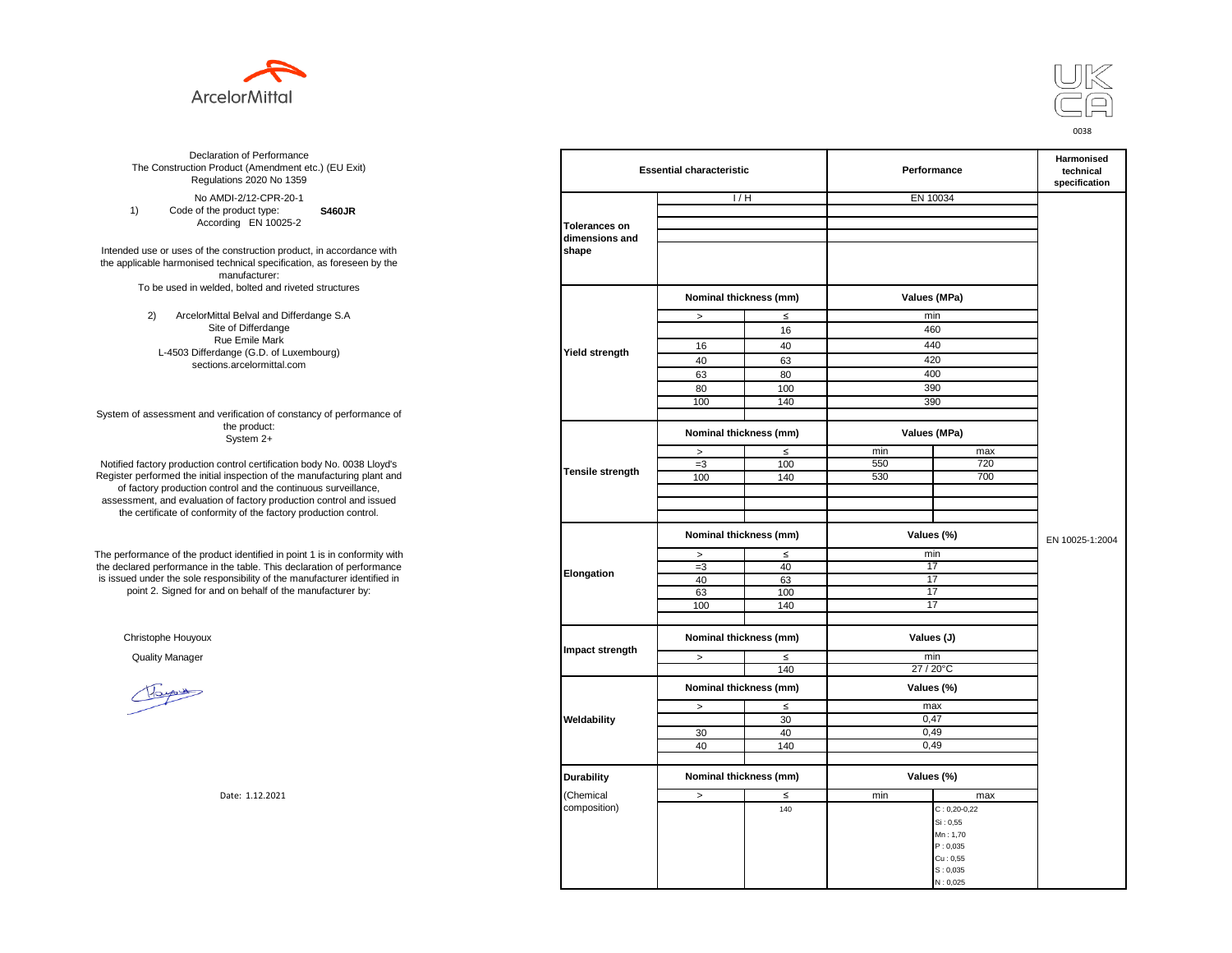



**S460JR** No AMDI-2/12-CPR-20-1 1) Code of the product type: According EN 10025-2

Intended use or uses of the construction product, in accordance with the applicable harmonised technical specification, as foreseen by the manufacturer: To be used in welded, bolted and riveted structures

> 2) ArcelorMittal Belval and Differdange S.A Site of Differdange Rue Emile Mark L-4503 Differdange (G.D. of Luxembourg) sections.arcelormittal.com

System of assessment and verification of constancy of performance of the product: System 2+

Notified factory production control certification body No. 0038 Lloyd's Register performed the initial inspection of the manufacturing plant and of factory production control and the continuous surveillance, assessment, and evaluation of factory production control and issued the certificate of conformity of the factory production control.

The performance of the product identified in point 1 is in conformity with the declared performance in the table. This declaration of performance is issued under the sole responsibility of the manufacturer identified in point 2. Signed for and on behalf of the manufacturer by:

Christophe Houyoux

| ation of Performance<br>oduct (Amendment etc.) (EU Exit)<br>ations 2020 No 1359        | <b>Essential characteristic</b> |                        |                        | Performance      | Harmonised<br>technical<br>specification |                 |
|----------------------------------------------------------------------------------------|---------------------------------|------------------------|------------------------|------------------|------------------------------------------|-----------------|
| /IDI-2/12-CPR-20-1                                                                     |                                 | 1/H                    |                        | EN 10034         |                                          |                 |
| product type:<br><b>S460JR</b>                                                         |                                 |                        |                        |                  |                                          |                 |
| rding EN 10025-2                                                                       | <b>Tolerances on</b>            |                        |                        |                  |                                          |                 |
|                                                                                        | dimensions and                  |                        |                        |                  |                                          |                 |
| construction product, in accordance with<br>echnical specification, as foreseen by the | shape                           |                        |                        |                  |                                          |                 |
| manufacturer:<br>ed, bolted and riveted structures                                     |                                 |                        |                        |                  |                                          |                 |
|                                                                                        |                                 | Nominal thickness (mm) |                        | Values (MPa)     |                                          |                 |
| tal Belval and Differdange S.A                                                         |                                 | $\,$                   | $\leq$                 |                  | min                                      |                 |
| e of Differdange                                                                       |                                 |                        | 16                     | 460              |                                          |                 |
| ue Emile Mark                                                                          |                                 | 16                     | 40                     | 440              |                                          |                 |
| ange (G.D. of Luxembourg)                                                              | Yield strength                  | 40                     | 63                     | 420              |                                          |                 |
| ns.arcelormittal.com                                                                   |                                 | 63                     | 80                     | 400              |                                          |                 |
|                                                                                        |                                 | 80                     | 100                    | 390              |                                          |                 |
|                                                                                        |                                 |                        | 140                    | 390              |                                          |                 |
| verification of constancy of performance of                                            |                                 | 100                    |                        |                  |                                          |                 |
| the product:<br>System 2+                                                              |                                 | Nominal thickness (mm) |                        | Values (MPa)     |                                          |                 |
|                                                                                        |                                 | $\, >$                 | $\leq$                 | min              | max                                      |                 |
| control certification body No. 0038 Lloyd's                                            |                                 | $=3$                   | 100                    | 550              | 720                                      |                 |
| inspection of the manufacturing plant and                                              | <b>Tensile strength</b>         | 100                    | 140                    | 530              | 700                                      |                 |
| ntrol and the continuous surveillance,                                                 |                                 |                        |                        |                  |                                          |                 |
| of factory production control and issued                                               |                                 |                        |                        |                  |                                          |                 |
| mity of the factory production control.                                                |                                 |                        |                        |                  |                                          |                 |
|                                                                                        |                                 | Nominal thickness (mm) |                        | Values (%)       |                                          | EN 10025-1:2004 |
| uct identified in point 1 is in conformity with                                        | Elongation                      | $\, >$                 | $\leq$                 | min              |                                          |                 |
| the table. This declaration of performance                                             |                                 | $=3$                   | 40                     | 17               |                                          |                 |
| ponsibility of the manufacturer identified in                                          |                                 | 40                     | 63                     | 17               |                                          |                 |
| d on behalf of the manufacturer by:                                                    |                                 | 63                     | 100                    | 17               |                                          |                 |
|                                                                                        |                                 | 100                    | 140                    | 17               |                                          |                 |
|                                                                                        |                                 |                        | Nominal thickness (mm) |                  | Values (J)                               |                 |
|                                                                                        | Impact strength                 |                        |                        |                  |                                          |                 |
|                                                                                        |                                 | $\geq$                 | $\leq$<br>140          | min<br>27 / 20°C |                                          |                 |
|                                                                                        |                                 |                        |                        |                  |                                          |                 |
|                                                                                        |                                 | Nominal thickness (mm) |                        | Values (%)       |                                          |                 |
|                                                                                        |                                 | $\, >$                 | $\leq$                 | max              |                                          |                 |
|                                                                                        | Weldability                     |                        | 30                     | 0,47             |                                          |                 |
|                                                                                        |                                 | 30                     | 40                     | 0,49             |                                          |                 |
|                                                                                        |                                 | 40                     | 140                    | 0,49             |                                          |                 |
|                                                                                        |                                 |                        |                        |                  |                                          |                 |
|                                                                                        | <b>Durability</b>               | Nominal thickness (mm) |                        |                  | Values (%)                               |                 |
| Date: 1.12.2021                                                                        | (Chemical                       | $\,>\,$                | $\leq$                 | min              | max                                      |                 |
|                                                                                        | composition)                    |                        | 140                    |                  | $C: 0, 20-0, 22$                         |                 |
|                                                                                        |                                 |                        |                        |                  | Si: 0,55                                 |                 |
|                                                                                        |                                 |                        |                        |                  | Mn: 1,70                                 |                 |
|                                                                                        |                                 |                        |                        |                  | P: 0,035                                 |                 |
|                                                                                        |                                 |                        |                        |                  | Cu: 0,55<br>S: 0,035                     |                 |
|                                                                                        |                                 |                        |                        |                  | N: 0,025                                 |                 |
|                                                                                        |                                 |                        |                        |                  |                                          |                 |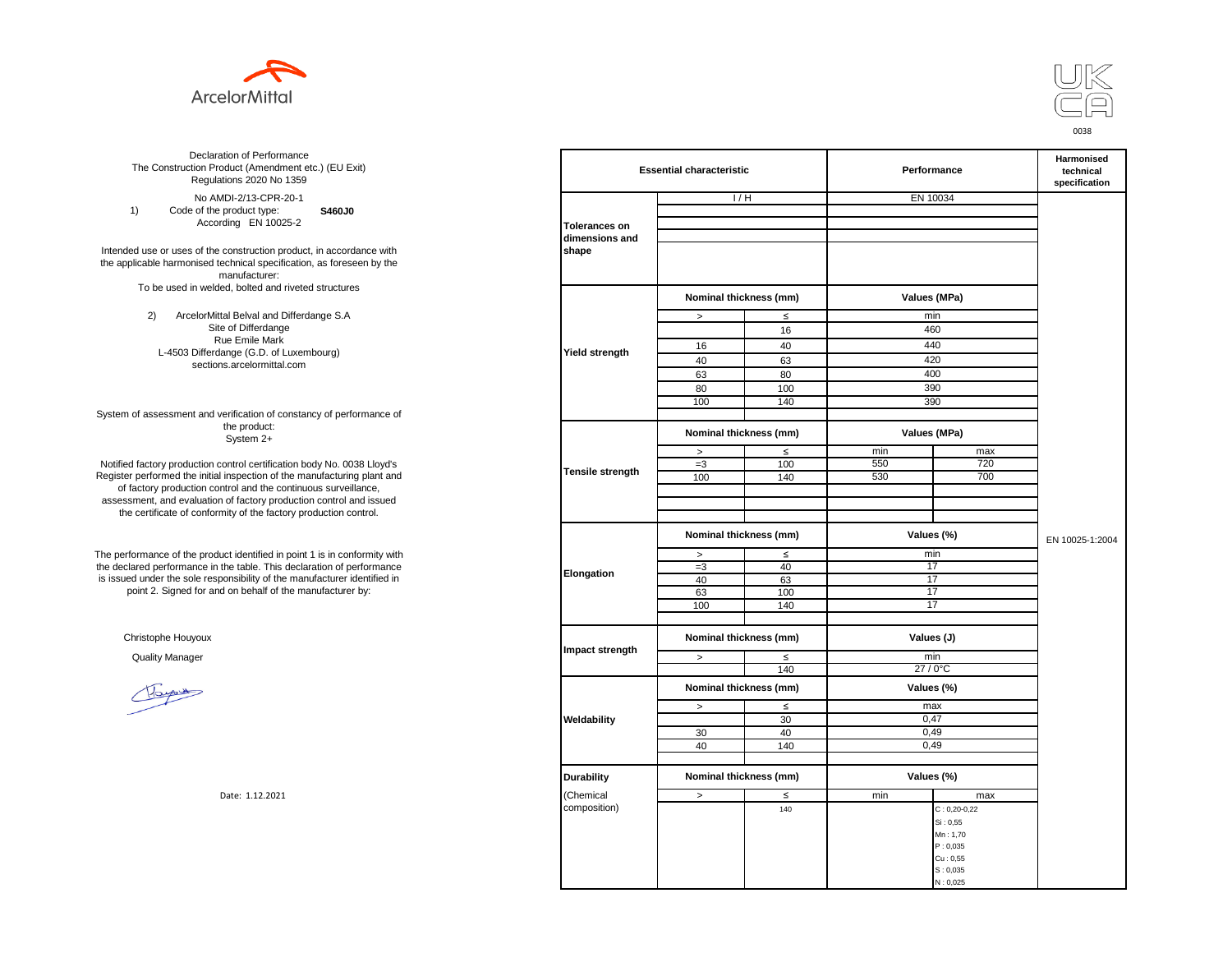



**S460J0** No AMDI-2/13-CPR-20-1 1) Code of the product type: According EN 10025-2

Intended use or uses of the construction product, in accordance with the applicable harmonised technical specification, as foreseen by the manufacturer: To be used in welded, bolted and riveted structures

> 2) ArcelorMittal Belval and Differdange S.A Site of Differdange Rue Emile Mark L-4503 Differdange (G.D. of Luxembourg) sections.arcelormittal.com

System of assessment and verification of constancy of performance of the product: System 2+

Notified factory production control certification body No. 0038 Lloyd's Register performed the initial inspection of the manufacturing plant and of factory production control and the continuous surveillance, assessment, and evaluation of factory production control and issued the certificate of conformity of the factory production control.

The performance of the product identified in point 1 is in conformity with the declared performance in the table. This declaration of performance is issued under the sole responsibility of the manufacturer identified in point 2. Signed for and on behalf of the manufacturer by:

Christophe Houyoux

| ation of Performance<br>oduct (Amendment etc.) (EU Exit)<br>ations 2020 No 1359       |                         | <b>Essential characteristic</b> |               |              | Performance          |                 |  |
|---------------------------------------------------------------------------------------|-------------------------|---------------------------------|---------------|--------------|----------------------|-----------------|--|
| /IDI-2/13-CPR-20-1                                                                    |                         | 1/H                             |               | EN 10034     |                      |                 |  |
| product type:<br>S460J0                                                               |                         |                                 |               |              |                      |                 |  |
| rding EN 10025-2                                                                      | <b>Tolerances on</b>    |                                 |               |              |                      |                 |  |
| construction product, in accordance with                                              | dimensions and<br>shape |                                 |               |              |                      |                 |  |
| echnical specification, as foreseen by the                                            |                         |                                 |               |              |                      |                 |  |
| manufacturer:                                                                         |                         |                                 |               |              |                      |                 |  |
| ed, bolted and riveted structures                                                     |                         |                                 |               |              |                      |                 |  |
|                                                                                       |                         | Nominal thickness (mm)          |               | Values (MPa) |                      |                 |  |
| tal Belval and Differdange S.A                                                        |                         | $\,$                            | $\leq$        | min          |                      |                 |  |
| e of Differdange                                                                      |                         |                                 | 16            | 460          |                      |                 |  |
| ue Emile Mark                                                                         | Yield strength          | 16                              | 40            | 440          |                      |                 |  |
| ange (G.D. of Luxembourg)<br>ns.arcelormittal.com                                     |                         | 40                              | 63            | 420          |                      |                 |  |
|                                                                                       |                         | 63                              | 80            | 400          |                      |                 |  |
|                                                                                       |                         | 80                              | 100           | 390          |                      |                 |  |
|                                                                                       |                         | 100                             | 140           | 390          |                      |                 |  |
| verification of constancy of performance of                                           |                         |                                 |               |              |                      |                 |  |
| the product:<br>System 2+                                                             |                         | Nominal thickness (mm)          |               | Values (MPa) |                      |                 |  |
|                                                                                       |                         | $\, >$                          | $\leq$        | min          | max                  |                 |  |
| control certification body No. 0038 Lloyd's                                           | <b>Tensile strength</b> | $=3$                            | 100           | 550          | 720                  |                 |  |
| inspection of the manufacturing plant and                                             |                         | 100                             | 140           | 530          | 700                  |                 |  |
| ntrol and the continuous surveillance,                                                |                         |                                 |               |              |                      |                 |  |
| n of factory production control and issued<br>mity of the factory production control. |                         |                                 |               |              |                      |                 |  |
|                                                                                       |                         |                                 |               |              |                      |                 |  |
|                                                                                       |                         | Nominal thickness (mm)          |               | Values (%)   |                      | EN 10025-1:2004 |  |
| uct identified in point 1 is in conformity with                                       |                         | $\, >$                          | $\leq$        | min          |                      |                 |  |
| the table. This declaration of performance                                            |                         | $=3$                            | 40            | 17           |                      |                 |  |
| ponsibility of the manufacturer identified in                                         | Elongation              | 40                              | 63            | 17           |                      |                 |  |
| d on behalf of the manufacturer by:                                                   |                         | 63                              | 100           | 17           |                      |                 |  |
|                                                                                       |                         | 100                             | 140           | 17           |                      |                 |  |
|                                                                                       |                         |                                 |               |              |                      |                 |  |
|                                                                                       |                         | Nominal thickness (mm)          |               | Values (J)   |                      |                 |  |
|                                                                                       | Impact strength         |                                 |               | min          |                      |                 |  |
|                                                                                       |                         | $\geq$                          | $\leq$<br>140 | 27 / 0°C     |                      |                 |  |
|                                                                                       |                         |                                 |               |              |                      |                 |  |
|                                                                                       |                         | Nominal thickness (mm)          |               | Values (%)   |                      |                 |  |
|                                                                                       |                         | $\, >$                          | $\leq$        | max          |                      |                 |  |
|                                                                                       | Weldability             |                                 | 30            | 0,47         |                      |                 |  |
|                                                                                       |                         | 30                              | 40            | 0,49         |                      |                 |  |
|                                                                                       |                         | 40                              | 140           | 0,49         |                      |                 |  |
|                                                                                       |                         |                                 |               |              |                      |                 |  |
|                                                                                       | <b>Durability</b>       | Nominal thickness (mm)          |               | Values (%)   |                      |                 |  |
| Date: 1.12.2021                                                                       | (Chemical               | $\,>\,$                         | $\leq$        | min          | max                  |                 |  |
|                                                                                       | composition)            |                                 | 140           |              | $C: 0, 20-0, 22$     |                 |  |
|                                                                                       |                         |                                 |               |              | Si: 0,55             |                 |  |
|                                                                                       |                         |                                 |               |              | Mn: 1,70             |                 |  |
|                                                                                       |                         |                                 |               |              | P: 0,035<br>Cu: 0,55 |                 |  |
|                                                                                       |                         |                                 |               |              | S: 0,035             |                 |  |
|                                                                                       |                         |                                 |               |              | N: 0,025             |                 |  |
|                                                                                       |                         |                                 |               |              |                      |                 |  |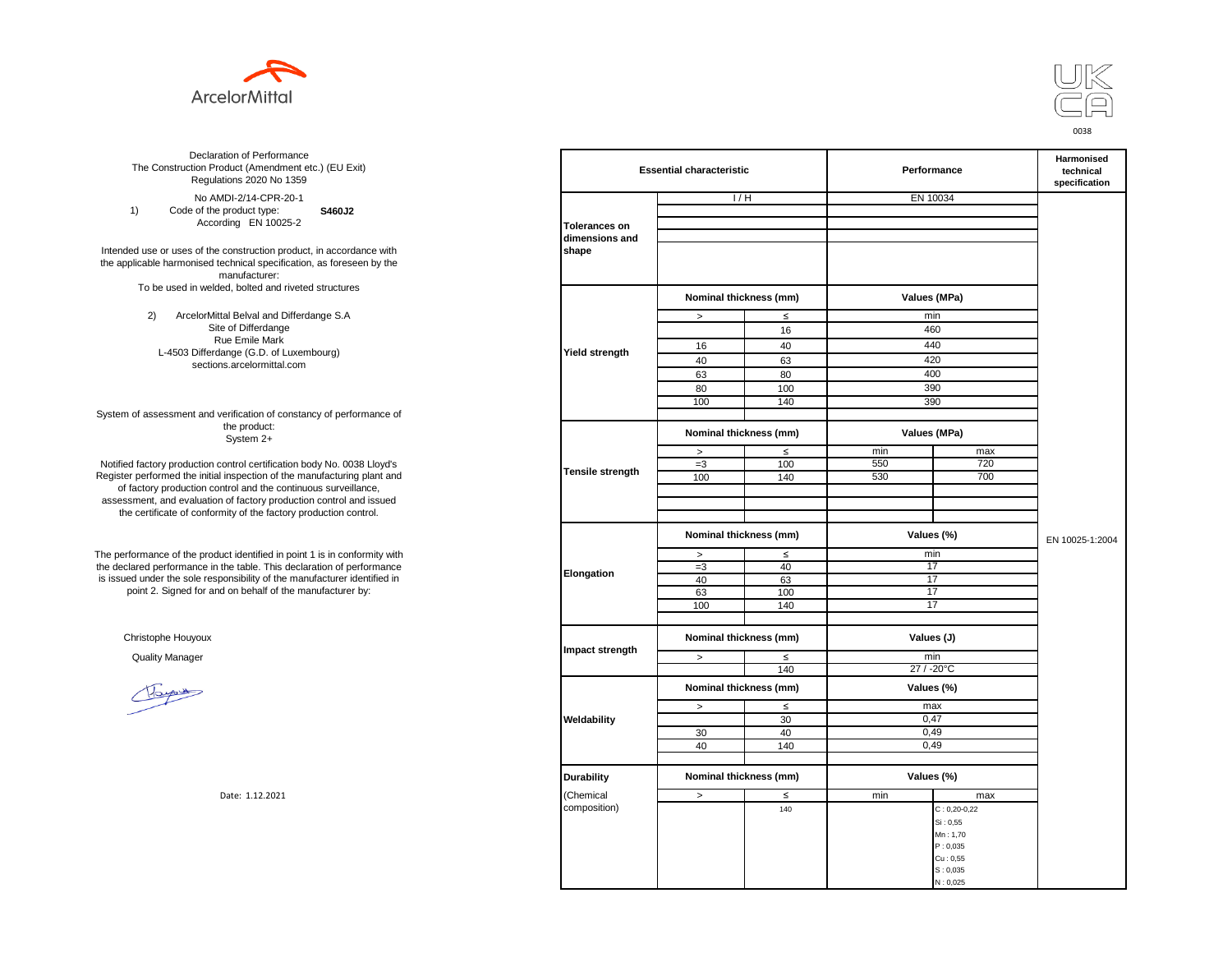



**S460J2** No AMDI-2/14-CPR-20-1 1) Code of the product type: According EN 10025-2

Intended use or uses of the construction product, in accordance with the applicable harmonised technical specification, as foreseen by the manufacturer: To be used in welded, bolted and riveted structures

> 2) ArcelorMittal Belval and Differdange S.A Site of Differdange Rue Emile Mark L-4503 Differdange (G.D. of Luxembourg) sections.arcelormittal.com

System of assessment and verification of constancy of performance of the product: System 2+

Notified factory production control certification body No. 0038 Lloyd's Register performed the initial inspection of the manufacturing plant and of factory production control and the continuous surveillance, assessment, and evaluation of factory production control and issued the certificate of conformity of the factory production control.

The performance of the product identified in point 1 is in conformity with the declared performance in the table. This declaration of performance is issued under the sole responsibility of the manufacturer identified in point 2. Signed for and on behalf of the manufacturer by:

Christophe Houyoux

| ation of Performance<br>oduct (Amendment etc.) (EU Exit)<br>ations 2020 No 1359                         | <b>Essential characteristic</b> |                        |                                      | Performance  | Harmonised<br>technical<br>specification |                 |
|---------------------------------------------------------------------------------------------------------|---------------------------------|------------------------|--------------------------------------|--------------|------------------------------------------|-----------------|
| /IDI-2/14-CPR-20-1                                                                                      |                                 | 1/H                    |                                      | EN 10034     |                                          |                 |
| product type:<br>S460J2                                                                                 |                                 |                        |                                      |              |                                          |                 |
| rding EN 10025-2                                                                                        | <b>Tolerances on</b>            |                        |                                      |              |                                          |                 |
|                                                                                                         | dimensions and                  |                        |                                      |              |                                          |                 |
| construction product, in accordance with<br>echnical specification, as foreseen by the<br>manufacturer: | shape                           |                        |                                      |              |                                          |                 |
| ed, bolted and riveted structures                                                                       |                                 | Nominal thickness (mm) |                                      |              |                                          |                 |
|                                                                                                         |                                 |                        |                                      | Values (MPa) |                                          |                 |
| tal Belval and Differdange S.A<br>e of Differdange                                                      |                                 | $\,$                   | $\leq$                               | min<br>460   |                                          |                 |
| ue Emile Mark                                                                                           |                                 |                        | 16                                   |              |                                          |                 |
| ange (G.D. of Luxembourg)                                                                               | Yield strength                  | 16                     | 40                                   | 440          |                                          |                 |
| ns.arcelormittal.com                                                                                    |                                 | 40                     | 63                                   | 420          |                                          |                 |
|                                                                                                         |                                 | 63                     | 80                                   | 400          |                                          |                 |
|                                                                                                         |                                 | 80                     | 100                                  | 390          |                                          |                 |
|                                                                                                         |                                 | 100                    | 140                                  | 390          |                                          |                 |
| verification of constancy of performance of<br>the product:<br>System 2+                                |                                 | Nominal thickness (mm) |                                      | Values (MPa) |                                          |                 |
|                                                                                                         |                                 | $\, >$                 | $\leq$                               | min          | max                                      |                 |
| control certification body No. 0038 Lloyd's                                                             |                                 | $=3$                   | 100                                  | 550          | 720                                      |                 |
| inspection of the manufacturing plant and                                                               | <b>Tensile strength</b>         | 100                    | 140                                  | 530          | 700                                      |                 |
| ntrol and the continuous surveillance,                                                                  |                                 |                        |                                      |              |                                          |                 |
| n of factory production control and issued                                                              |                                 |                        |                                      |              |                                          |                 |
| mity of the factory production control.                                                                 |                                 |                        |                                      |              |                                          |                 |
|                                                                                                         |                                 | Nominal thickness (mm) |                                      | Values (%)   |                                          | EN 10025-1:2004 |
| uct identified in point 1 is in conformity with                                                         | Elongation                      | $\, >$                 | $\leq$                               | min          |                                          |                 |
| the table. This declaration of performance                                                              |                                 | $=3$                   | 40                                   | 17           |                                          |                 |
| ponsibility of the manufacturer identified in                                                           |                                 | 40                     | 63                                   | 17           |                                          |                 |
| d on behalf of the manufacturer by:                                                                     |                                 | 63                     | 100                                  | 17           |                                          |                 |
|                                                                                                         |                                 | 100                    | 140                                  | 17           |                                          |                 |
|                                                                                                         |                                 |                        | Nominal thickness (mm)<br>Values (J) |              |                                          |                 |
|                                                                                                         | Impact strength                 | $\geq$                 | $\leq$                               | min          |                                          |                 |
|                                                                                                         |                                 |                        | 140                                  | 27 / -20°C   |                                          |                 |
|                                                                                                         |                                 | Nominal thickness (mm) |                                      | Values (%)   |                                          |                 |
|                                                                                                         |                                 | $\, >$                 | $\leq$                               | max          |                                          |                 |
|                                                                                                         | Weldability                     |                        | 30                                   | 0,47         |                                          |                 |
|                                                                                                         |                                 | 30                     | 40                                   | 0,49         |                                          |                 |
|                                                                                                         |                                 | 40                     | 140                                  | 0,49         |                                          |                 |
|                                                                                                         |                                 |                        |                                      |              |                                          |                 |
|                                                                                                         | <b>Durability</b>               | Nominal thickness (mm) |                                      | Values (%)   |                                          |                 |
| Date: 1.12.2021                                                                                         | (Chemical                       | $\,>\,$                | $\leq$                               | min          | max                                      |                 |
|                                                                                                         | composition)                    |                        | 140                                  |              | $C: 0, 20-0, 22$                         |                 |
|                                                                                                         |                                 |                        |                                      |              | Si: 0,55                                 |                 |
|                                                                                                         |                                 |                        |                                      |              | Mn: 1,70                                 |                 |
|                                                                                                         |                                 |                        |                                      |              | P: 0,035                                 |                 |
|                                                                                                         |                                 |                        |                                      |              | Cu: 0,55                                 |                 |
|                                                                                                         |                                 |                        |                                      |              | S: 0,035<br>N: 0,025                     |                 |
|                                                                                                         |                                 |                        |                                      |              |                                          |                 |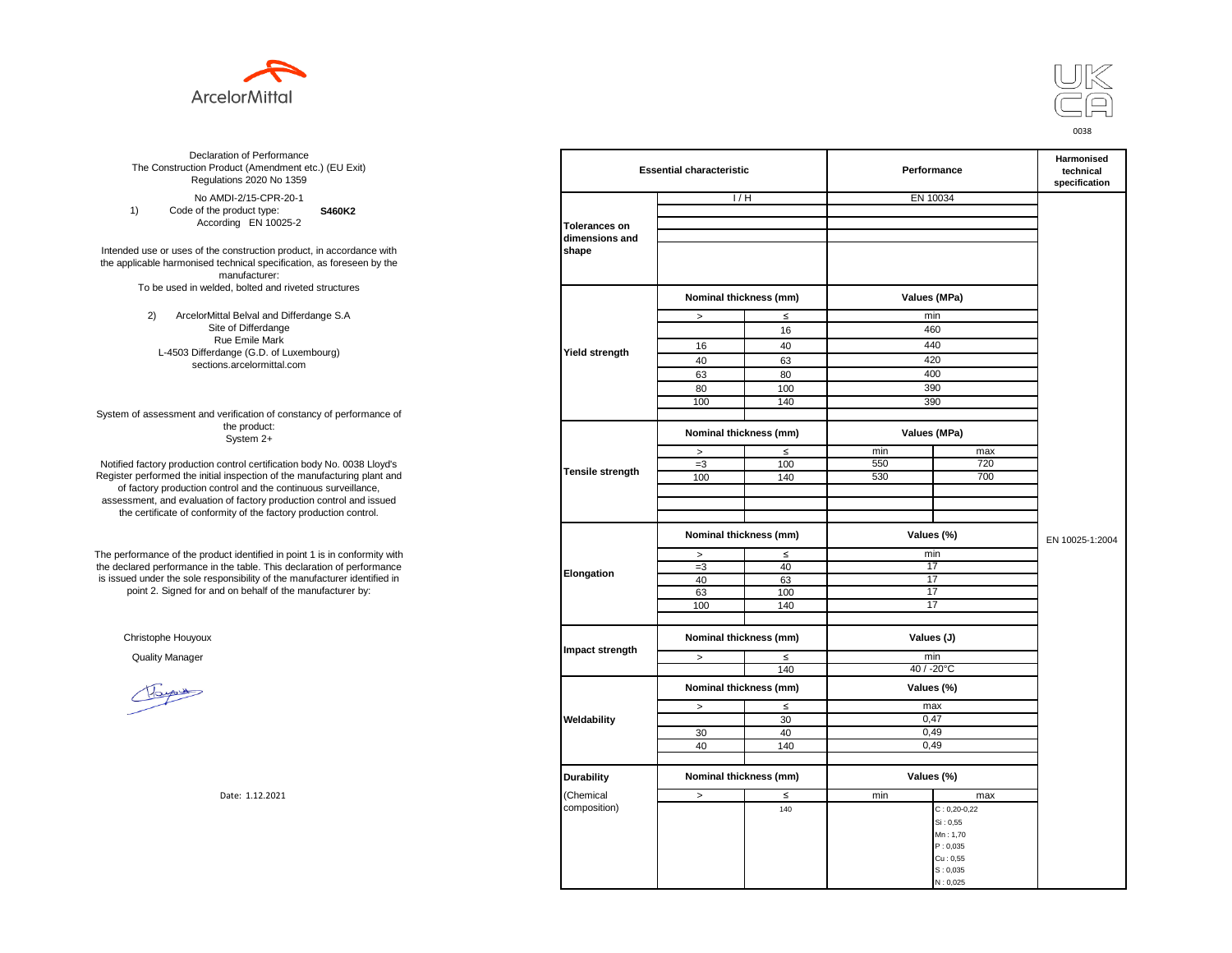



**S460K2** No AMDI-2/15-CPR-20-1 1) Code of the product type: According EN 10025-2

Intended use or uses of the construction product, in accordance with the applicable harmonised technical specification, as foreseen by the manufacturer: To be used in welded, bolted and riveted structures

> 2) ArcelorMittal Belval and Differdange S.A Site of Differdange Rue Emile Mark L-4503 Differdange (G.D. of Luxembourg) sections.arcelormittal.com

System of assessment and verification of constancy of performance of the product: System 2+

Notified factory production control certification body No. 0038 Lloyd's Register performed the initial inspection of the manufacturing plant and of factory production control and the continuous surveillance, assessment, and evaluation of factory production control and issued the certificate of conformity of the factory production control.

The performance of the product identified in point 1 is in conformity with the declared performance in the table. This declaration of performance is issued under the sole responsibility of the manufacturer identified in point 2. Signed for and on behalf of the manufacturer by:

Christophe Houyoux

| ation of Performance<br>oduct (Amendment etc.) (EU Exit)<br>ations 2020 No 1359                                               | <b>Essential characteristic</b> |                        |        | Performance  | Harmonised<br>technical<br>specification |                 |
|-------------------------------------------------------------------------------------------------------------------------------|---------------------------------|------------------------|--------|--------------|------------------------------------------|-----------------|
| /IDI-2/15-CPR-20-1                                                                                                            |                                 | 1/H                    |        | EN 10034     |                                          |                 |
| product type:<br>S460K2                                                                                                       |                                 |                        |        |              |                                          |                 |
| rding EN 10025-2                                                                                                              | <b>Tolerances on</b>            |                        |        |              |                                          |                 |
| construction product, in accordance with<br>echnical specification, as foreseen by the<br>manufacturer:                       | dimensions and<br>shape         |                        |        |              |                                          |                 |
| ed, bolted and riveted structures                                                                                             |                                 |                        |        |              |                                          |                 |
|                                                                                                                               |                                 | Nominal thickness (mm) |        | Values (MPa) |                                          |                 |
| tal Belval and Differdange S.A                                                                                                |                                 | $\, >$                 | $\leq$ | min          |                                          |                 |
| e of Differdange<br>ue Emile Mark                                                                                             |                                 |                        | 16     | 460          |                                          |                 |
| ange (G.D. of Luxembourg)                                                                                                     | <b>Yield strength</b>           | 16                     | 40     | 440          |                                          |                 |
| ns.arcelormittal.com                                                                                                          |                                 | 40                     | 63     | 420          |                                          |                 |
|                                                                                                                               |                                 | 63                     | 80     | 400          |                                          |                 |
|                                                                                                                               |                                 | 80                     | 100    | 390          |                                          |                 |
|                                                                                                                               |                                 | 100                    | 140    | 390          |                                          |                 |
| verification of constancy of performance of                                                                                   |                                 |                        |        |              |                                          |                 |
| the product:<br>System 2+                                                                                                     |                                 | Nominal thickness (mm) |        | Values (MPa) |                                          |                 |
|                                                                                                                               |                                 | $\, >$                 | $\leq$ | min          | max                                      |                 |
| control certification body No. 0038 Lloyd's                                                                                   | <b>Tensile strength</b>         | $=3$                   | 100    | 550          | 720                                      |                 |
| inspection of the manufacturing plant and                                                                                     |                                 | 100                    | 140    | 530          | 700                                      |                 |
| ntrol and the continuous surveillance,<br>of factory production control and issued<br>mity of the factory production control. |                                 |                        |        |              |                                          |                 |
|                                                                                                                               |                                 | Nominal thickness (mm) |        | Values (%)   |                                          | EN 10025-1:2004 |
| uct identified in point 1 is in conformity with                                                                               |                                 | $\,>$                  | $\leq$ | min          |                                          |                 |
| the table. This declaration of performance                                                                                    | Elongation                      | $=3$                   | 40     | 17           |                                          |                 |
| ponsibility of the manufacturer identified in                                                                                 |                                 | 40                     | 63     | 17           |                                          |                 |
| d on behalf of the manufacturer by:                                                                                           |                                 | 63                     | 100    | 17           |                                          |                 |
|                                                                                                                               |                                 | 100                    | 140    | 17           |                                          |                 |
|                                                                                                                               |                                 |                        |        |              |                                          |                 |
|                                                                                                                               | Impact strength                 | Nominal thickness (mm) |        | Values (J)   |                                          |                 |
|                                                                                                                               |                                 | $\, >$                 | ≤      | min          |                                          |                 |
|                                                                                                                               |                                 |                        | 140    | 40 / -20°C   |                                          |                 |
|                                                                                                                               |                                 | Nominal thickness (mm) |        | Values (%)   |                                          |                 |
|                                                                                                                               |                                 | $\, >$                 | $\leq$ | max          |                                          |                 |
|                                                                                                                               | Weldability                     |                        | 30     | 0,47         |                                          |                 |
|                                                                                                                               |                                 | 30                     | 40     | 0,49         |                                          |                 |
|                                                                                                                               |                                 | 40                     | 140    | 0,49         |                                          |                 |
|                                                                                                                               |                                 |                        |        |              |                                          |                 |
|                                                                                                                               | <b>Durability</b>               | Nominal thickness (mm) |        | Values (%)   |                                          |                 |
| Date: 1.12.2021                                                                                                               | (Chemical                       | $\geq$                 | ≤      | min          | max                                      |                 |
|                                                                                                                               | composition)                    |                        | 140    |              | $C: 0,20-0,22$                           |                 |
|                                                                                                                               |                                 |                        |        |              | Si: 0,55                                 |                 |
|                                                                                                                               |                                 |                        |        |              | Mn: 1,70                                 |                 |
|                                                                                                                               |                                 |                        |        |              | P: 0,035                                 |                 |
|                                                                                                                               |                                 |                        |        |              | Cu: 0,55                                 |                 |
|                                                                                                                               |                                 |                        |        |              | S: 0,035                                 |                 |
|                                                                                                                               |                                 |                        |        |              | N: 0,025                                 |                 |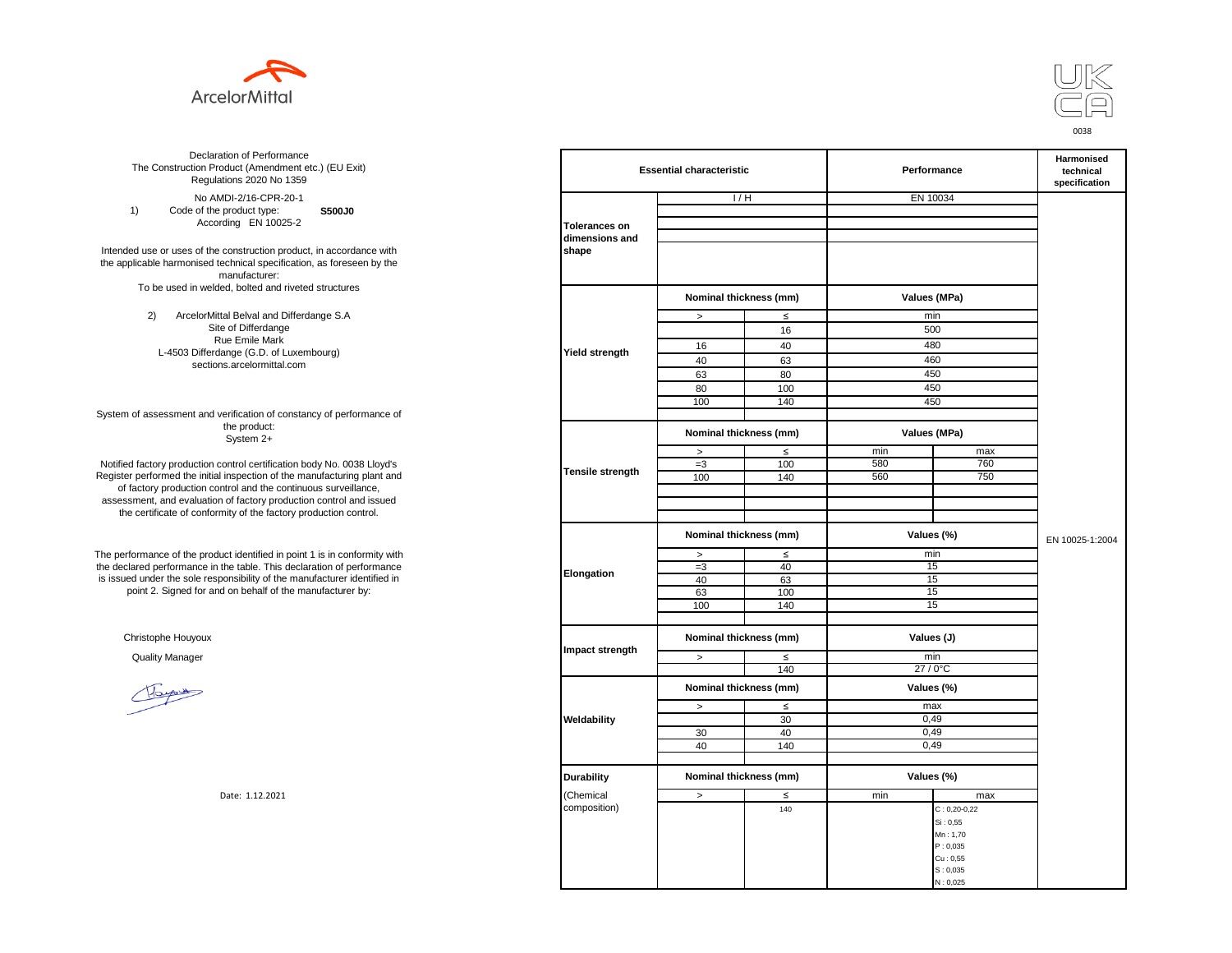



**S500J0** No AMDI-2/16-CPR-20-1 1) Code of the product type: According EN 10025-2

Intended use or uses of the construction product, in accordance with the applicable harmonised technical specification, as foreseen by the manufacturer: To be used in welded, bolted and riveted structures

> 2) ArcelorMittal Belval and Differdange S.A Site of Differdange Rue Emile Mark L-4503 Differdange (G.D. of Luxembourg) sections.arcelormittal.com

System of assessment and verification of constancy of performance of the product: System 2+

Notified factory production control certification body No. 0038 Lloyd's Register performed the initial inspection of the manufacturing plant and of factory production control and the continuous surveillance, assessment, and evaluation of factory production control and issued the certificate of conformity of the factory production control.

The performance of the product identified in point 1 is in conformity with the declared performance in the table. This declaration of performance is issued under the sole responsibility of the manufacturer identified in point 2. Signed for and on behalf of the manufacturer by:

Christophe Houyoux

| ation of Performance<br>oduct (Amendment etc.) (EU Exit)<br>ations 2020 No 1359                                               | <b>Essential characteristic</b> |                        |        | Performance  | Harmonised<br>technical<br>specification |                 |
|-------------------------------------------------------------------------------------------------------------------------------|---------------------------------|------------------------|--------|--------------|------------------------------------------|-----------------|
| /IDI-2/16-CPR-20-1                                                                                                            |                                 | 1/H                    |        | EN 10034     |                                          |                 |
| product type:<br>S500J0                                                                                                       |                                 |                        |        |              |                                          |                 |
| rding EN 10025-2                                                                                                              | <b>Tolerances on</b>            |                        |        |              |                                          |                 |
| construction product, in accordance with<br>echnical specification, as foreseen by the<br>manufacturer:                       | dimensions and<br>shape         |                        |        |              |                                          |                 |
| ed, bolted and riveted structures                                                                                             |                                 | Nominal thickness (mm) |        | Values (MPa) |                                          |                 |
| tal Belval and Differdange S.A                                                                                                |                                 | $\, >$                 | $\leq$ | min          |                                          |                 |
| e of Differdange                                                                                                              |                                 |                        | 16     | 500          |                                          |                 |
| ue Emile Mark                                                                                                                 |                                 | 16                     | 40     | 480          |                                          |                 |
| ange (G.D. of Luxembourg)                                                                                                     | <b>Yield strength</b>           |                        |        |              |                                          |                 |
| ns.arcelormittal.com                                                                                                          |                                 | 40                     | 63     | 460          |                                          |                 |
|                                                                                                                               |                                 | 63                     | 80     | 450          |                                          |                 |
|                                                                                                                               |                                 | 80                     | 100    | 450          |                                          |                 |
|                                                                                                                               |                                 | 100                    | 140    | 450          |                                          |                 |
| verification of constancy of performance of<br>the product:<br>System 2+                                                      |                                 | Nominal thickness (mm) |        | Values (MPa) |                                          |                 |
|                                                                                                                               |                                 | $\, >$                 | $\leq$ | min          | max                                      |                 |
| control certification body No. 0038 Lloyd's                                                                                   |                                 | $=3$                   | 100    | 580          | 760                                      |                 |
| inspection of the manufacturing plant and                                                                                     | <b>Tensile strength</b>         | 100                    | 140    | 560          | 750                                      |                 |
| ntrol and the continuous surveillance,<br>of factory production control and issued<br>mity of the factory production control. |                                 |                        |        |              |                                          |                 |
|                                                                                                                               |                                 | Nominal thickness (mm) |        | Values (%)   |                                          | EN 10025-1:2004 |
| uct identified in point 1 is in conformity with                                                                               |                                 | $\,>$                  | $\leq$ |              | min                                      |                 |
| the table. This declaration of performance                                                                                    | Elongation                      | $=3$                   | 40     | 15           |                                          |                 |
| ponsibility of the manufacturer identified in                                                                                 |                                 | 40                     | 63     |              | 15                                       |                 |
| d on behalf of the manufacturer by:                                                                                           |                                 | 63                     | 100    | 15           |                                          |                 |
|                                                                                                                               |                                 | 100                    | 140    | 15           |                                          |                 |
|                                                                                                                               |                                 |                        |        |              |                                          |                 |
|                                                                                                                               | Impact strength                 | Nominal thickness (mm) |        | Values (J)   |                                          |                 |
|                                                                                                                               |                                 | $\, >$                 | ≤      | min          |                                          |                 |
|                                                                                                                               |                                 |                        | 140    | 27 / 0°C     |                                          |                 |
|                                                                                                                               |                                 | Nominal thickness (mm) |        | Values (%)   |                                          |                 |
|                                                                                                                               |                                 | $\, >$                 | $\leq$ | max          |                                          |                 |
|                                                                                                                               | Weldability                     |                        | 30     | 0,49         |                                          |                 |
|                                                                                                                               |                                 | 30                     | 40     | 0,49         |                                          |                 |
|                                                                                                                               |                                 | 40                     | 140    | 0,49         |                                          |                 |
|                                                                                                                               |                                 |                        |        |              |                                          |                 |
|                                                                                                                               | <b>Durability</b>               | Nominal thickness (mm) |        | Values (%)   |                                          |                 |
| Date: 1.12.2021                                                                                                               | (Chemical                       | $\geq$                 | ≤      | min          | max                                      |                 |
|                                                                                                                               | composition)                    |                        | 140    |              | $C: 0,20-0,22$                           |                 |
|                                                                                                                               |                                 |                        |        |              | Si: 0,55                                 |                 |
|                                                                                                                               |                                 |                        |        |              | Mn: 1,70                                 |                 |
|                                                                                                                               |                                 |                        |        |              | P: 0,035                                 |                 |
|                                                                                                                               |                                 |                        |        |              | Cu: 0,55<br>S: 0,035                     |                 |
|                                                                                                                               |                                 |                        |        |              | N: 0,025                                 |                 |
|                                                                                                                               |                                 |                        |        |              |                                          |                 |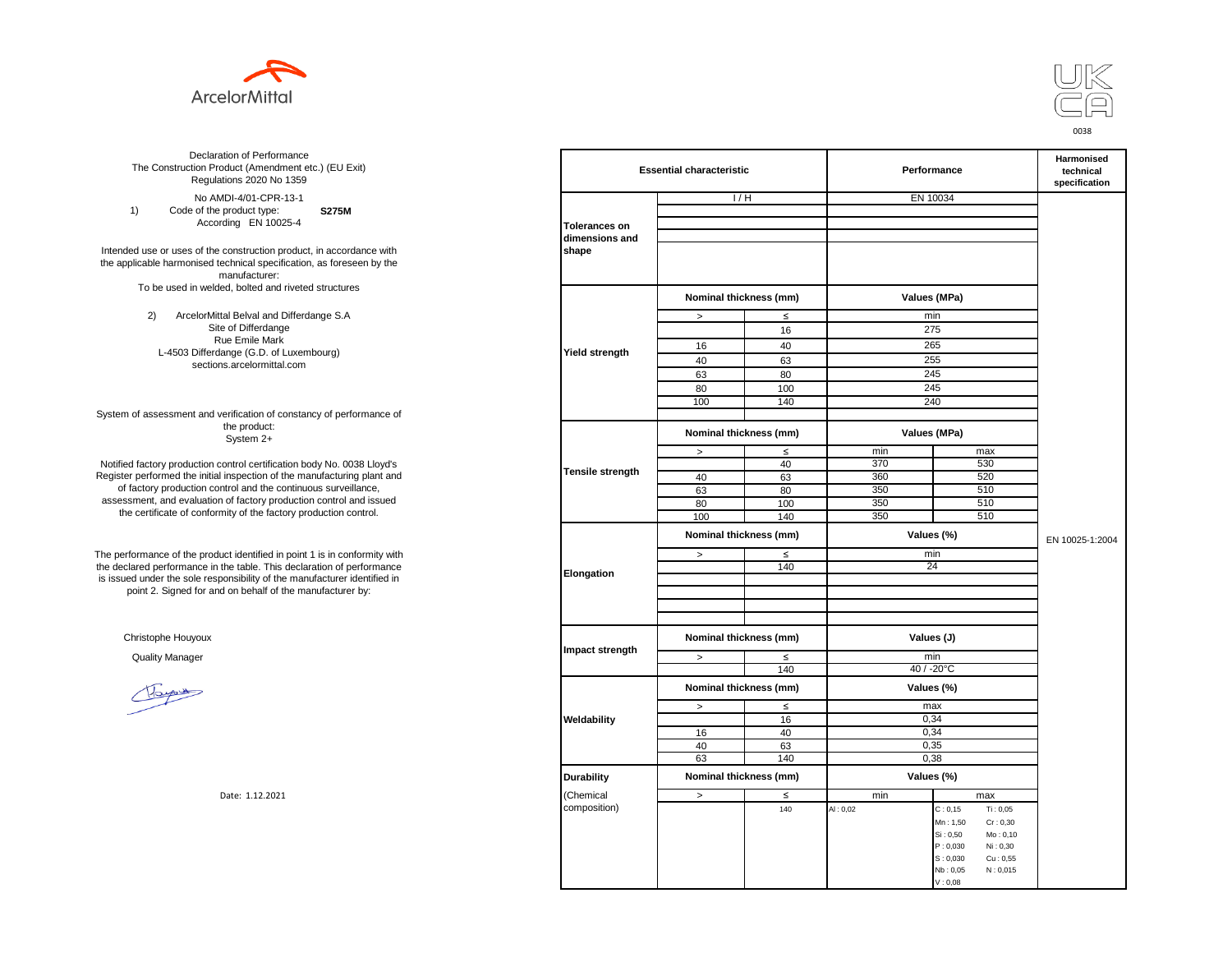



**S275M**  No AMDI-4/01-CPR-13-1 1) Code of the product type: According EN 10025-4

Intended use or uses of the construction product, in accordance with the applicable harmonised technical specification, as foreseen by the manufacturer: To be used in welded, bolted and riveted structures

> 2) ArcelorMittal Belval and Differdange S.A Site of Differdange Rue Emile Mark L-4503 Differdange (G.D. of Luxembourg) sections.arcelormittal.com

System of assessment and verification of constancy of performance of the product: System 2+

Notified factory production control certification body No. 0038 Lloyd's Register performed the initial inspection of the manufacturing plant and of factory production control and the continuous surveillance, assessment, and evaluation of factory production control and issued the certificate of conformity of the factory production control.

The performance of the product identified in point 1 is in conformity with the declared performance in the table. This declaration of performance is issued under the sole responsibility of the manufacturer identified in point 2. Signed for and on behalf of the manufacturer by:

Christophe Houyoux

| ation of Performance<br>oduct (Amendment etc.) (EU Exit)<br>ations 2020 No 1359 | <b>Essential characteristic</b> |                        |        | Performance  | <b>Harmonised</b><br>technical<br>specification |                 |
|---------------------------------------------------------------------------------|---------------------------------|------------------------|--------|--------------|-------------------------------------------------|-----------------|
| /IDI-4/01-CPR-13-1                                                              |                                 | 1/H                    |        |              | EN 10034                                        |                 |
| product type:<br><b>S275M</b>                                                   |                                 |                        |        |              |                                                 |                 |
| rding EN 10025-4                                                                | <b>Tolerances on</b>            |                        |        |              |                                                 |                 |
|                                                                                 | dimensions and                  |                        |        |              |                                                 |                 |
| construction product, in accordance with                                        | shape                           |                        |        |              |                                                 |                 |
| echnical specification, as foreseen by the                                      |                                 |                        |        |              |                                                 |                 |
| manufacturer:                                                                   |                                 |                        |        |              |                                                 |                 |
| ed, bolted and riveted structures                                               |                                 |                        |        |              |                                                 |                 |
|                                                                                 |                                 | Nominal thickness (mm) |        | Values (MPa) |                                                 |                 |
| tal Belval and Differdange S.A                                                  |                                 | $\, >$                 | $\leq$ | min          |                                                 |                 |
| e of Differdange                                                                |                                 |                        | 16     | 275          |                                                 |                 |
| ue Emile Mark                                                                   |                                 | 16                     | 40     | 265          |                                                 |                 |
| ange (G.D. of Luxembourg)                                                       | Yield strength                  |                        |        |              |                                                 |                 |
| ns.arcelormittal.com                                                            |                                 | 40                     | 63     | 255          |                                                 |                 |
|                                                                                 |                                 | 63                     | 80     | 245          |                                                 |                 |
|                                                                                 |                                 | 80                     | 100    | 245          |                                                 |                 |
|                                                                                 |                                 | 100                    | 140    |              | 240                                             |                 |
| verification of constancy of performance of                                     |                                 |                        |        |              |                                                 |                 |
| the product:<br>System 2+                                                       |                                 | Nominal thickness (mm) |        | Values (MPa) |                                                 |                 |
|                                                                                 |                                 | $\, >$                 | $\leq$ | min          | max                                             |                 |
| control certification body No. 0038 Lloyd's                                     | Tensile strength                |                        | 40     | 370          | 530                                             |                 |
| inspection of the manufacturing plant and                                       |                                 | 40                     | 63     | 360          | 520                                             |                 |
| ntrol and the continuous surveillance,                                          |                                 | 63                     | 80     | 350          | 510                                             |                 |
| of factory production control and issued                                        |                                 | 80                     | 100    | 350          | 510                                             |                 |
| mity of the factory production control.                                         |                                 | 100                    | 140    | 350          | 510                                             |                 |
|                                                                                 |                                 | Nominal thickness (mm) |        |              | Values (%)                                      | EN 10025-1:2004 |
| uct identified in point 1 is in conformity with                                 |                                 | $\, >$                 | $\leq$ | min          |                                                 |                 |
| the table. This declaration of performance                                      |                                 |                        | 140    | 24           |                                                 |                 |
| ponsibility of the manufacturer identified in                                   | Elongation                      |                        |        |              |                                                 |                 |
| d on behalf of the manufacturer by:                                             |                                 |                        |        |              |                                                 |                 |
|                                                                                 |                                 |                        |        |              |                                                 |                 |
|                                                                                 |                                 |                        |        |              |                                                 |                 |
|                                                                                 |                                 | Nominal thickness (mm) |        | Values (J)   |                                                 |                 |
|                                                                                 | Impact strength                 |                        |        |              |                                                 |                 |
|                                                                                 |                                 | $\geq$                 | $\leq$ | min          |                                                 |                 |
|                                                                                 |                                 |                        | 140    |              | 40 / -20°C                                      |                 |
|                                                                                 |                                 | Nominal thickness (mm) |        |              | Values (%)                                      |                 |
|                                                                                 |                                 |                        |        |              |                                                 |                 |
|                                                                                 |                                 | $\geq$                 | $\leq$ | max          |                                                 |                 |
|                                                                                 | Weldability                     |                        | 16     | 0,34         |                                                 |                 |
|                                                                                 |                                 | 16                     | 40     | 0,34         |                                                 |                 |
|                                                                                 |                                 | 40                     | 63     | 0,35         |                                                 |                 |
|                                                                                 |                                 | 63                     | 140    |              | 0,38                                            |                 |
|                                                                                 | <b>Durability</b>               | Nominal thickness (mm) |        |              | Values (%)                                      |                 |
| Date: 1.12.2021                                                                 | (Chemical                       | $\geq$                 | $\leq$ | min          | max                                             |                 |
|                                                                                 | composition)                    |                        | 140    | AI: 0,02     | Ti: 0,05<br>C: 0, 15                            |                 |
|                                                                                 |                                 |                        |        |              | Mn: 1,50<br>Cr: 0,30                            |                 |
|                                                                                 |                                 |                        |        |              | Si: 0,50<br>Mo: 0,10                            |                 |
|                                                                                 |                                 |                        |        |              | P: 0,030<br>Ni: 0,30                            |                 |
|                                                                                 |                                 |                        |        |              | S: 0,030<br>Cu: 0,55                            |                 |
|                                                                                 |                                 |                        |        |              | N: 0,015<br>Nb: 0,05                            |                 |
|                                                                                 |                                 |                        |        |              | V: 0,08                                         |                 |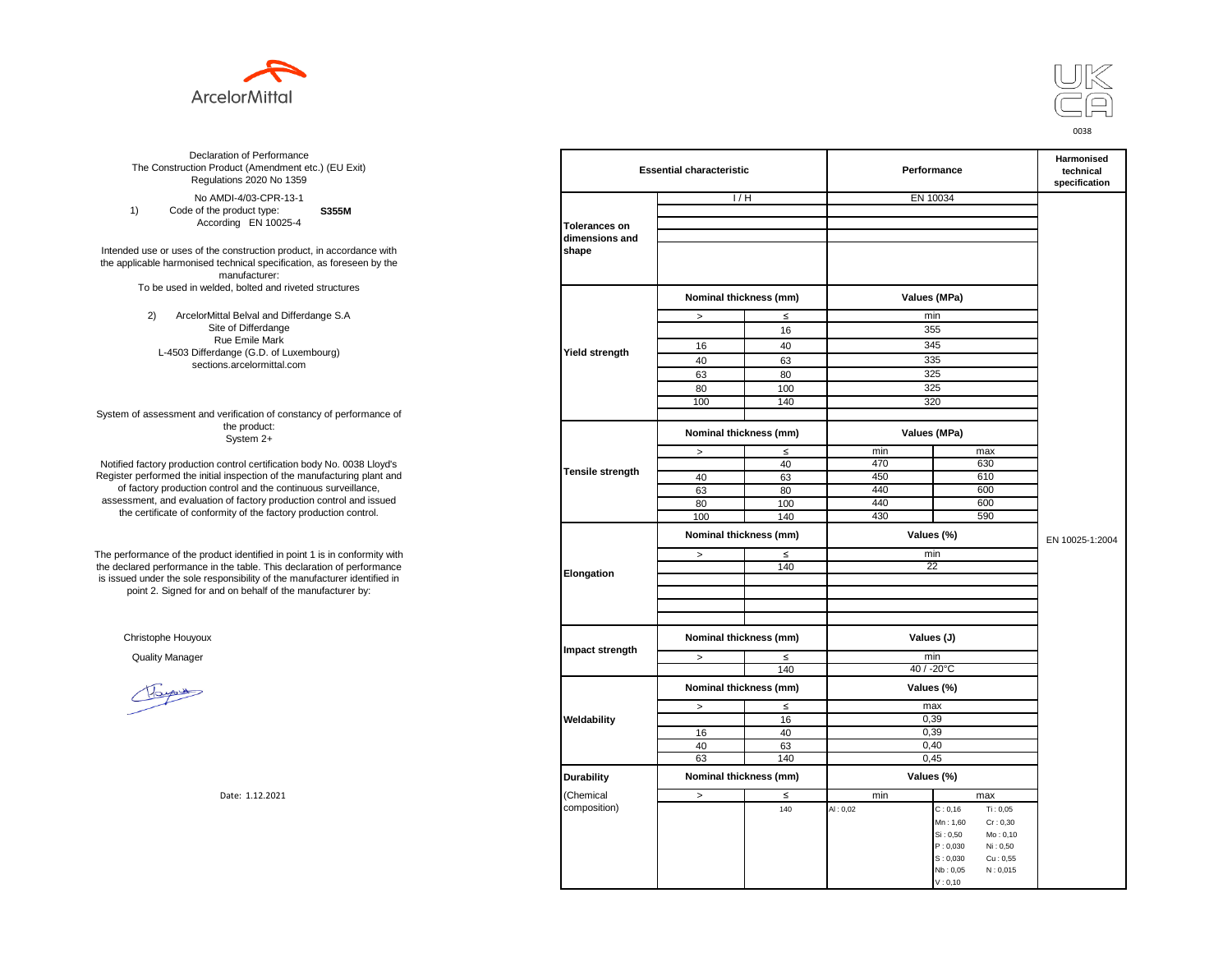



**S355M**  No AMDI-4/03-CPR-13-1 1) Code of the product type: According EN 10025-4

Intended use or uses of the construction product, in accordance with the applicable harmonised technical specification, as foreseen by the manufacturer: To be used in welded, bolted and riveted structures

> 2) ArcelorMittal Belval and Differdange S.A Site of Differdange Rue Emile Mark L-4503 Differdange (G.D. of Luxembourg) sections.arcelormittal.com

System of assessment and verification of constancy of performance of the product: System 2+

Notified factory production control certification body No. 0038 Lloyd's Register performed the initial inspection of the manufacturing plant and of factory production control and the continuous surveillance, assessment, and evaluation of factory production control and issued the certificate of conformity of the factory production control.

The performance of the product identified in point 1 is in conformity with the declared performance in the table. This declaration of performance is issued under the sole responsibility of the manufacturer identified in point 2. Signed for and on behalf of the manufacturer by:

Christophe Houyoux

| ation of Performance<br>oduct (Amendment etc.) (EU Exit)<br>ations 2020 No 1359                         | <b>Essential characteristic</b> |                        |        | Performance  | <b>Harmonised</b><br>technical<br>specification |                 |
|---------------------------------------------------------------------------------------------------------|---------------------------------|------------------------|--------|--------------|-------------------------------------------------|-----------------|
| /IDI-4/03-CPR-13-1                                                                                      |                                 | 1/H                    |        | EN 10034     |                                                 |                 |
| product type:<br>S355M                                                                                  |                                 |                        |        |              |                                                 |                 |
| rding EN 10025-4                                                                                        | <b>Tolerances on</b>            |                        |        |              |                                                 |                 |
| construction product, in accordance with<br>echnical specification, as foreseen by the<br>manufacturer: | dimensions and<br>shape         |                        |        |              |                                                 |                 |
| ed, bolted and riveted structures                                                                       |                                 | Nominal thickness (mm) |        | Values (MPa) |                                                 |                 |
| tal Belval and Differdange S.A                                                                          |                                 | $\, >$                 | $\leq$ | min          |                                                 |                 |
| e of Differdange                                                                                        |                                 |                        | 16     | 355          |                                                 |                 |
| ue Emile Mark                                                                                           |                                 | 16                     | 40     | 345          |                                                 |                 |
| ange (G.D. of Luxembourg)                                                                               | <b>Yield strength</b>           | 40                     | 63     | 335          |                                                 |                 |
| ns.arcelormittal.com                                                                                    |                                 | 63                     | 80     | 325          |                                                 |                 |
|                                                                                                         |                                 |                        |        |              |                                                 |                 |
|                                                                                                         |                                 | 80                     | 100    | 325          |                                                 |                 |
| verification of constancy of performance of                                                             |                                 | 100                    | 140    | 320          |                                                 |                 |
| the product:<br>System 2+                                                                               |                                 | Nominal thickness (mm) |        | Values (MPa) |                                                 |                 |
|                                                                                                         |                                 | $\,>$                  | $\leq$ | min          | max                                             |                 |
| control certification body No. 0038 Lloyd's                                                             |                                 |                        | 40     | 470          | 630                                             |                 |
| inspection of the manufacturing plant and                                                               | <b>Tensile strength</b>         | 40                     | 63     | 450          | 610                                             |                 |
| ntrol and the continuous surveillance,<br>of factory production control and issued                      |                                 | 63                     | 80     | 440          | 600                                             |                 |
|                                                                                                         |                                 | 80                     | 100    | 440          | 600                                             |                 |
| mity of the factory production control.                                                                 |                                 | 100                    | 140    | 430          | 590                                             |                 |
| uct identified in point 1 is in conformity with                                                         | Elongation                      | Nominal thickness (mm) |        | Values (%)   |                                                 | EN 10025-1:2004 |
|                                                                                                         |                                 | $\geq$                 | $\leq$ | min          |                                                 |                 |
| the table. This declaration of performance                                                              |                                 |                        | 140    | 22           |                                                 |                 |
| ponsibility of the manufacturer identified in                                                           |                                 |                        |        |              |                                                 |                 |
| d on behalf of the manufacturer by:                                                                     |                                 |                        |        |              |                                                 |                 |
|                                                                                                         |                                 |                        |        |              |                                                 |                 |
|                                                                                                         |                                 |                        |        |              |                                                 |                 |
|                                                                                                         | Impact strength                 | Nominal thickness (mm) |        | Values (J)   |                                                 |                 |
|                                                                                                         |                                 | $\rightarrow$          | $\leq$ | min          |                                                 |                 |
|                                                                                                         |                                 |                        | 140    | 40 / -20°C   |                                                 |                 |
|                                                                                                         |                                 | Nominal thickness (mm) |        | Values (%)   |                                                 |                 |
|                                                                                                         |                                 | $\, >$                 | $\leq$ | max          |                                                 |                 |
|                                                                                                         | Weldability                     |                        | 16     | 0,39         |                                                 |                 |
|                                                                                                         |                                 | 16                     | 40     | 0,39         |                                                 |                 |
|                                                                                                         |                                 | 40                     | 63     | 0,40         |                                                 |                 |
|                                                                                                         |                                 | 63                     | 140    | 0,45         |                                                 |                 |
|                                                                                                         | <b>Durability</b>               | Nominal thickness (mm) |        | Values (%)   |                                                 |                 |
| Date: 1.12.2021                                                                                         | (Chemical                       | $\geq$                 | $\leq$ | min          | max                                             |                 |
|                                                                                                         | composition)                    |                        | 140    | AI: 0,02     | Ti: 0,05<br>C: 0, 16                            |                 |
|                                                                                                         |                                 |                        |        |              | Mn: 1,60<br>Cr: 0,30                            |                 |
|                                                                                                         |                                 |                        |        |              | Si: 0,50<br>Mo: 0,10                            |                 |
|                                                                                                         |                                 |                        |        |              | P: 0,030<br>Ni: 0,50                            |                 |
|                                                                                                         |                                 |                        |        |              | S: 0,030<br>Cu: 0,55                            |                 |
|                                                                                                         |                                 |                        |        |              | Nb: 0,05<br>N: 0,015                            |                 |
|                                                                                                         |                                 |                        |        |              | V: 0, 10                                        |                 |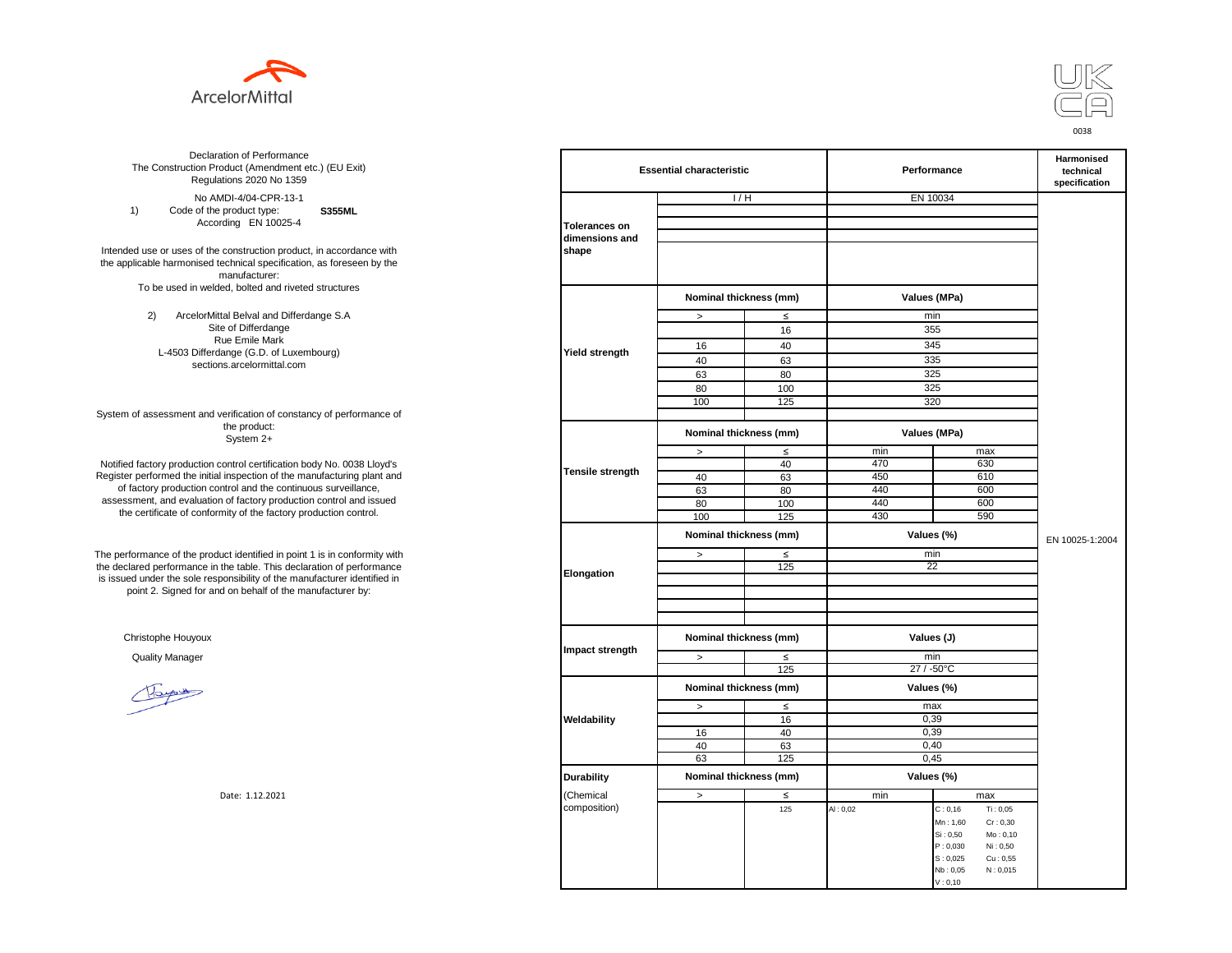



**S355ML**  No AMDI-4/04-CPR-13-1 1) Code of the product type: According EN 10025-4

Intended use or uses of the construction product, in accordance with the applicable harmonised technical specification, as foreseen by the manufacturer: To be used in welded, bolted and riveted structures

> 2) ArcelorMittal Belval and Differdange S.A Site of Differdange Rue Emile Mark L-4503 Differdange (G.D. of Luxembourg) sections.arcelormittal.com

System of assessment and verification of constancy of performance of the product: System 2+

Notified factory production control certification body No. 0038 Lloyd's Register performed the initial inspection of the manufacturing plant and of factory production control and the continuous surveillance, assessment, and evaluation of factory production control and issued the certificate of conformity of the factory production control.

The performance of the product identified in point 1 is in conformity with the declared performance in the table. This declaration of performance is issued under the sole responsibility of the manufacturer identified in point 2. Signed for and on behalf of the manufacturer by:

Christophe Houyoux

| ation of Performance<br>oduct (Amendment etc.) (EU Exit)<br>ations 2020 No 1359                         | <b>Essential characteristic</b> |                        |        | Performance  | Harmonised<br>technical<br>specification |                 |
|---------------------------------------------------------------------------------------------------------|---------------------------------|------------------------|--------|--------------|------------------------------------------|-----------------|
| /IDI-4/04-CPR-13-1                                                                                      |                                 | 1/H                    |        | EN 10034     |                                          |                 |
| product type:<br><b>S355ML</b>                                                                          |                                 |                        |        |              |                                          |                 |
| rding EN 10025-4                                                                                        | <b>Tolerances on</b>            |                        |        |              |                                          |                 |
|                                                                                                         | dimensions and                  |                        |        |              |                                          |                 |
| construction product, in accordance with<br>echnical specification, as foreseen by the<br>manufacturer: | shape                           |                        |        |              |                                          |                 |
| ed, bolted and riveted structures                                                                       |                                 | Nominal thickness (mm) |        |              | Values (MPa)                             |                 |
|                                                                                                         |                                 |                        |        |              |                                          |                 |
| tal Belval and Differdange S.A                                                                          |                                 | $\, >$                 | $\leq$ | min          |                                          |                 |
| e of Differdange<br>ue Emile Mark                                                                       |                                 |                        | 16     | 355          |                                          |                 |
| ange (G.D. of Luxembourg)                                                                               | Yield strength                  | 16                     | 40     | 345          |                                          |                 |
| ns.arcelormittal.com                                                                                    |                                 | 40                     | 63     | 335          |                                          |                 |
|                                                                                                         |                                 | 63                     | 80     | 325          |                                          |                 |
|                                                                                                         |                                 | 80                     | 100    | 325          |                                          |                 |
|                                                                                                         |                                 | 100                    | 125    | 320          |                                          |                 |
| verification of constancy of performance of                                                             |                                 |                        |        |              |                                          |                 |
| the product:<br>System 2+                                                                               |                                 | Nominal thickness (mm) |        | Values (MPa) |                                          |                 |
|                                                                                                         |                                 | $\, >$                 | $\leq$ | min          | max                                      |                 |
| control certification body No. 0038 Lloyd's                                                             |                                 |                        | 40     | 470          | 630                                      |                 |
| inspection of the manufacturing plant and                                                               | Tensile strength                | 40                     | 63     | 450          | 610                                      |                 |
| ntrol and the continuous surveillance,                                                                  |                                 | 63                     | 80     | 440          | 600                                      |                 |
| of factory production control and issued                                                                |                                 | 80                     | 100    | 440          | 600                                      |                 |
| mity of the factory production control.                                                                 |                                 | 100                    | 125    | 430          | 590                                      |                 |
|                                                                                                         |                                 | Nominal thickness (mm) |        | Values (%)   |                                          | EN 10025-1:2004 |
| uct identified in point 1 is in conformity with                                                         | Elongation                      | $\, >$                 | $\leq$ | min          |                                          |                 |
| the table. This declaration of performance                                                              |                                 |                        | 125    | 22           |                                          |                 |
| ponsibility of the manufacturer identified in                                                           |                                 |                        |        |              |                                          |                 |
| d on behalf of the manufacturer by:                                                                     |                                 |                        |        |              |                                          |                 |
|                                                                                                         |                                 |                        |        |              |                                          |                 |
|                                                                                                         |                                 |                        |        |              |                                          |                 |
|                                                                                                         | Impact strength                 | Nominal thickness (mm) |        | Values (J)   |                                          |                 |
|                                                                                                         |                                 | $\,$                   | $\leq$ | min          |                                          |                 |
|                                                                                                         |                                 |                        | 125    | 27 / -50°C   |                                          |                 |
|                                                                                                         |                                 | Nominal thickness (mm) |        | Values (%)   |                                          |                 |
|                                                                                                         |                                 | $\,$                   | $\leq$ | max          |                                          |                 |
|                                                                                                         | Weldability                     |                        | 16     | 0,39         |                                          |                 |
|                                                                                                         |                                 | 16                     | 40     | 0,39         |                                          |                 |
|                                                                                                         |                                 | 40                     | 63     | 0,40         |                                          |                 |
|                                                                                                         |                                 | 63                     | 125    | 0,45         |                                          |                 |
|                                                                                                         | <b>Durability</b>               | Nominal thickness (mm) |        | Values (%)   |                                          |                 |
| Date: 1.12.2021                                                                                         | (Chemical                       | $\,$                   | $\leq$ | min          | max                                      |                 |
|                                                                                                         | composition)                    |                        | 125    | AI: 0,02     | Ti: 0,05<br>C: 0, 16                     |                 |
|                                                                                                         |                                 |                        |        |              | Mn: 1,60<br>Cr: 0,30                     |                 |
|                                                                                                         |                                 |                        |        |              | Si: 0,50<br>Mo: 0,10                     |                 |
|                                                                                                         |                                 |                        |        |              | P: 0,030<br>Ni: 0,50                     |                 |
|                                                                                                         |                                 |                        |        |              | S: 0,025<br>$\mathrm{Cu}$ : 0,55         |                 |
|                                                                                                         |                                 |                        |        |              | N: 0,015<br>Nb: 0,05                     |                 |
|                                                                                                         |                                 |                        |        |              | V: 0, 10                                 |                 |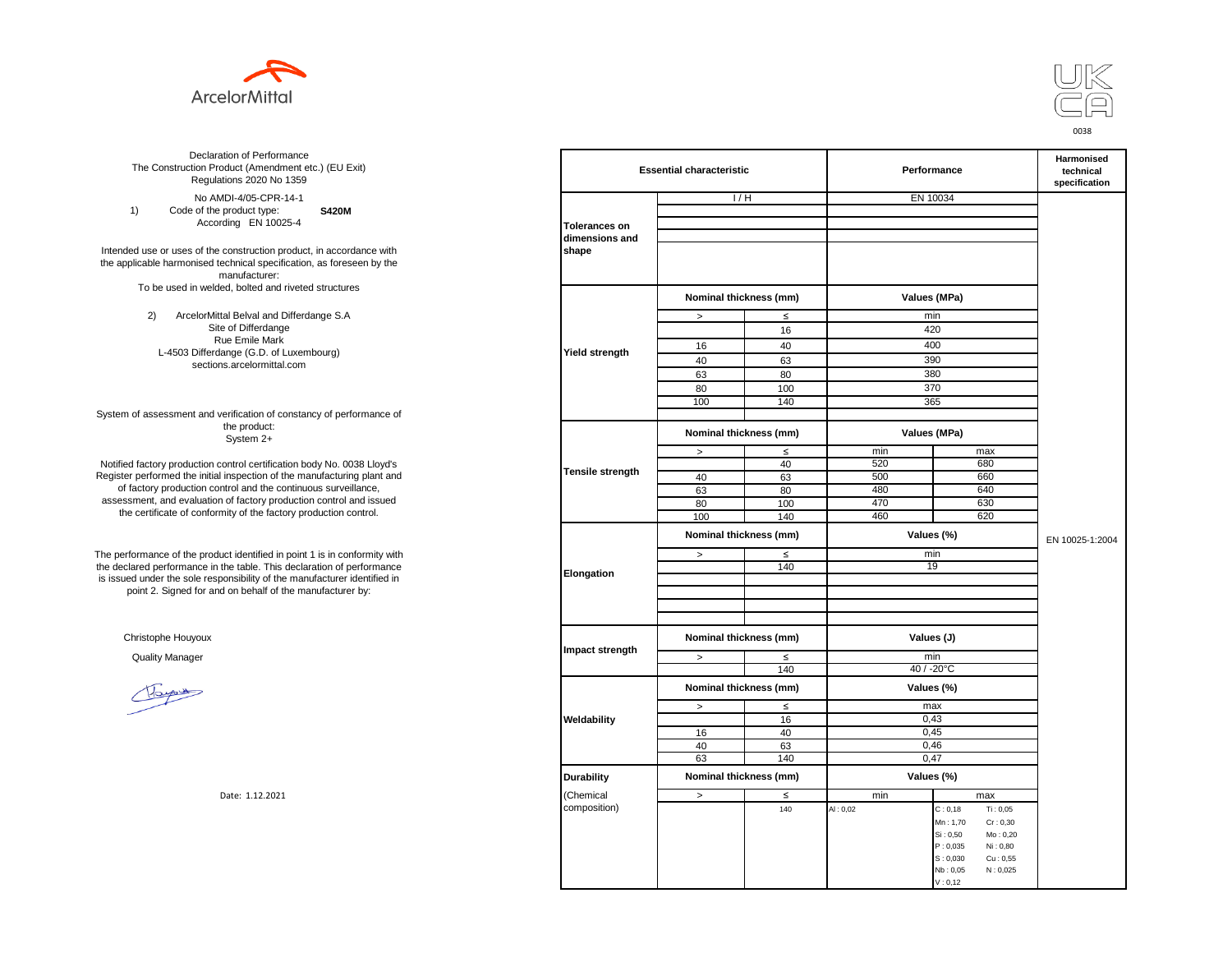



**S420M**  No AMDI-4/05-CPR-14-1 1) Code of the product type: According EN 10025-4

Intended use or uses of the construction product, in accordance with the applicable harmonised technical specification, as foreseen by the manufacturer: To be used in welded, bolted and riveted structures

> 2) ArcelorMittal Belval and Differdange S.A Site of Differdange Rue Emile Mark L-4503 Differdange (G.D. of Luxembourg) sections.arcelormittal.com

System of assessment and verification of constancy of performance of the product: System 2+

Notified factory production control certification body No. 0038 Lloyd's Register performed the initial inspection of the manufacturing plant and of factory production control and the continuous surveillance, assessment, and evaluation of factory production control and issued the certificate of conformity of the factory production control.

The performance of the product identified in point 1 is in conformity with the declared performance in the table. This declaration of performance is issued under the sole responsibility of the manufacturer identified in point 2. Signed for and on behalf of the manufacturer by:

Christophe Houyoux

| ation of Performance<br>oduct (Amendment etc.) (EU Exit)<br>ations 2020 No 1359 | <b>Essential characteristic</b> |                        |        | Performance  | <b>Harmonised</b><br>technical<br>specification |                 |
|---------------------------------------------------------------------------------|---------------------------------|------------------------|--------|--------------|-------------------------------------------------|-----------------|
| /IDI-4/05-CPR-14-1                                                              |                                 | 1/H                    |        |              | EN 10034                                        |                 |
| product type:<br><b>S420M</b>                                                   |                                 |                        |        |              |                                                 |                 |
| rding EN 10025-4                                                                | <b>Tolerances on</b>            |                        |        |              |                                                 |                 |
|                                                                                 | dimensions and                  |                        |        |              |                                                 |                 |
| construction product, in accordance with                                        | shape                           |                        |        |              |                                                 |                 |
| echnical specification, as foreseen by the                                      |                                 |                        |        |              |                                                 |                 |
| manufacturer:                                                                   |                                 |                        |        |              |                                                 |                 |
| ed, bolted and riveted structures                                               |                                 |                        |        |              |                                                 |                 |
|                                                                                 |                                 | Nominal thickness (mm) |        | Values (MPa) |                                                 |                 |
| tal Belval and Differdange S.A                                                  |                                 | $\, >$                 | $\leq$ | min          |                                                 |                 |
| e of Differdange                                                                |                                 |                        | 16     | 420          |                                                 |                 |
| ue Emile Mark                                                                   |                                 | 16                     | 40     | 400          |                                                 |                 |
| ange (G.D. of Luxembourg)                                                       | Yield strength                  |                        |        |              |                                                 |                 |
| ns.arcelormittal.com                                                            |                                 | 40                     | 63     | 390          |                                                 |                 |
|                                                                                 |                                 | 63                     | 80     | 380          |                                                 |                 |
|                                                                                 |                                 | 80                     | 100    | 370          |                                                 |                 |
|                                                                                 |                                 | 100                    | 140    | 365          |                                                 |                 |
| verification of constancy of performance of                                     |                                 |                        |        |              |                                                 |                 |
| the product:<br>System 2+                                                       |                                 | Nominal thickness (mm) |        | Values (MPa) |                                                 |                 |
|                                                                                 |                                 | $\, >$                 | $\leq$ | min          | max                                             |                 |
| control certification body No. 0038 Lloyd's                                     | Tensile strength                |                        | 40     | 520          | 680                                             |                 |
| inspection of the manufacturing plant and                                       |                                 | 40                     | 63     | 500          | 660                                             |                 |
| ntrol and the continuous surveillance,                                          |                                 | 63                     | 80     | 480          | 640                                             |                 |
| of factory production control and issued                                        |                                 | 80                     | 100    | 470          | 630                                             |                 |
| mity of the factory production control.                                         |                                 | 100                    | 140    | 460          | 620                                             |                 |
|                                                                                 |                                 | Nominal thickness (mm) |        |              | Values (%)                                      | EN 10025-1:2004 |
| uct identified in point 1 is in conformity with                                 | Elongation                      | $\, >$                 | $\leq$ | min          |                                                 |                 |
| the table. This declaration of performance                                      |                                 |                        | 140    | 19           |                                                 |                 |
| ponsibility of the manufacturer identified in                                   |                                 |                        |        |              |                                                 |                 |
| d on behalf of the manufacturer by:                                             |                                 |                        |        |              |                                                 |                 |
|                                                                                 |                                 |                        |        |              |                                                 |                 |
|                                                                                 |                                 |                        |        |              |                                                 |                 |
|                                                                                 |                                 | Nominal thickness (mm) |        | Values (J)   |                                                 |                 |
|                                                                                 | Impact strength                 |                        |        |              |                                                 |                 |
|                                                                                 |                                 | $\geq$                 | $\leq$ | min          |                                                 |                 |
|                                                                                 |                                 |                        | 140    |              | 40 / -20°C                                      |                 |
|                                                                                 |                                 | Nominal thickness (mm) |        |              | Values (%)                                      |                 |
|                                                                                 |                                 |                        |        |              |                                                 |                 |
|                                                                                 |                                 | $\geq$                 | $\leq$ | max          |                                                 |                 |
|                                                                                 | Weldability                     |                        | 16     |              | 0,43                                            |                 |
|                                                                                 |                                 | 16                     | 40     | 0,45         |                                                 |                 |
|                                                                                 |                                 | 40                     | 63     | 0,46         |                                                 |                 |
|                                                                                 |                                 | 63                     | 140    |              | 0,47                                            |                 |
|                                                                                 | <b>Durability</b>               | Nominal thickness (mm) |        |              | Values (%)                                      |                 |
| Date: 1.12.2021                                                                 | (Chemical                       | $\geq$                 | $\leq$ | min          | max                                             |                 |
|                                                                                 | composition)                    |                        | 140    | AI: 0,02     | Ti: 0,05<br>C: 0, 18                            |                 |
|                                                                                 |                                 |                        |        |              | Mn: 1,70<br>Cr: 0,30                            |                 |
|                                                                                 |                                 |                        |        |              | Si: 0,50<br>Mo: 0,20                            |                 |
|                                                                                 |                                 |                        |        |              | P: 0,035<br>Ni: 0,80                            |                 |
|                                                                                 |                                 |                        |        |              | S: 0,030<br>Cu: 0,55                            |                 |
|                                                                                 |                                 |                        |        |              | N: 0,025<br>Nb: 0,05                            |                 |
|                                                                                 |                                 |                        |        |              | V: 0, 12                                        |                 |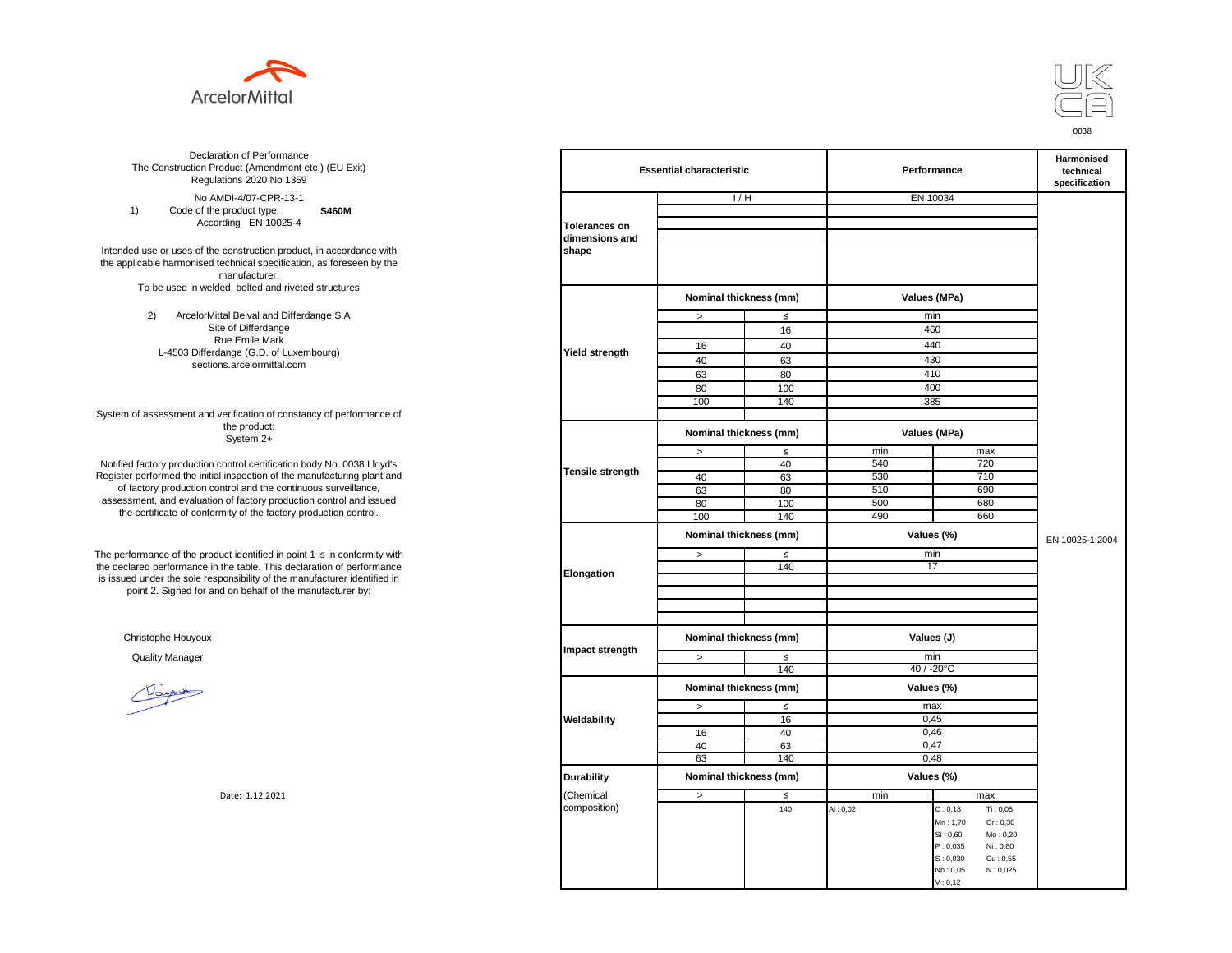



**S460M**  No AMDI-4/07-CPR-13-1 1) Code of the product type: According EN 10025-4

Intended use or uses of the construction product, in accordance with the applicable harmonised technical specification, as foreseen by the manufacturer: To be used in welded, bolted and riveted structures

> 2) ArcelorMittal Belval and Differdange S.A Site of Differdange Rue Emile Mark L-4503 Differdange (G.D. of Luxembourg) sections.arcelormittal.com

System of assessment and verification of constancy of performance of the product: System 2+

Notified factory production control certification body No. 0038 Lloyd's Register performed the initial inspection of the manufacturing plant and of factory production control and the continuous surveillance, assessment, and evaluation of factory production control and issued the certificate of conformity of the factory production control.

The performance of the product identified in point 1 is in conformity with the declared performance in the table. This declaration of performance is issued under the sole responsibility of the manufacturer identified in point 2. Signed for and on behalf of the manufacturer by:

Christophe Houyoux

| ation of Performance<br>oduct (Amendment etc.) (EU Exit)<br>ations 2020 No 1359                                                    | <b>Essential characteristic</b> |                        |        | Performance | <b>Harmonised</b><br>technical<br>specification |                 |
|------------------------------------------------------------------------------------------------------------------------------------|---------------------------------|------------------------|--------|-------------|-------------------------------------------------|-----------------|
| /IDI-4/07-CPR-13-1                                                                                                                 |                                 | 1/H                    |        |             | EN 10034                                        |                 |
| product type:<br><b>S460M</b>                                                                                                      |                                 |                        |        |             |                                                 |                 |
| rding EN 10025-4                                                                                                                   | <b>Tolerances on</b>            |                        |        |             |                                                 |                 |
| construction product, in accordance with<br>echnical specification, as foreseen by the<br>manufacturer:                            | dimensions and<br>shape         |                        |        |             |                                                 |                 |
| ed, bolted and riveted structures                                                                                                  |                                 | Nominal thickness (mm) |        |             | Values (MPa)                                    |                 |
| tal Belval and Differdange S.A                                                                                                     |                                 | $\, >$                 | $\leq$ |             | min                                             |                 |
| e of Differdange                                                                                                                   |                                 |                        | 16     |             | 460                                             |                 |
| ue Emile Mark                                                                                                                      |                                 | 16                     | 40     |             | 440                                             |                 |
| ange (G.D. of Luxembourg)                                                                                                          | Yield strength                  | 40                     | 63     |             | 430                                             |                 |
| ns.arcelormittal.com                                                                                                               |                                 | 63                     | 80     |             | 410                                             |                 |
|                                                                                                                                    |                                 |                        |        |             |                                                 |                 |
|                                                                                                                                    |                                 | 80                     | 100    |             | 400                                             |                 |
| verification of constancy of performance of                                                                                        |                                 | 100                    | 140    |             | 385                                             |                 |
| the product:<br>System 2+                                                                                                          |                                 | Nominal thickness (mm) |        |             | Values (MPa)                                    |                 |
|                                                                                                                                    |                                 | $\, >$                 | $\leq$ | min         | max                                             |                 |
| control certification body No. 0038 Lloyd's                                                                                        | Tensile strength                |                        | 40     | 540         | 720                                             |                 |
| inspection of the manufacturing plant and                                                                                          |                                 | 40                     | 63     | 530         | 710                                             |                 |
| ntrol and the continuous surveillance,<br>n of factory production control and issued<br>mity of the factory production control.    |                                 | 63                     | 80     | 510         | 690                                             |                 |
|                                                                                                                                    |                                 | 80                     | 100    | 500         | 680                                             |                 |
|                                                                                                                                    |                                 | 100                    | 140    | 490         | 660                                             |                 |
|                                                                                                                                    | Elongation                      | Nominal thickness (mm) |        |             | Values (%)                                      | EN 10025-1:2004 |
| uct identified in point 1 is in conformity with                                                                                    |                                 | $\,>$                  | $\leq$ | min<br>17   |                                                 |                 |
| the table. This declaration of performance<br>ponsibility of the manufacturer identified in<br>d on behalf of the manufacturer by: |                                 |                        | 140    |             |                                                 |                 |
|                                                                                                                                    |                                 |                        |        |             |                                                 |                 |
|                                                                                                                                    |                                 |                        |        |             |                                                 |                 |
|                                                                                                                                    | Impact strength                 | Nominal thickness (mm) |        | Values (J)  |                                                 |                 |
|                                                                                                                                    |                                 | $\, >$                 | $\leq$ |             | min                                             |                 |
|                                                                                                                                    |                                 |                        | 140    |             | 40 / -20°C                                      |                 |
|                                                                                                                                    |                                 | Nominal thickness (mm) |        |             | Values (%)                                      |                 |
|                                                                                                                                    |                                 | $\, >$                 | $\leq$ |             | max                                             |                 |
|                                                                                                                                    | Weldability                     |                        | 16     |             | 0,45                                            |                 |
|                                                                                                                                    |                                 | 16                     | 40     |             | 0,46                                            |                 |
|                                                                                                                                    |                                 | 40                     | 63     |             | 0,47                                            |                 |
|                                                                                                                                    |                                 | 63                     | 140    |             | 0,48                                            |                 |
|                                                                                                                                    | <b>Durability</b>               | Nominal thickness (mm) |        |             | Values (%)                                      |                 |
| Date: 1.12.2021                                                                                                                    | (Chemical                       | $\, >$                 | $\leq$ | min         | max                                             |                 |
|                                                                                                                                    | composition)                    |                        | 140    | AI: 0,02    | C: 0, 18<br>Ti: 0,05                            |                 |
|                                                                                                                                    |                                 |                        |        |             | Mn: 1,70<br>Cr: 0,30                            |                 |
|                                                                                                                                    |                                 |                        |        |             | Si: 0,60<br>Mo: 0,20                            |                 |
|                                                                                                                                    |                                 |                        |        |             | P: 0,035<br>Ni: 0,80                            |                 |
|                                                                                                                                    |                                 |                        |        |             | S: 0,030<br>Cu: 0,55                            |                 |
|                                                                                                                                    |                                 |                        |        |             | Nb: 0,05<br>N: 0,025                            |                 |
|                                                                                                                                    |                                 |                        |        |             | V: 0, 12                                        |                 |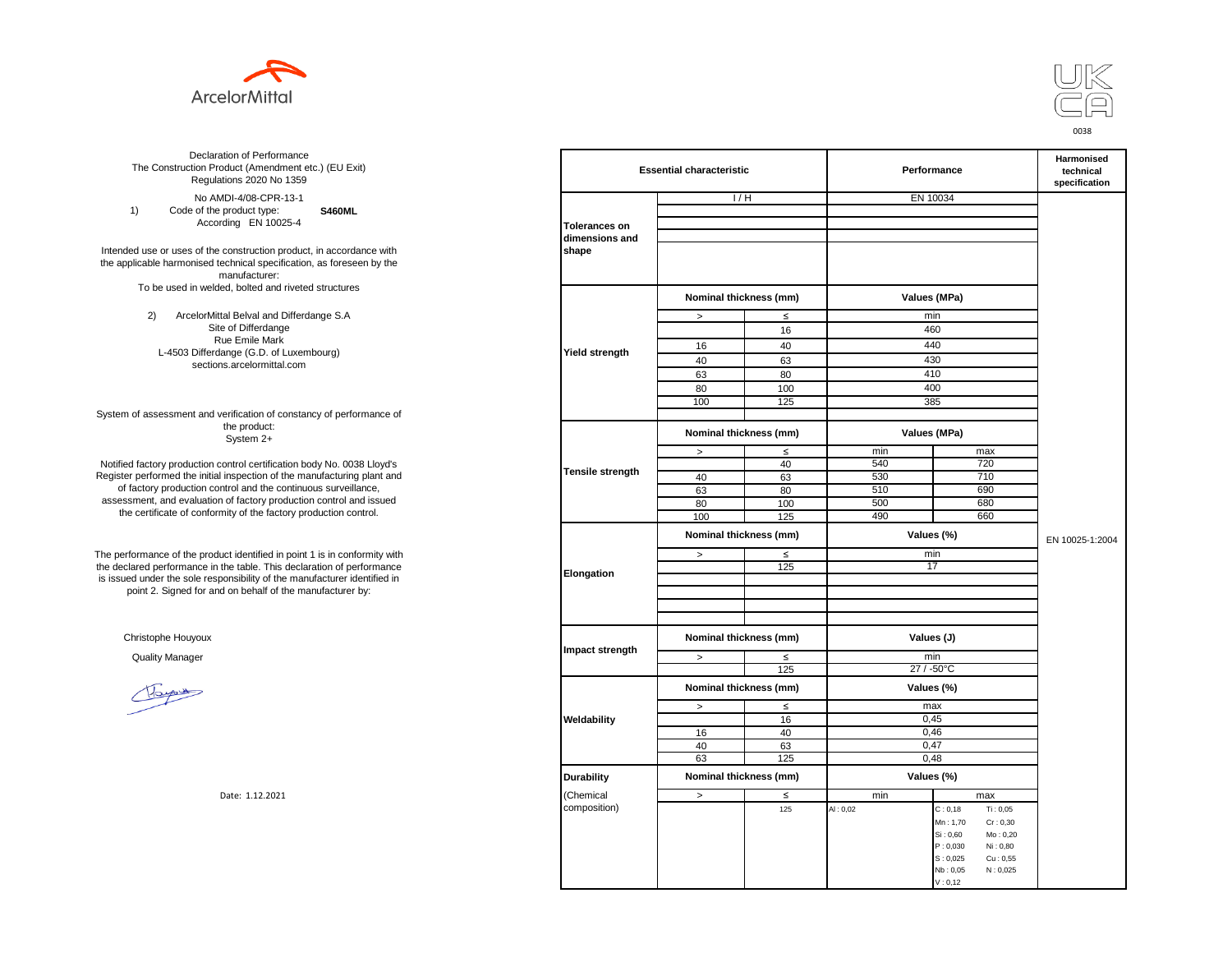



**S460ML**  No AMDI-4/08-CPR-13-1 1) Code of the product type: According EN 10025-4

Intended use or uses of the construction product, in accordance with the applicable harmonised technical specification, as foreseen by the manufacturer: To be used in welded, bolted and riveted structures

> 2) ArcelorMittal Belval and Differdange S.A Site of Differdange Rue Emile Mark L-4503 Differdange (G.D. of Luxembourg) sections.arcelormittal.com

System of assessment and verification of constancy of performance of the product: System 2+

Notified factory production control certification body No. 0038 Lloyd's Register performed the initial inspection of the manufacturing plant and of factory production control and the continuous surveillance, assessment, and evaluation of factory production control and issued the certificate of conformity of the factory production control.

The performance of the product identified in point 1 is in conformity with the declared performance in the table. This declaration of performance is issued under the sole responsibility of the manufacturer identified in point 2. Signed for and on behalf of the manufacturer by:

Christophe Houyoux

| ation of Performance<br>oduct (Amendment etc.) (EU Exit)<br>ations 2020 No 1359        | <b>Essential characteristic</b> |                        |        | Performance  | Harmonised<br>technical<br>specification     |                 |
|----------------------------------------------------------------------------------------|---------------------------------|------------------------|--------|--------------|----------------------------------------------|-----------------|
| /IDI-4/08-CPR-13-1                                                                     |                                 | 1/H                    |        | EN 10034     |                                              |                 |
| product type:<br><b>S460ML</b>                                                         |                                 |                        |        |              |                                              |                 |
| rding EN 10025-4                                                                       | <b>Tolerances on</b>            |                        |        |              |                                              |                 |
| construction product, in accordance with<br>echnical specification, as foreseen by the | dimensions and<br>shape         |                        |        |              |                                              |                 |
| manufacturer:                                                                          |                                 |                        |        |              |                                              |                 |
| ed, bolted and riveted structures                                                      |                                 | Nominal thickness (mm) |        | Values (MPa) |                                              |                 |
| tal Belval and Differdange S.A                                                         |                                 | $\, >$                 | $\leq$ | min          |                                              |                 |
| e of Differdange                                                                       |                                 |                        | 16     | 460          |                                              |                 |
| ue Emile Mark                                                                          |                                 | 16                     | 40     | 440          |                                              |                 |
| ange (G.D. of Luxembourg)                                                              | <b>Yield strength</b>           | 40                     | 63     | 430          |                                              |                 |
| ns.arcelormittal.com                                                                   |                                 | 63                     | 80     | 410          |                                              |                 |
|                                                                                        |                                 | 80                     | 100    | 400          |                                              |                 |
|                                                                                        |                                 | 100                    | 125    | 385          |                                              |                 |
| verification of constancy of performance of                                            |                                 |                        |        |              |                                              |                 |
| the product:<br>System 2+                                                              |                                 | Nominal thickness (mm) |        | Values (MPa) |                                              |                 |
|                                                                                        |                                 | $\,>$                  | ≤      | min          | max                                          |                 |
| control certification body No. 0038 Lloyd's                                            |                                 |                        | 40     | 540          | 720                                          |                 |
| inspection of the manufacturing plant and                                              | <b>Tensile strength</b>         | 40                     | 63     | 530          | 710                                          |                 |
| ntrol and the continuous surveillance,                                                 |                                 | 63                     | 80     | 510          | 690                                          |                 |
| of factory production control and issued<br>mity of the factory production control.    |                                 | 80                     | 100    | 500          | 680                                          |                 |
|                                                                                        |                                 | 100                    | 125    | 490          | 660                                          |                 |
|                                                                                        |                                 | Nominal thickness (mm) |        | Values (%)   |                                              | EN 10025-1:2004 |
| uct identified in point 1 is in conformity with                                        | Elongation                      | $\, >$                 | ≤      | min          |                                              |                 |
| the table. This declaration of performance                                             |                                 |                        | 125    | 17           |                                              |                 |
| ponsibility of the manufacturer identified in                                          |                                 |                        |        |              |                                              |                 |
| d on behalf of the manufacturer by:                                                    |                                 |                        |        |              |                                              |                 |
|                                                                                        |                                 |                        |        |              |                                              |                 |
|                                                                                        |                                 |                        |        |              |                                              |                 |
|                                                                                        | Impact strength                 | Nominal thickness (mm) |        | Values (J)   |                                              |                 |
|                                                                                        |                                 | $\, >$                 | $\leq$ | min          |                                              |                 |
|                                                                                        |                                 |                        | 125    | 27 / -50°C   |                                              |                 |
|                                                                                        |                                 | Nominal thickness (mm) |        | Values (%)   |                                              |                 |
|                                                                                        |                                 | $\, >$                 | $\leq$ | max          |                                              |                 |
|                                                                                        | Weldability                     |                        | 16     | 0,45         |                                              |                 |
|                                                                                        |                                 | 16                     | 40     | 0,46         |                                              |                 |
|                                                                                        |                                 | 40                     | 63     | 0,47         |                                              |                 |
|                                                                                        |                                 | 63                     | 125    | 0,48         |                                              |                 |
|                                                                                        | <b>Durability</b>               | Nominal thickness (mm) |        | Values (%)   |                                              |                 |
| Date: 1.12.2021                                                                        | (Chemical                       | $\, >$                 | ≤      | min          | max                                          |                 |
|                                                                                        | composition)                    |                        | 125    | AI: 0,02     | Ti: 0,05<br>C: 0, 18                         |                 |
|                                                                                        |                                 |                        |        |              | Mn: 1,70<br>Cr: 0,30                         |                 |
|                                                                                        |                                 |                        |        |              | Si: 0,60<br>Mo: 0,20                         |                 |
|                                                                                        |                                 |                        |        |              | P: 0,030<br>Ni: 0,80<br>S: 0,025             |                 |
|                                                                                        |                                 |                        |        |              | $\mathrm{Cu}$ : 0,55<br>Nb: 0,05<br>N: 0,025 |                 |
|                                                                                        |                                 |                        |        |              | V: 0, 12                                     |                 |
|                                                                                        |                                 |                        |        |              |                                              |                 |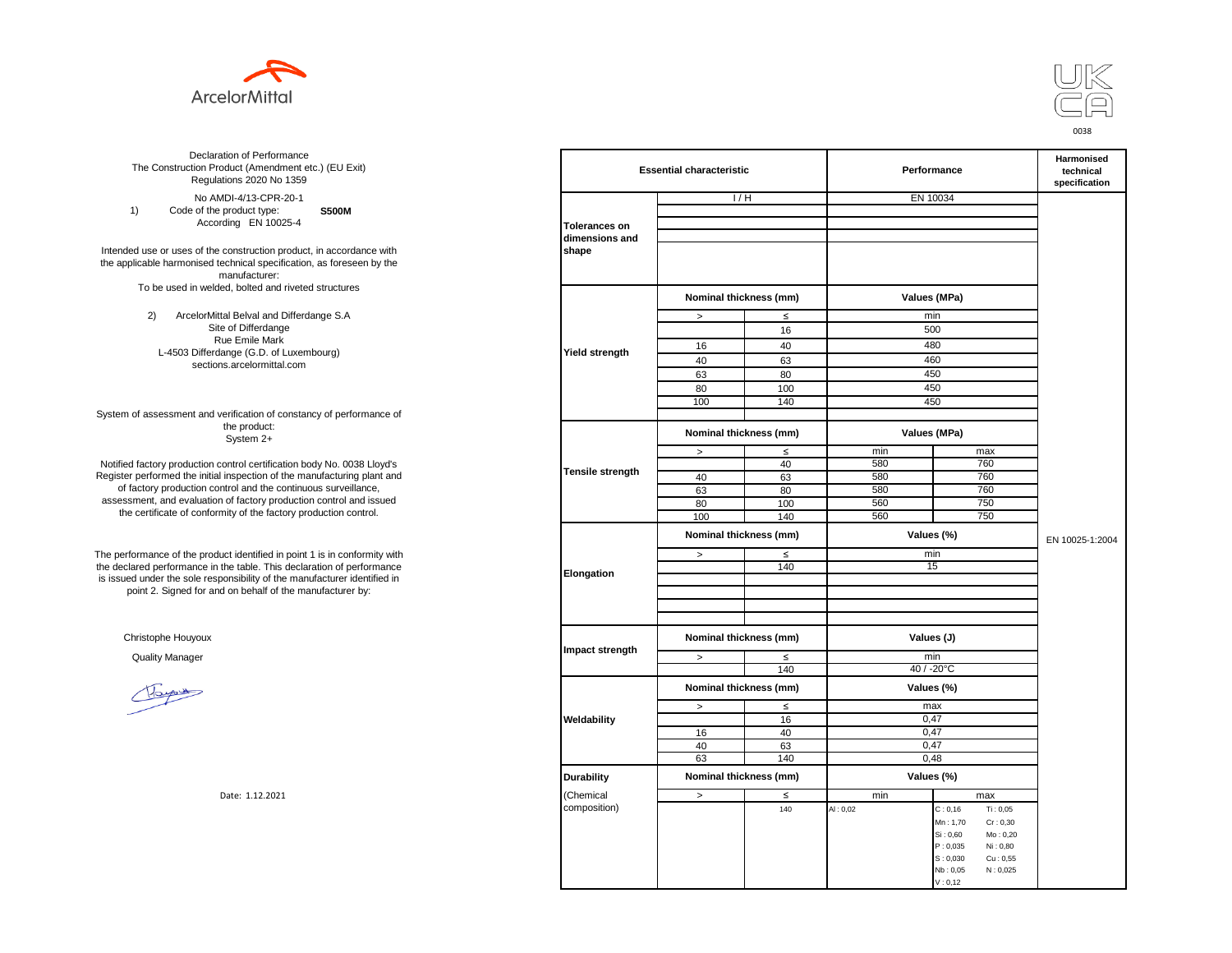



**S500M** No AMDI-4/13-CPR-20-1 1) Code of the product type: According EN 10025-4

Intended use or uses of the construction product, in accordance with the applicable harmonised technical specification, as foreseen by the manufacturer: To be used in welded, bolted and riveted structures

> 2) ArcelorMittal Belval and Differdange S.A Site of Differdange Rue Emile Mark L-4503 Differdange (G.D. of Luxembourg) sections.arcelormittal.com

System of assessment and verification of constancy of performance of the product: System 2+

Notified factory production control certification body No. 0038 Lloyd's Register performed the initial inspection of the manufacturing plant and of factory production control and the continuous surveillance, assessment, and evaluation of factory production control and issued the certificate of conformity of the factory production control.

The performance of the product identified in point 1 is in conformity with the declared performance in the table. This declaration of performance is issued under the sole responsibility of the manufacturer identified in point 2. Signed for and on behalf of the manufacturer by:

Christophe Houyoux

| ation of Performance<br>oduct (Amendment etc.) (EU Exit)<br>ations 2020 No 1359                         |                         | <b>Essential characteristic</b> |        |              | Performance          | <b>Harmonised</b><br>technical<br>specification |
|---------------------------------------------------------------------------------------------------------|-------------------------|---------------------------------|--------|--------------|----------------------|-------------------------------------------------|
| /IDI-4/13-CPR-20-1                                                                                      |                         | 1/H                             |        |              | EN 10034             |                                                 |
| product type:<br><b>S500M</b>                                                                           |                         |                                 |        |              |                      |                                                 |
| rding EN 10025-4                                                                                        | <b>Tolerances on</b>    |                                 |        |              |                      |                                                 |
| construction product, in accordance with<br>echnical specification, as foreseen by the<br>manufacturer: | dimensions and<br>shape |                                 |        |              |                      |                                                 |
| ed, bolted and riveted structures                                                                       |                         | Nominal thickness (mm)          |        | Values (MPa) |                      |                                                 |
| tal Belval and Differdange S.A                                                                          |                         | $\, >$                          | $\leq$ | min          |                      |                                                 |
| e of Differdange                                                                                        |                         |                                 | 16     |              | 500                  |                                                 |
| ue Emile Mark                                                                                           |                         | 16                              | 40     | 480          |                      |                                                 |
| ange (G.D. of Luxembourg)<br>ns.arcelormittal.com                                                       | <b>Yield strength</b>   | 40                              | 63     |              | 460                  |                                                 |
|                                                                                                         |                         | 63                              | 80     |              | 450                  |                                                 |
|                                                                                                         |                         | 80                              | 100    |              | 450                  |                                                 |
|                                                                                                         |                         | 100                             | 140    |              | 450                  |                                                 |
| verification of constancy of performance of                                                             |                         |                                 |        |              |                      |                                                 |
| the product:<br>System 2+                                                                               |                         | Nominal thickness (mm)          |        |              | Values (MPa)         |                                                 |
|                                                                                                         |                         | $\,>$                           | $\leq$ | min          | max                  |                                                 |
| control certification body No. 0038 Lloyd's                                                             | <b>Tensile strength</b> |                                 | 40     | 580          | 760                  |                                                 |
| inspection of the manufacturing plant and                                                               |                         | 40                              | 63     | 580          | 760                  |                                                 |
| ntrol and the continuous surveillance,<br>of factory production control and issued                      |                         | 63                              | 80     | 580          | 760                  |                                                 |
|                                                                                                         |                         | 80                              | 100    | 560          | 750                  |                                                 |
| mity of the factory production control.                                                                 |                         | 100                             | 140    | 560          | 750                  |                                                 |
|                                                                                                         | Elongation              | Nominal thickness (mm)          |        |              | Values (%)           | EN 10025-1:2004                                 |
| uct identified in point 1 is in conformity with                                                         |                         | $\geq$                          | $\leq$ | min<br>15    |                      |                                                 |
| the table. This declaration of performance                                                              |                         |                                 | 140    |              |                      |                                                 |
| ponsibility of the manufacturer identified in<br>d on behalf of the manufacturer by:                    |                         |                                 |        |              |                      |                                                 |
|                                                                                                         |                         |                                 |        |              |                      |                                                 |
|                                                                                                         |                         |                                 |        |              |                      |                                                 |
|                                                                                                         |                         |                                 |        |              |                      |                                                 |
|                                                                                                         |                         | Nominal thickness (mm)          |        |              | Values (J)           |                                                 |
|                                                                                                         | Impact strength         | $\rightarrow$                   | $\leq$ |              | min                  |                                                 |
|                                                                                                         |                         |                                 | 140    |              | 40 / -20°C           |                                                 |
|                                                                                                         |                         | Nominal thickness (mm)          |        |              | Values (%)           |                                                 |
|                                                                                                         |                         | $\, >$                          | $\leq$ |              | max                  |                                                 |
|                                                                                                         | Weldability             |                                 | 16     |              | 0,47                 |                                                 |
|                                                                                                         |                         | 16                              | 40     |              | 0,47                 |                                                 |
|                                                                                                         |                         | 40                              | 63     |              | 0,47                 |                                                 |
|                                                                                                         |                         | 63                              | 140    |              | 0,48                 |                                                 |
|                                                                                                         | <b>Durability</b>       | Nominal thickness (mm)          |        |              | Values (%)           |                                                 |
| Date: 1.12.2021                                                                                         | (Chemical               | $\geq$                          | $\leq$ | min          | max                  |                                                 |
|                                                                                                         | composition)            |                                 | 140    | AI: 0,02     | Ti: 0,05<br>C: 0, 16 |                                                 |
|                                                                                                         |                         |                                 |        |              | Mn: 1,70<br>Cr: 0,30 |                                                 |
|                                                                                                         |                         |                                 |        |              | Si: 0,60<br>Mo: 0,20 |                                                 |
|                                                                                                         |                         |                                 |        |              | P: 0,035<br>Ni: 0,80 |                                                 |
|                                                                                                         |                         |                                 |        |              | S: 0,030<br>Cu: 0,55 |                                                 |
|                                                                                                         |                         |                                 |        |              | Nb: 0,05<br>N: 0,025 |                                                 |
|                                                                                                         |                         |                                 |        |              | V: 0, 12             |                                                 |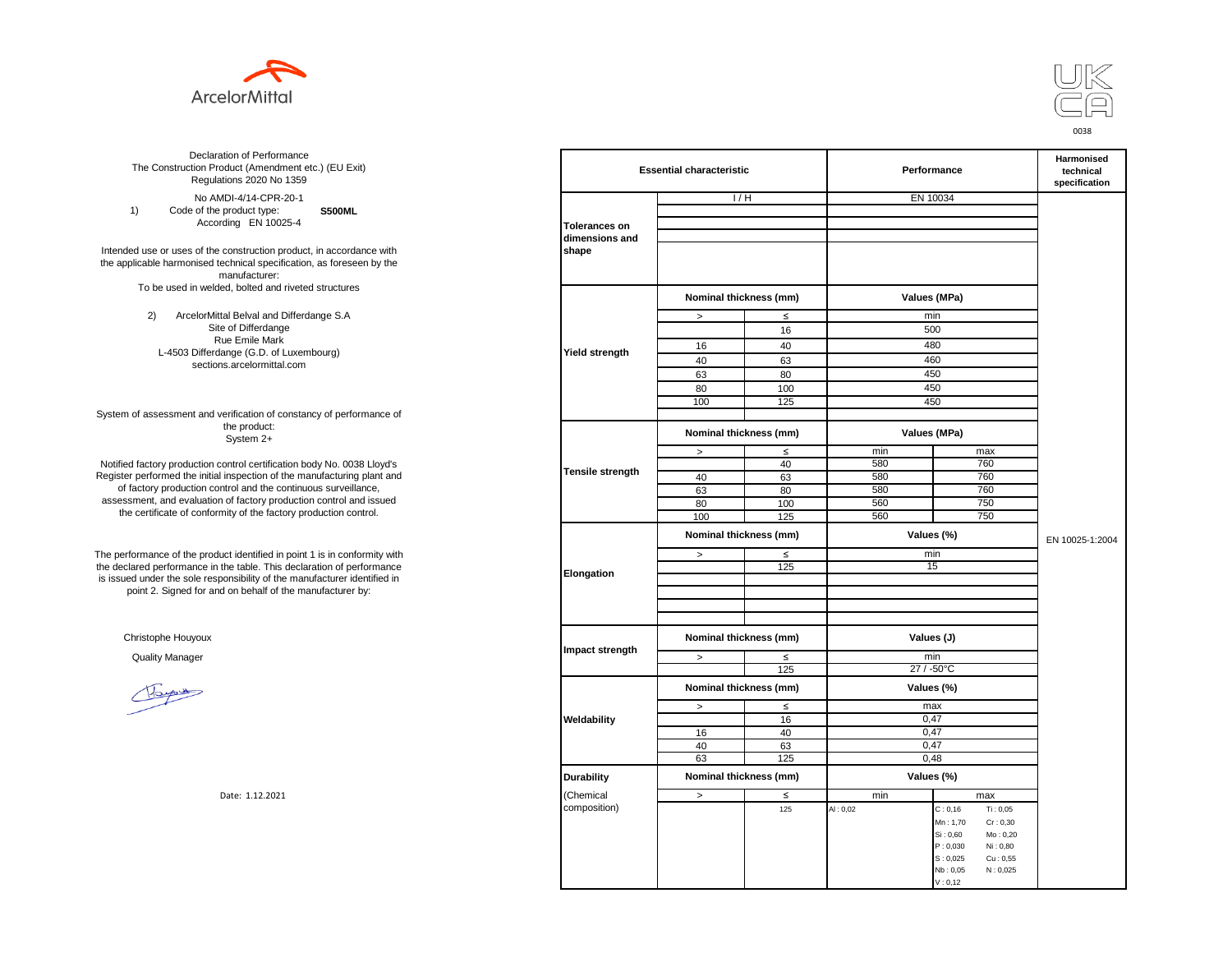



**S500ML**  No AMDI-4/14-CPR-20-1 1) Code of the product type: According EN 10025-4

Intended use or uses of the construction product, in accordance with the applicable harmonised technical specification, as foreseen by the manufacturer: To be used in welded, bolted and riveted structures

> 2) ArcelorMittal Belval and Differdange S.A Site of Differdange Rue Emile Mark L-4503 Differdange (G.D. of Luxembourg) sections.arcelormittal.com

System of assessment and verification of constancy of performance of the product: System 2+

Notified factory production control certification body No. 0038 Lloyd's Register performed the initial inspection of the manufacturing plant and of factory production control and the continuous surveillance, assessment, and evaluation of factory production control and issued the certificate of conformity of the factory production control.

The performance of the product identified in point 1 is in conformity with the declared performance in the table. This declaration of performance is issued under the sole responsibility of the manufacturer identified in point 2. Signed for and on behalf of the manufacturer by:

Christophe Houyoux

| ation of Performance<br>oduct (Amendment etc.) (EU Exit)<br>ations 2020 No 1359                         |                         | <b>Essential characteristic</b> |        |              | Performance                                              |                 |  |
|---------------------------------------------------------------------------------------------------------|-------------------------|---------------------------------|--------|--------------|----------------------------------------------------------|-----------------|--|
| /IDI-4/14-CPR-20-1                                                                                      |                         | 1/H                             |        | EN 10034     |                                                          |                 |  |
| product type:<br><b>S500ML</b>                                                                          |                         |                                 |        |              |                                                          |                 |  |
| rding EN 10025-4                                                                                        | <b>Tolerances on</b>    |                                 |        |              |                                                          |                 |  |
| construction product, in accordance with<br>echnical specification, as foreseen by the<br>manufacturer: | dimensions and<br>shape |                                 |        |              |                                                          |                 |  |
| ed, bolted and riveted structures                                                                       |                         | Nominal thickness (mm)          |        | Values (MPa) |                                                          |                 |  |
| tal Belval and Differdange S.A                                                                          |                         | $\, >$                          | $\leq$ | min          |                                                          |                 |  |
| e of Differdange                                                                                        |                         |                                 | 16     | 500          |                                                          |                 |  |
| ue Emile Mark                                                                                           |                         | 16                              | 40     | 480          |                                                          |                 |  |
| ange (G.D. of Luxembourg)                                                                               | Yield strength          | 40                              | 63     | 460          |                                                          |                 |  |
| ns.arcelormittal.com                                                                                    |                         | 63                              | 80     | 450          |                                                          |                 |  |
|                                                                                                         |                         | 80                              | 100    | 450          |                                                          |                 |  |
|                                                                                                         |                         | 100                             | 125    | 450          |                                                          |                 |  |
| verification of constancy of performance of                                                             |                         |                                 |        |              |                                                          |                 |  |
| the product:<br>System 2+                                                                               |                         | Nominal thickness (mm)          |        | Values (MPa) |                                                          |                 |  |
|                                                                                                         |                         | $\, >$                          | $\leq$ | min          | max                                                      |                 |  |
| control certification body No. 0038 Lloyd's                                                             |                         |                                 | 40     | 580          | 760                                                      |                 |  |
| inspection of the manufacturing plant and                                                               | Tensile strength        | 40                              | 63     | 580          | 760                                                      |                 |  |
| ntrol and the continuous surveillance,<br>of factory production control and issued                      |                         | 63                              | 80     | 580          | 760                                                      |                 |  |
|                                                                                                         |                         | 80                              | 100    | 560          | 750                                                      |                 |  |
| mity of the factory production control.                                                                 |                         | 100                             | 125    | 560          | 750                                                      |                 |  |
|                                                                                                         |                         | Nominal thickness (mm)          |        | Values (%)   |                                                          | EN 10025-1:2004 |  |
| uct identified in point 1 is in conformity with                                                         |                         | $\, >$                          | $\leq$ | min          |                                                          |                 |  |
| the table. This declaration of performance                                                              | Elongation              |                                 | 125    | 15           |                                                          |                 |  |
| ponsibility of the manufacturer identified in<br>d on behalf of the manufacturer by:                    |                         |                                 |        |              |                                                          |                 |  |
|                                                                                                         |                         |                                 |        |              |                                                          |                 |  |
|                                                                                                         |                         |                                 |        |              |                                                          |                 |  |
|                                                                                                         |                         |                                 |        |              |                                                          |                 |  |
|                                                                                                         |                         | Nominal thickness (mm)          |        | Values (J)   |                                                          |                 |  |
|                                                                                                         | Impact strength         | $\,$                            | $\leq$ | min          |                                                          |                 |  |
|                                                                                                         |                         |                                 | 125    | 27 / -50°C   |                                                          |                 |  |
|                                                                                                         |                         | Nominal thickness (mm)          |        | Values (%)   |                                                          |                 |  |
|                                                                                                         |                         | $\,$                            | $\leq$ | max          |                                                          |                 |  |
|                                                                                                         | Weldability             |                                 | 16     | 0,47         |                                                          |                 |  |
|                                                                                                         |                         | 16                              | 40     | 0.47         |                                                          |                 |  |
|                                                                                                         |                         | 40                              | 63     | 0,47         |                                                          |                 |  |
|                                                                                                         |                         | 63                              | 125    |              | 0,48                                                     |                 |  |
|                                                                                                         | <b>Durability</b>       | Nominal thickness (mm)          |        | Values (%)   |                                                          |                 |  |
| Date: 1.12.2021                                                                                         | (Chemical               | $\,$                            | $\leq$ | min          | max                                                      |                 |  |
|                                                                                                         | composition)            |                                 | 125    | AI: 0,02     | Ti: 0,05<br>C: 0, 16                                     |                 |  |
|                                                                                                         |                         |                                 |        |              | Mn: 1,70<br>Cr: 0,30                                     |                 |  |
|                                                                                                         |                         |                                 |        |              | Si: 0,60<br>Mo: 0,20                                     |                 |  |
|                                                                                                         |                         |                                 |        |              | P: 0,030<br>Ni: 0,80                                     |                 |  |
|                                                                                                         |                         |                                 |        |              | S: 0,025<br>$\mathrm{Cu}$ : 0,55<br>N: 0,025<br>Nb: 0,05 |                 |  |
|                                                                                                         |                         |                                 |        |              | V: 0, 12                                                 |                 |  |
|                                                                                                         |                         |                                 |        |              |                                                          |                 |  |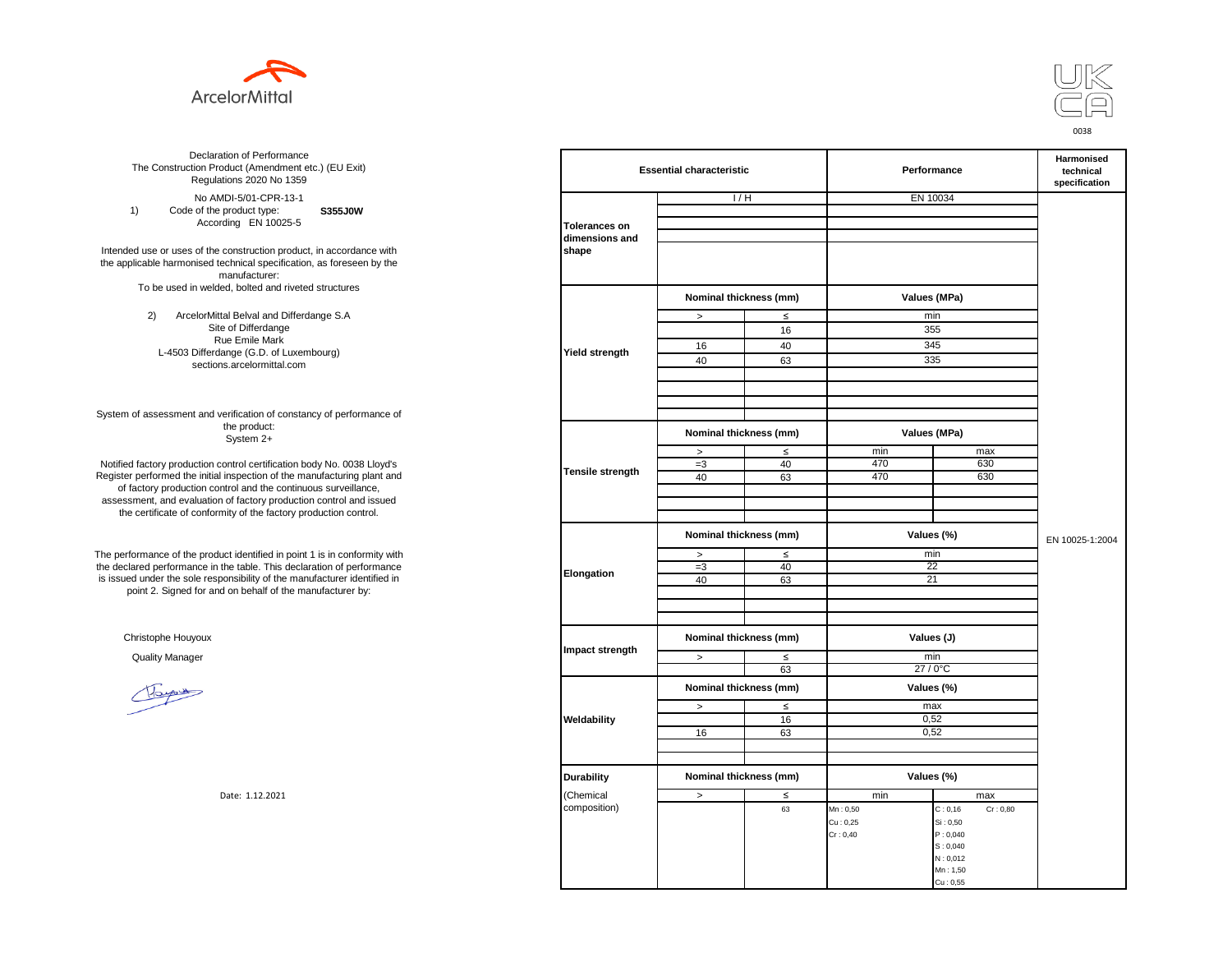



**S355J0W**  No AMDI-5/01-CPR-13-1 1) Code of the product type: According EN 10025-5

Intended use or uses of the construction product, in accordance with the applicable harmonised technical specification, as foreseen by the manufacturer: To be used in welded, bolted and riveted structures

> 2) ArcelorMittal Belval and Differdange S.A Site of Differdange Rue Emile Mark L-4503 Differdange (G.D. of Luxembourg) sections.arcelormittal.com

System of assessment and verification of constancy of performance of the product: System 2+

Notified factory production control certification body No. 0038 Lloyd's Register performed the initial inspection of the manufacturing plant and of factory production control and the continuous surveillance, assessment, and evaluation of factory production control and issued the certificate of conformity of the factory production control.

The performance of the product identified in point 1 is in conformity with the declared performance in the table. This declaration of performance is issued under the sole responsibility of the manufacturer identified in point 2. Signed for and on behalf of the manufacturer by:

Christophe Houyoux

| ation of Performance<br>oduct (Amendment etc.) (EU Exit)<br>ations 2020 No 1359                         | <b>Essential characteristic</b> |                        |              | Performance  | <b>Harmonised</b><br>technical<br>specification |                 |
|---------------------------------------------------------------------------------------------------------|---------------------------------|------------------------|--------------|--------------|-------------------------------------------------|-----------------|
| /IDI-5/01-CPR-13-1                                                                                      |                                 | 1/H                    |              | EN 10034     |                                                 |                 |
| product type:<br>S355J0W                                                                                |                                 |                        |              |              |                                                 |                 |
| rding EN 10025-5                                                                                        | <b>Tolerances on</b>            |                        |              |              |                                                 |                 |
| construction product, in accordance with<br>echnical specification, as foreseen by the<br>manufacturer: | dimensions and<br>shape         |                        |              |              |                                                 |                 |
| ed, bolted and riveted structures                                                                       |                                 | Nominal thickness (mm) |              | Values (MPa) |                                                 |                 |
| tal Belval and Differdange S.A                                                                          |                                 | $\, >$                 | $\leq$       | min          |                                                 |                 |
| e of Differdange                                                                                        |                                 |                        | 16           | 355          |                                                 |                 |
| ue Emile Mark                                                                                           |                                 | 16                     | 40           | 345          |                                                 |                 |
| ange (G.D. of Luxembourg)                                                                               | Yield strength                  | 40                     | 63           | 335          |                                                 |                 |
| ns.arcelormittal.com                                                                                    |                                 |                        |              |              |                                                 |                 |
| verification of constancy of performance of                                                             |                                 |                        |              |              |                                                 |                 |
| the product:<br>System 2+                                                                               |                                 | Nominal thickness (mm) |              | Values (MPa) |                                                 |                 |
|                                                                                                         |                                 | $\, >$                 | $\leq$       | min          | max                                             |                 |
| control certification body No. 0038 Lloyd's                                                             | Tensile strength                | $=3$                   | 40           | 470          | 630                                             |                 |
| inspection of the manufacturing plant and                                                               |                                 | 40                     | 63           | 470          | 630                                             |                 |
| ntrol and the continuous surveillance,<br>of factory production control and issued                      |                                 |                        |              |              |                                                 |                 |
| mity of the factory production control.                                                                 |                                 |                        |              |              |                                                 |                 |
|                                                                                                         |                                 |                        |              |              |                                                 |                 |
|                                                                                                         |                                 | Nominal thickness (mm) |              | Values (%)   |                                                 | EN 10025-1:2004 |
| uct identified in point 1 is in conformity with                                                         |                                 | $\, >$                 | $\leq$       | min          |                                                 |                 |
| the table. This declaration of performance<br>ponsibility of the manufacturer identified in             | Elongation                      | $=3$<br>40             | 40<br>63     | 22<br>21     |                                                 |                 |
| d on behalf of the manufacturer by:                                                                     |                                 |                        |              |              |                                                 |                 |
|                                                                                                         |                                 |                        |              |              |                                                 |                 |
|                                                                                                         |                                 |                        |              |              |                                                 |                 |
|                                                                                                         |                                 | Nominal thickness (mm) |              | Values (J)   |                                                 |                 |
|                                                                                                         | Impact strength                 |                        |              | min          |                                                 |                 |
|                                                                                                         |                                 | $\geq$                 | $\leq$<br>63 |              | 27/0°C                                          |                 |
|                                                                                                         |                                 |                        |              |              |                                                 |                 |
|                                                                                                         |                                 | Nominal thickness (mm) |              |              | Values (%)                                      |                 |
|                                                                                                         |                                 | $\geq$                 | $\leq$       | max          | 0,52                                            |                 |
|                                                                                                         | Weldability                     |                        | 16           |              | 0,52                                            |                 |
|                                                                                                         |                                 | 16                     | 63           |              |                                                 |                 |
|                                                                                                         |                                 |                        |              |              |                                                 |                 |
|                                                                                                         |                                 |                        |              |              |                                                 |                 |
|                                                                                                         | <b>Durability</b>               | Nominal thickness (mm) |              |              | Values (%)                                      |                 |
| Date: 1.12.2021                                                                                         | (Chemical                       | $\,$                   | $\leq$       | min          | max                                             |                 |
|                                                                                                         | composition)                    |                        | 63           | Mn: 0,50     | C: 0, 16<br>Cr: 0,80                            |                 |
|                                                                                                         |                                 |                        |              | Cu: 0,25     | Si: 0,50                                        |                 |
|                                                                                                         |                                 |                        |              | Cr: 0,40     | P: 0,040<br>S: 0,040                            |                 |
|                                                                                                         |                                 |                        |              |              | N: 0,012                                        |                 |
|                                                                                                         |                                 |                        |              |              | Mn: 1,50                                        |                 |
|                                                                                                         |                                 |                        |              |              | Cu: 0,55                                        |                 |
|                                                                                                         |                                 |                        |              |              |                                                 |                 |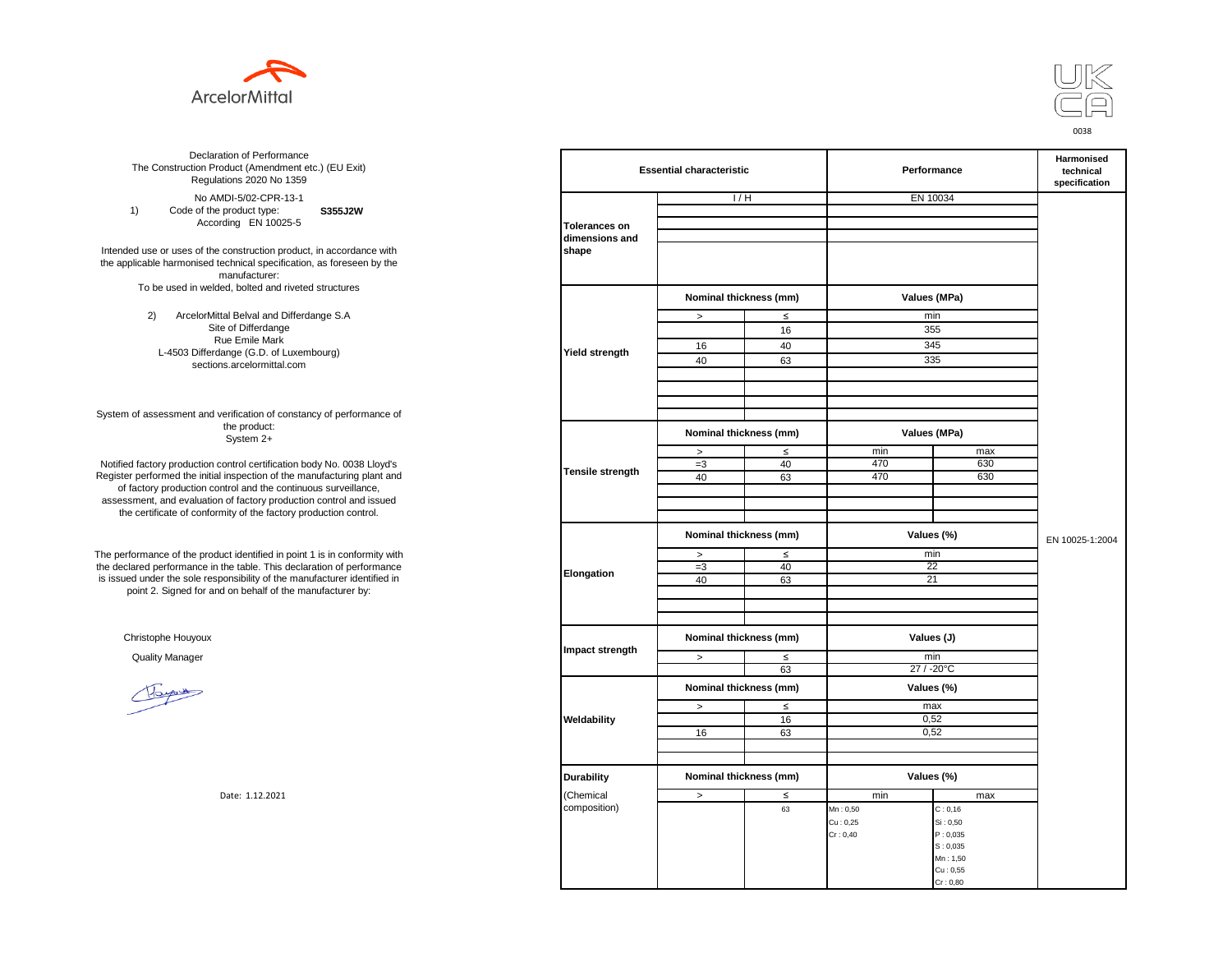



**S355J2W**  No AMDI-5/02-CPR-13-1 1) Code of the product type: According EN 10025-5

Intended use or uses of the construction product, in accordance with the applicable harmonised technical specification, as foreseen by the manufacturer: To be used in welded, bolted and riveted structures

> 2) ArcelorMittal Belval and Differdange S.A Site of Differdange Rue Emile Mark L-4503 Differdange (G.D. of Luxembourg) sections.arcelormittal.com

System of assessment and verification of constancy of performance of the product: System 2+

Notified factory production control certification body No. 0038 Lloyd's Register performed the initial inspection of the manufacturing plant and of factory production control and the continuous surveillance, assessment, and evaluation of factory production control and issued the certificate of conformity of the factory production control.

The performance of the product identified in point 1 is in conformity with the declared performance in the table. This declaration of performance is issued under the sole responsibility of the manufacturer identified in point 2. Signed for and on behalf of the manufacturer by:

Christophe Houyoux

| ation of Performance<br>oduct (Amendment etc.) (EU Exit)<br>ations 2020 No 1359                         | <b>Essential characteristic</b> |                                      |              | Performance  |                      | Harmonised<br>technical<br>specification |
|---------------------------------------------------------------------------------------------------------|---------------------------------|--------------------------------------|--------------|--------------|----------------------|------------------------------------------|
| /IDI-5/02-CPR-13-1                                                                                      |                                 | 1/H                                  |              | EN 10034     |                      |                                          |
| product type:<br>S355J2W                                                                                |                                 |                                      |              |              |                      |                                          |
| rding EN 10025-5                                                                                        | <b>Tolerances on</b>            |                                      |              |              |                      |                                          |
| construction product, in accordance with<br>echnical specification, as foreseen by the<br>manufacturer: | dimensions and<br>shape         |                                      |              |              |                      |                                          |
| ed, bolted and riveted structures                                                                       |                                 | Nominal thickness (mm)               |              | Values (MPa) |                      |                                          |
| tal Belval and Differdange S.A                                                                          |                                 | $\,$                                 | $\leq$       | min          |                      |                                          |
| e of Differdange                                                                                        |                                 |                                      | 16           | 355          |                      |                                          |
| ue Emile Mark                                                                                           |                                 | 16                                   | 40           | 345          |                      |                                          |
| ange (G.D. of Luxembourg)                                                                               | Yield strength                  | 40                                   | 63           | 335          |                      |                                          |
| ns.arcelormittal.com                                                                                    |                                 |                                      |              |              |                      |                                          |
|                                                                                                         |                                 |                                      |              |              |                      |                                          |
| verification of constancy of performance of                                                             |                                 |                                      |              |              |                      |                                          |
| the product:<br>System 2+                                                                               |                                 | Nominal thickness (mm)               |              | Values (MPa) |                      |                                          |
|                                                                                                         |                                 | $\,$                                 | $\leq$       | min          | max                  |                                          |
| control certification body No. 0038 Lloyd's                                                             | Tensile strength                | $=3$                                 | 40           | 470          | 630                  |                                          |
| inspection of the manufacturing plant and                                                               |                                 | 40                                   | 63           | 470          | 630                  |                                          |
| ntrol and the continuous surveillance,<br>of factory production control and issued                      |                                 |                                      |              |              |                      |                                          |
| mity of the factory production control.                                                                 |                                 |                                      |              |              |                      |                                          |
|                                                                                                         |                                 | Nominal thickness (mm)               |              | Values (%)   |                      | EN 10025-1:2004                          |
|                                                                                                         |                                 |                                      |              | min          |                      |                                          |
| uct identified in point 1 is in conformity with<br>the table. This declaration of performance           |                                 | $\, >$<br>$=3$                       | $\leq$<br>40 | 22           |                      |                                          |
| ponsibility of the manufacturer identified in                                                           | Elongation                      | 40                                   | 63           | 21           |                      |                                          |
| d on behalf of the manufacturer by:                                                                     |                                 |                                      |              |              |                      |                                          |
|                                                                                                         |                                 |                                      |              |              |                      |                                          |
|                                                                                                         |                                 |                                      |              |              |                      |                                          |
|                                                                                                         |                                 | Nominal thickness (mm)               |              | Values (J)   |                      |                                          |
|                                                                                                         | Impact strength                 | $\geq$                               | $\leq$       | min          |                      |                                          |
|                                                                                                         |                                 |                                      | 63           | 27 / -20°C   |                      |                                          |
|                                                                                                         | Weldability                     | Nominal thickness (mm)<br>Values (%) |              |              |                      |                                          |
|                                                                                                         |                                 | $\, >$                               | $\leq$       | max          |                      |                                          |
|                                                                                                         |                                 |                                      | 16           | 0,52         |                      |                                          |
|                                                                                                         |                                 | 16                                   | 63           | 0,52         |                      |                                          |
|                                                                                                         |                                 |                                      |              |              |                      |                                          |
|                                                                                                         |                                 |                                      |              |              |                      |                                          |
|                                                                                                         | <b>Durability</b>               | Nominal thickness (mm)               |              | Values (%)   |                      |                                          |
| Date: 1.12.2021                                                                                         | (Chemical                       | $\,>\,$                              | $\leq$       | min          | max                  |                                          |
|                                                                                                         | composition)                    |                                      | 63           | Mn: 0,50     | C: 0, 16             |                                          |
|                                                                                                         |                                 |                                      |              | Cu: 0,25     | Si: 0,50             |                                          |
|                                                                                                         |                                 |                                      |              | Cr: 0,40     | P: 0,035             |                                          |
|                                                                                                         |                                 |                                      |              |              | S: 0,035             |                                          |
|                                                                                                         |                                 |                                      |              |              | Mn: 1,50<br>Cu: 0,55 |                                          |
|                                                                                                         |                                 |                                      |              |              | Cr: 0,80             |                                          |
|                                                                                                         |                                 |                                      |              |              |                      |                                          |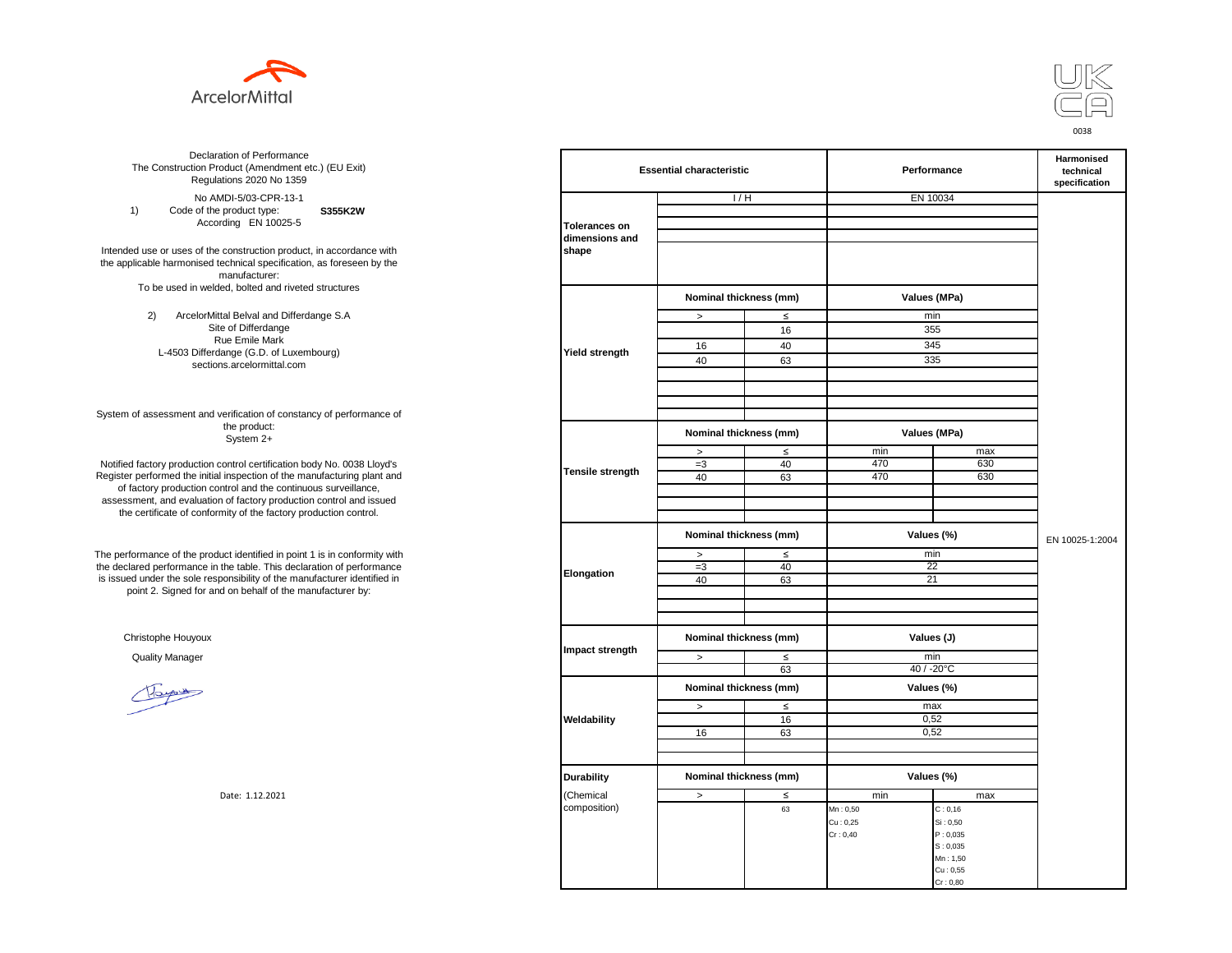



**S355K2W**  No AMDI-5/03-CPR-13-1 1) Code of the product type: According EN 10025-5

Intended use or uses of the construction product, in accordance with the applicable harmonised technical specification, as foreseen by the manufacturer: To be used in welded, bolted and riveted structures

> 2) ArcelorMittal Belval and Differdange S.A Site of Differdange Rue Emile Mark L-4503 Differdange (G.D. of Luxembourg) sections.arcelormittal.com

System of assessment and verification of constancy of performance of the product: System 2+

Notified factory production control certification body No. 0038 Lloyd's Register performed the initial inspection of the manufacturing plant and of factory production control and the continuous surveillance, assessment, and evaluation of factory production control and issued the certificate of conformity of the factory production control.

The performance of the product identified in point 1 is in conformity with the declared performance in the table. This declaration of performance is issued under the sole responsibility of the manufacturer identified in point 2. Signed for and on behalf of the manufacturer by:

Christophe Houyoux

| ation of Performance<br>oduct (Amendment etc.) (EU Exit)<br>ations 2020 No 1359                         | <b>Essential characteristic</b> |                                      |                                      | Performance  |                 | <b>Harmonised</b><br>technical<br>specification |
|---------------------------------------------------------------------------------------------------------|---------------------------------|--------------------------------------|--------------------------------------|--------------|-----------------|-------------------------------------------------|
| /IDI-5/03-CPR-13-1                                                                                      |                                 | 1/H                                  |                                      | EN 10034     |                 |                                                 |
| product type:<br>S355K2W                                                                                |                                 |                                      |                                      |              |                 |                                                 |
| rding EN 10025-5                                                                                        | <b>Tolerances on</b>            |                                      |                                      |              |                 |                                                 |
| construction product, in accordance with<br>echnical specification, as foreseen by the<br>manufacturer: | dimensions and<br>shape         |                                      |                                      |              |                 |                                                 |
| ed, bolted and riveted structures                                                                       |                                 | Nominal thickness (mm)               |                                      | Values (MPa) |                 |                                                 |
| tal Belval and Differdange S.A                                                                          |                                 | $\, >$                               | $\leq$                               | min          |                 |                                                 |
| e of Differdange                                                                                        |                                 |                                      | 16                                   | 355          |                 |                                                 |
| ue Emile Mark                                                                                           |                                 | 16                                   | 40                                   | 345          |                 |                                                 |
| ange (G.D. of Luxembourg)                                                                               | Yield strength                  | 40                                   | 63                                   | 335          |                 |                                                 |
| ns.arcelormittal.com                                                                                    |                                 |                                      |                                      |              |                 |                                                 |
| verification of constancy of performance of                                                             |                                 |                                      |                                      |              |                 |                                                 |
| the product:<br>System 2+                                                                               |                                 | Nominal thickness (mm)               |                                      | Values (MPa) |                 |                                                 |
|                                                                                                         |                                 | $\, >$                               | $\leq$                               | min          | max             |                                                 |
| control certification body No. 0038 Lloyd's                                                             | Tensile strength                | $=3$                                 | 40                                   | 470          | 630             |                                                 |
| inspection of the manufacturing plant and                                                               |                                 | 40                                   | 63                                   | 470          | 630             |                                                 |
| ntrol and the continuous surveillance,                                                                  |                                 |                                      |                                      |              |                 |                                                 |
| of factory production control and issued                                                                |                                 |                                      |                                      |              |                 |                                                 |
| mity of the factory production control.                                                                 |                                 |                                      |                                      |              |                 |                                                 |
|                                                                                                         |                                 | Nominal thickness (mm)<br>Values (%) |                                      |              | EN 10025-1:2004 |                                                 |
| uct identified in point 1 is in conformity with                                                         |                                 | $\, >$                               | $\leq$                               | min<br>22    |                 |                                                 |
| the table. This declaration of performance<br>ponsibility of the manufacturer identified in             | Elongation                      | $=3$<br>40                           | 40<br>63                             | 21           |                 |                                                 |
| d on behalf of the manufacturer by:                                                                     |                                 |                                      |                                      |              |                 |                                                 |
|                                                                                                         |                                 |                                      |                                      |              |                 |                                                 |
|                                                                                                         |                                 |                                      |                                      |              |                 |                                                 |
|                                                                                                         |                                 |                                      |                                      |              |                 |                                                 |
|                                                                                                         | Impact strength                 | Nominal thickness (mm)               |                                      | Values (J)   |                 |                                                 |
|                                                                                                         |                                 | $\geq$                               | $\leq$                               | min          |                 |                                                 |
|                                                                                                         |                                 |                                      | 63                                   | 40 / -20°C   |                 |                                                 |
|                                                                                                         |                                 |                                      | Nominal thickness (mm)<br>Values (%) |              |                 |                                                 |
|                                                                                                         |                                 | $\geq$                               | $\leq$                               | max          |                 |                                                 |
|                                                                                                         | Weldability                     |                                      | 16                                   | 0,52         |                 |                                                 |
|                                                                                                         |                                 | 16                                   | 63                                   | 0,52         |                 |                                                 |
|                                                                                                         |                                 |                                      |                                      |              |                 |                                                 |
|                                                                                                         |                                 |                                      |                                      |              |                 |                                                 |
|                                                                                                         | <b>Durability</b>               | Nominal thickness (mm)               |                                      | Values (%)   |                 |                                                 |
| Date: 1.12.2021                                                                                         | (Chemical                       | $\,$                                 | $\leq$                               | min          | max             |                                                 |
|                                                                                                         | composition)                    |                                      | 63                                   | Mn: 0,50     | C: 0, 16        |                                                 |
|                                                                                                         |                                 |                                      |                                      | Cu: 0,25     | Si: 0,50        |                                                 |
|                                                                                                         |                                 |                                      |                                      | Cr: 0,40     | P: 0,035        |                                                 |
|                                                                                                         |                                 |                                      |                                      |              | S: 0,035        |                                                 |
|                                                                                                         |                                 |                                      |                                      |              | Mn: 1,50        |                                                 |
|                                                                                                         |                                 |                                      |                                      |              | Cu: 0,55        |                                                 |
|                                                                                                         |                                 |                                      |                                      |              | Cr: 0,80        |                                                 |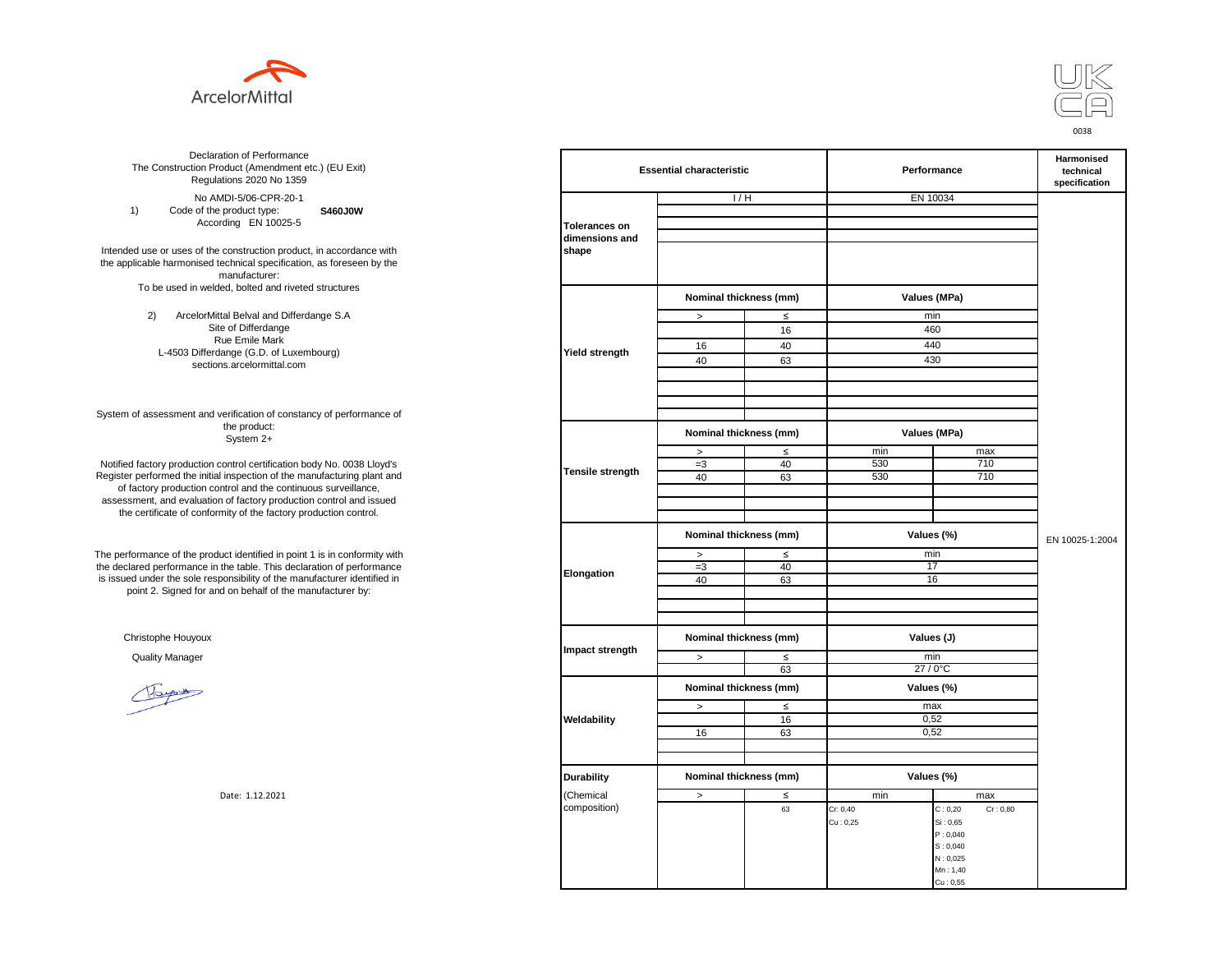



**S460J0W**  No AMDI-5/06-CPR-20-1 1) Code of the product type: According EN 10025-5

Intended use or uses of the construction product, in accordance with the applicable harmonised technical specification, as foreseen by the manufacturer: To be used in welded, bolted and riveted structures

> 2) ArcelorMittal Belval and Differdange S.A Site of Differdange Rue Emile Mark L-4503 Differdange (G.D. of Luxembourg) sections.arcelormittal.com

System of assessment and verification of constancy of performance of the product: System 2+

Notified factory production control certification body No. 0038 Lloyd's Register performed the initial inspection of the manufacturing plant and of factory production control and the continuous surveillance, assessment, and evaluation of factory production control and issued the certificate of conformity of the factory production control.

The performance of the product identified in point 1 is in conformity with the declared performance in the table. This declaration of performance is issued under the sole responsibility of the manufacturer identified in point 2. Signed for and on behalf of the manufacturer by:

Christophe Houyoux

| ation of Performance<br>oduct (Amendment etc.) (EU Exit)<br>ations 2020 No 1359                         | <b>Essential characteristic</b><br>Performance |                                      |        |              | Harmonised<br>technical<br>specification |  |
|---------------------------------------------------------------------------------------------------------|------------------------------------------------|--------------------------------------|--------|--------------|------------------------------------------|--|
| /IDI-5/06-CPR-20-1                                                                                      |                                                | 1/H                                  |        | EN 10034     |                                          |  |
| product type:<br>S460J0W                                                                                |                                                |                                      |        |              |                                          |  |
| rding EN 10025-5                                                                                        | <b>Tolerances on</b>                           |                                      |        |              |                                          |  |
|                                                                                                         | dimensions and                                 |                                      |        |              |                                          |  |
| construction product, in accordance with<br>echnical specification, as foreseen by the<br>manufacturer: | shape                                          |                                      |        |              |                                          |  |
| ed, bolted and riveted structures                                                                       |                                                | Nominal thickness (mm)               |        | Values (MPa) |                                          |  |
| tal Belval and Differdange S.A                                                                          |                                                | $\leq$<br>$\, >$                     |        | min          |                                          |  |
| e of Differdange                                                                                        |                                                |                                      | 16     | 460          |                                          |  |
| ue Emile Mark                                                                                           |                                                | 16                                   | 40     | 440          |                                          |  |
| ange (G.D. of Luxembourg)                                                                               | Yield strength                                 | 40                                   | 63     |              | 430                                      |  |
| ns.arcelormittal.com                                                                                    |                                                |                                      |        |              |                                          |  |
|                                                                                                         |                                                |                                      |        |              |                                          |  |
| verification of constancy of performance of<br>the product:                                             |                                                |                                      |        |              |                                          |  |
| System 2+                                                                                               |                                                | Nominal thickness (mm)               |        | Values (MPa) |                                          |  |
| control certification body No. 0038 Lloyd's                                                             |                                                | $\,$                                 | $\leq$ | min<br>530   | max<br>710                               |  |
| inspection of the manufacturing plant and                                                               | <b>Tensile strength</b>                        | $=3$<br>40                           | 40     | 530          | 710                                      |  |
| ntrol and the continuous surveillance,                                                                  |                                                |                                      | 63     |              |                                          |  |
| of factory production control and issued                                                                |                                                |                                      |        |              |                                          |  |
| mity of the factory production control.                                                                 |                                                |                                      |        |              |                                          |  |
|                                                                                                         |                                                | Nominal thickness (mm)<br>Values (%) |        |              | EN 10025-1:2004                          |  |
| uct identified in point 1 is in conformity with                                                         |                                                | $\geq$                               | $\leq$ | min          |                                          |  |
| the table. This declaration of performance                                                              |                                                | $=3$                                 | 40     | 17           |                                          |  |
| ponsibility of the manufacturer identified in                                                           | Elongation                                     | 40                                   | 63     |              | 16                                       |  |
| d on behalf of the manufacturer by:                                                                     |                                                |                                      |        |              |                                          |  |
|                                                                                                         |                                                |                                      |        |              |                                          |  |
|                                                                                                         |                                                |                                      |        |              |                                          |  |
|                                                                                                         |                                                | Nominal thickness (mm)               |        | Values (J)   |                                          |  |
|                                                                                                         | Impact strength                                | $\, >$                               | ≤      | min          |                                          |  |
|                                                                                                         |                                                |                                      | 63     | 27 / 0°C     |                                          |  |
|                                                                                                         |                                                | Nominal thickness (mm)               |        | Values (%)   |                                          |  |
|                                                                                                         |                                                | $\, >$                               | $\leq$ | max          |                                          |  |
|                                                                                                         | Weldability                                    |                                      | 16     | 0,52         |                                          |  |
|                                                                                                         |                                                | 16                                   | 63     | 0,52         |                                          |  |
|                                                                                                         |                                                |                                      |        |              |                                          |  |
|                                                                                                         |                                                |                                      |        |              |                                          |  |
|                                                                                                         | <b>Durability</b>                              | Nominal thickness (mm)               |        | Values (%)   |                                          |  |
| Date: 1.12.2021                                                                                         | Chemical                                       | $\, >$                               | $\leq$ | min          | max                                      |  |
|                                                                                                         | composition)                                   |                                      | 63     | Cr: 0,40     | C: 0,20<br>Cr: 0,80                      |  |
|                                                                                                         |                                                |                                      |        | Cu: 0,25     | Si: 0,65                                 |  |
|                                                                                                         |                                                |                                      |        |              | P: 0,040                                 |  |
|                                                                                                         |                                                |                                      |        |              | S: 0,040                                 |  |
|                                                                                                         |                                                |                                      |        |              | N: 0,025<br>Mn: 1,40                     |  |
|                                                                                                         |                                                |                                      |        |              | Cu: 0,55                                 |  |
|                                                                                                         |                                                |                                      |        |              |                                          |  |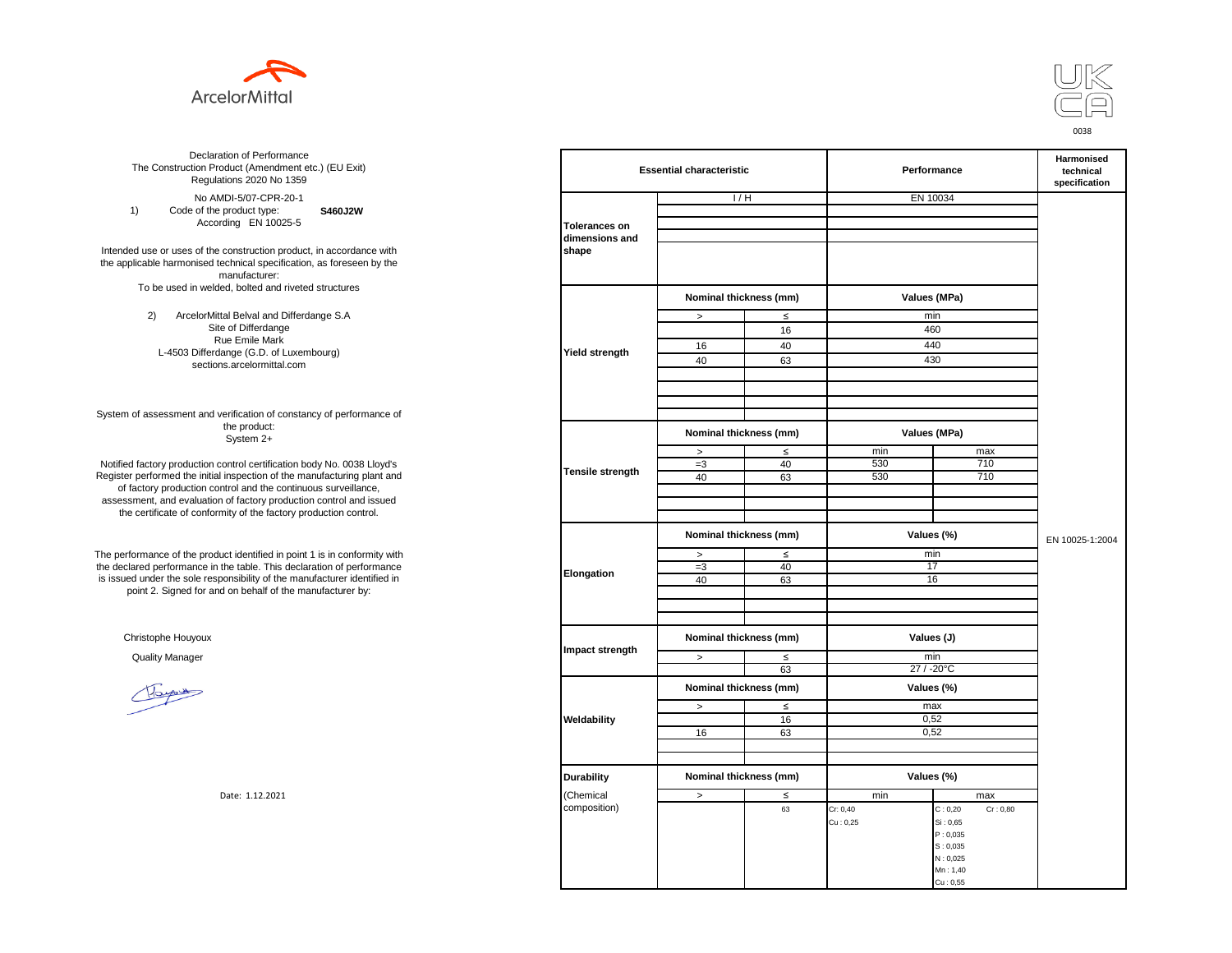



**S460J2W**  No AMDI-5/07-CPR-20-1 1) Code of the product type: According EN 10025-5

Intended use or uses of the construction product, in accordance with the applicable harmonised technical specification, as foreseen by the manufacturer: To be used in welded, bolted and riveted structures

> 2) ArcelorMittal Belval and Differdange S.A Site of Differdange Rue Emile Mark L-4503 Differdange (G.D. of Luxembourg) sections.arcelormittal.com

System of assessment and verification of constancy of performance of the product: System 2+

Notified factory production control certification body No. 0038 Lloyd's Register performed the initial inspection of the manufacturing plant and of factory production control and the continuous surveillance, assessment, and evaluation of factory production control and issued the certificate of conformity of the factory production control.

The performance of the product identified in point 1 is in conformity with the declared performance in the table. This declaration of performance is issued under the sole responsibility of the manufacturer identified in point 2. Signed for and on behalf of the manufacturer by:

Christophe Houyoux

| ation of Performance<br>oduct (Amendment etc.) (EU Exit)<br>ations 2020 No 1359                                               |                         | <b>Essential characteristic</b>      |        |              | Performance          |  |
|-------------------------------------------------------------------------------------------------------------------------------|-------------------------|--------------------------------------|--------|--------------|----------------------|--|
| /IDI-5/07-CPR-20-1                                                                                                            |                         | 1/H                                  |        | EN 10034     |                      |  |
| product type:<br>S460J2W                                                                                                      |                         |                                      |        |              |                      |  |
| rding EN 10025-5                                                                                                              | <b>Tolerances on</b>    |                                      |        |              |                      |  |
| construction product, in accordance with<br>echnical specification, as foreseen by the<br>manufacturer:                       | dimensions and<br>shape |                                      |        |              |                      |  |
| ed, bolted and riveted structures                                                                                             |                         | Nominal thickness (mm)               |        | Values (MPa) |                      |  |
| tal Belval and Differdange S.A                                                                                                |                         | $\, >$                               | $\leq$ | min          |                      |  |
| e of Differdange                                                                                                              |                         |                                      | 16     | 460          |                      |  |
| ue Emile Mark                                                                                                                 |                         | 16                                   | 40     | 440          |                      |  |
| ange (G.D. of Luxembourg)                                                                                                     | Yield strength          | 40                                   | 63     | 430          |                      |  |
| ns.arcelormittal.com                                                                                                          |                         |                                      |        |              |                      |  |
| verification of constancy of performance of                                                                                   |                         |                                      |        |              |                      |  |
| the product:<br>System 2+                                                                                                     |                         | Nominal thickness (mm)               |        | Values (MPa) |                      |  |
|                                                                                                                               |                         | $\, >$                               | $\leq$ | min          | max                  |  |
| control certification body No. 0038 Lloyd's                                                                                   | Tensile strength        | $=3$                                 | 40     | 530          | 710                  |  |
| inspection of the manufacturing plant and                                                                                     |                         | 40                                   | 63     | 530          | 710                  |  |
| ntrol and the continuous surveillance,<br>of factory production control and issued<br>mity of the factory production control. |                         |                                      |        |              |                      |  |
|                                                                                                                               |                         | Nominal thickness (mm)<br>Values (%) |        |              | EN 10025-1:2004      |  |
| uct identified in point 1 is in conformity with                                                                               | min<br>$\leq$<br>$\, >$ |                                      |        |              |                      |  |
| the table. This declaration of performance                                                                                    | Elongation              | $=3$                                 | 40     | 17           |                      |  |
| ponsibility of the manufacturer identified in                                                                                 |                         | 40                                   | 63     |              | 16                   |  |
| d on behalf of the manufacturer by:                                                                                           |                         |                                      |        |              |                      |  |
|                                                                                                                               |                         |                                      |        |              |                      |  |
|                                                                                                                               |                         |                                      |        |              |                      |  |
|                                                                                                                               | Impact strength         | Nominal thickness (mm)               |        | Values (J)   |                      |  |
|                                                                                                                               |                         | $\geq$                               | $\leq$ | min          |                      |  |
|                                                                                                                               |                         |                                      | 63     | 27 / -20°C   |                      |  |
|                                                                                                                               |                         | Nominal thickness (mm)               |        | Values (%)   |                      |  |
|                                                                                                                               |                         | $\geq$                               | $\leq$ | max          |                      |  |
|                                                                                                                               | Weldability             |                                      | 16     | 0,52         |                      |  |
|                                                                                                                               |                         | 16                                   | 63     | 0,52         |                      |  |
|                                                                                                                               |                         |                                      |        |              |                      |  |
|                                                                                                                               |                         |                                      |        |              |                      |  |
|                                                                                                                               | <b>Durability</b>       | Nominal thickness (mm)               |        | Values (%)   |                      |  |
| Date: 1.12.2021                                                                                                               | (Chemical               | $\,$                                 | $\leq$ | min          | max                  |  |
|                                                                                                                               | composition)            |                                      | 63     | Cr: 0,40     | C: 0,20<br>Cr: 0,80  |  |
|                                                                                                                               |                         |                                      |        | Cu: 0,25     | Si: 0,65             |  |
|                                                                                                                               |                         |                                      |        |              | P: 0,035<br>S: 0,035 |  |
|                                                                                                                               |                         |                                      |        |              | N: 0,025             |  |
|                                                                                                                               |                         |                                      |        |              | Mn: 1,40             |  |
|                                                                                                                               |                         |                                      |        |              | Cu: 0,55             |  |
|                                                                                                                               |                         |                                      |        |              |                      |  |